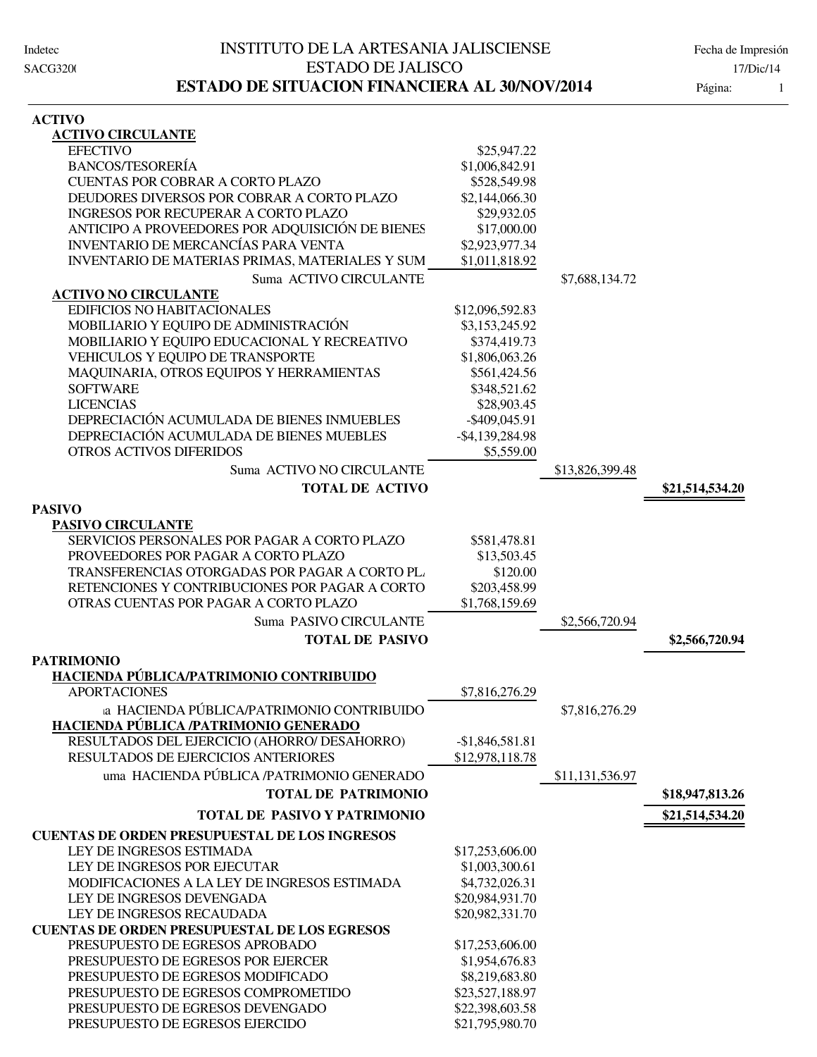| <b>ACTIVO</b>                                          |                    |                 |                 |
|--------------------------------------------------------|--------------------|-----------------|-----------------|
| <b>ACTIVO CIRCULANTE</b>                               |                    |                 |                 |
| <b>EFECTIVO</b>                                        | \$25,947.22        |                 |                 |
| <b>BANCOS/TESORERÍA</b>                                | \$1,006,842.91     |                 |                 |
| CUENTAS POR COBRAR A CORTO PLAZO                       | \$528,549.98       |                 |                 |
| DEUDORES DIVERSOS POR COBRAR A CORTO PLAZO             | \$2,144,066.30     |                 |                 |
| <b>INGRESOS POR RECUPERAR A CORTO PLAZO</b>            | \$29,932.05        |                 |                 |
| ANTICIPO A PROVEEDORES POR ADQUISICIÓN DE BIENES       | \$17,000.00        |                 |                 |
| INVENTARIO DE MERCANCÍAS PARA VENTA                    | \$2,923,977.34     |                 |                 |
| <b>INVENTARIO DE MATERIAS PRIMAS, MATERIALES Y SUM</b> | \$1,011,818.92     |                 |                 |
| Suma ACTIVO CIRCULANTE                                 |                    | \$7,688,134.72  |                 |
| <b>ACTIVO NO CIRCULANTE</b>                            |                    |                 |                 |
| EDIFICIOS NO HABITACIONALES                            | \$12,096,592.83    |                 |                 |
| MOBILIARIO Y EQUIPO DE ADMINISTRACIÓN                  | \$3,153,245.92     |                 |                 |
| MOBILIARIO Y EQUIPO EDUCACIONAL Y RECREATIVO           | \$374,419.73       |                 |                 |
| VEHICULOS Y EQUIPO DE TRANSPORTE                       | \$1,806,063.26     |                 |                 |
| MAQUINARIA, OTROS EQUIPOS Y HERRAMIENTAS               | \$561,424.56       |                 |                 |
| <b>SOFTWARE</b>                                        | \$348,521.62       |                 |                 |
| <b>LICENCIAS</b>                                       | \$28,903.45        |                 |                 |
| DEPRECIACIÓN ACUMULADA DE BIENES INMUEBLES             | $-$ \$409,045.91   |                 |                 |
| DEPRECIACIÓN ACUMULADA DE BIENES MUEBLES               | $-$ \$4,139,284.98 |                 |                 |
| <b>OTROS ACTIVOS DIFERIDOS</b>                         | \$5,559.00         |                 |                 |
| Suma ACTIVO NO CIRCULANTE                              |                    | \$13,826,399.48 |                 |
| <b>TOTAL DE ACTIVO</b>                                 |                    |                 | \$21,514,534.20 |
| <b>PASIVO</b>                                          |                    |                 |                 |
| <b>PASIVO CIRCULANTE</b>                               |                    |                 |                 |
| SERVICIOS PERSONALES POR PAGAR A CORTO PLAZO           | \$581,478.81       |                 |                 |
| PROVEEDORES POR PAGAR A CORTO PLAZO                    | \$13,503.45        |                 |                 |
| TRANSFERENCIAS OTORGADAS POR PAGAR A CORTO PL.         | \$120.00           |                 |                 |
| RETENCIONES Y CONTRIBUCIONES POR PAGAR A CORTO         | \$203,458.99       |                 |                 |
| OTRAS CUENTAS POR PAGAR A CORTO PLAZO                  | \$1,768,159.69     |                 |                 |
| Suma PASIVO CIRCULANTE                                 |                    | \$2,566,720.94  |                 |
| <b>TOTAL DE PASIVO</b>                                 |                    |                 | \$2,566,720.94  |
| <b>PATRIMONIO</b>                                      |                    |                 |                 |
| HACIENDA PÚBLICA/PATRIMONIO CONTRIBUIDO                |                    |                 |                 |
| <b>APORTACIONES</b>                                    | \$7,816,276.29     |                 |                 |
| a HACIENDA PÚBLICA/PATRIMONIO CONTRIBUIDO              |                    | \$7,816,276.29  |                 |
| HACIENDA PÚBLICA /PATRIMONIO GENERADO                  |                    |                 |                 |
| RESULTADOS DEL EJERCICIO (AHORRO/ DESAHORRO)           | $-$1,846,581.81$   |                 |                 |
| RESULTADOS DE EJERCICIOS ANTERIORES                    | \$12,978,118.78    |                 |                 |
| uma HACIENDA PÚBLICA /PATRIMONIO GENERADO              |                    | \$11,131,536.97 |                 |
| <b>TOTAL DE PATRIMONIO</b>                             |                    |                 | \$18,947,813.26 |
| <b>TOTAL DE PASIVO Y PATRIMONIO</b>                    |                    |                 | \$21,514,534.20 |
| <b>CUENTAS DE ORDEN PRESUPUESTAL DE LOS INGRESOS</b>   |                    |                 |                 |
| LEY DE INGRESOS ESTIMADA                               | \$17,253,606.00    |                 |                 |
| LEY DE INGRESOS POR EJECUTAR                           | \$1,003,300.61     |                 |                 |
| MODIFICACIONES A LA LEY DE INGRESOS ESTIMADA           | \$4,732,026.31     |                 |                 |
| LEY DE INGRESOS DEVENGADA                              | \$20,984,931.70    |                 |                 |
| LEY DE INGRESOS RECAUDADA                              | \$20,982,331.70    |                 |                 |
| <b>CUENTAS DE ORDEN PRESUPUESTAL DE LOS EGRESOS</b>    |                    |                 |                 |
| PRESUPUESTO DE EGRESOS APROBADO                        | \$17,253,606.00    |                 |                 |
| PRESUPUESTO DE EGRESOS POR EJERCER                     | \$1,954,676.83     |                 |                 |
| PRESUPUESTO DE EGRESOS MODIFICADO                      | \$8,219,683.80     |                 |                 |

PRESUPUESTO DE EGRESOS COMPROMETIDO \$23,527,188.97 PRESUPUESTO DE EGRESOS DEVENGADO \$22,398,603.58 PRESUPUESTO DE EGRESOS EJERCIDO \$21,795,980.70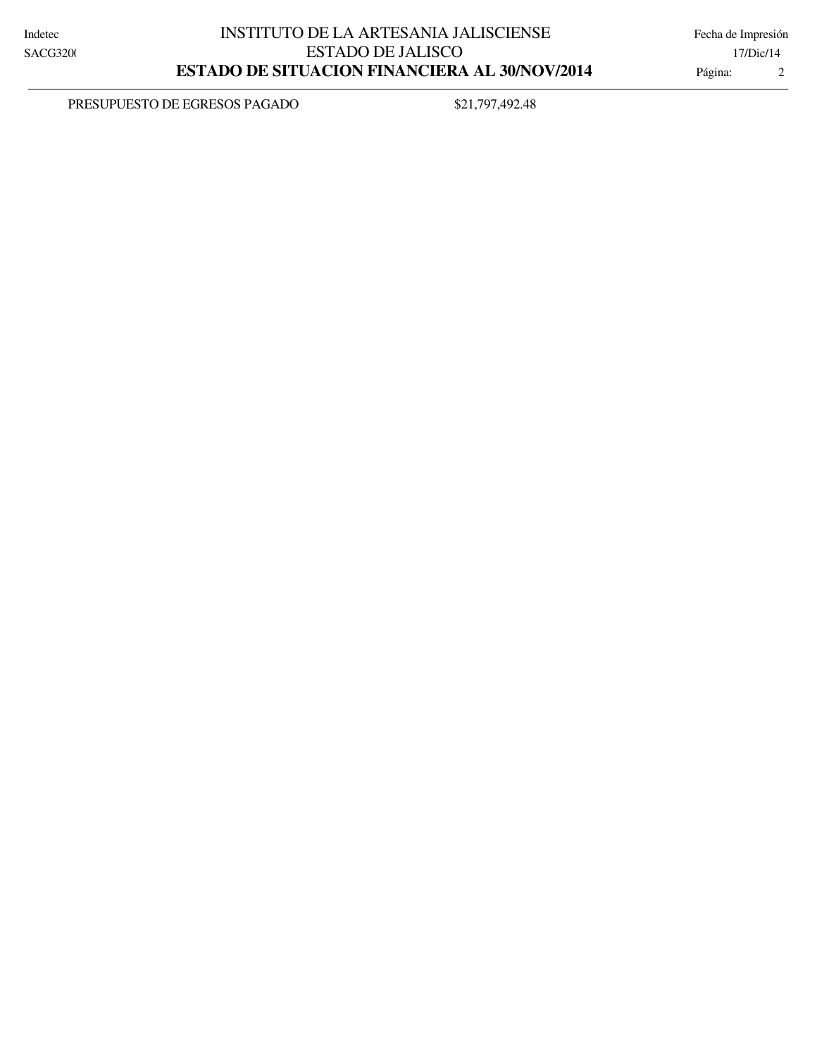PRESUPUESTO DE EGRESOS PAGADO \$21,797,492.48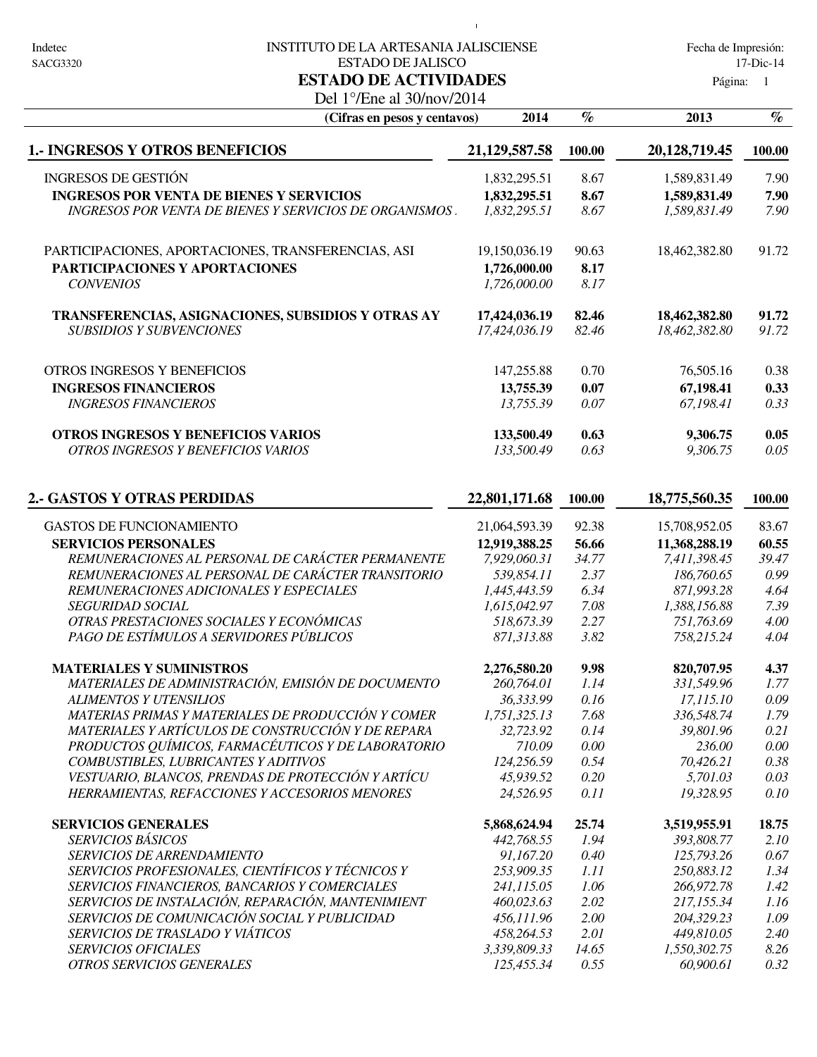#### Indetec 
INSTITUTO DE LA ARTESANIA JALISCIENSE

Indetec

Fecha de Impresión: ESTADO DE JALISCO 17-Dic-14

 $\mathbf{1}$ 

Página: 1

### Del 1°/Ene al 30/nov/2014 **ESTADO DE ACTIVIDADES**

| 2014<br>(Cifras en pesos y centavos)                                                  |                        | $\%$        | 2013                  | $\%$         |
|---------------------------------------------------------------------------------------|------------------------|-------------|-----------------------|--------------|
| <b>1.- INGRESOS Y OTROS BENEFICIOS</b>                                                | 21,129,587.58          | 100.00      | 20,128,719.45         | 100.00       |
| <b>INGRESOS DE GESTIÓN</b>                                                            | 1,832,295.51           | 8.67        | 1,589,831.49          | 7.90         |
| <b>INGRESOS POR VENTA DE BIENES Y SERVICIOS</b>                                       | 1,832,295.51           | 8.67        | 1,589,831.49          | 7.90         |
| <b>INGRESOS POR VENTA DE BIENES Y SERVICIOS DE ORGANISMOS</b>                         | 1,832,295.51           | 8.67        | 1,589,831.49          | 7.90         |
| PARTICIPACIONES, APORTACIONES, TRANSFERENCIAS, ASI                                    | 19,150,036.19          | 90.63       | 18,462,382.80         | 91.72        |
| PARTICIPACIONES Y APORTACIONES                                                        | 1,726,000.00           | 8.17        |                       |              |
| <b>CONVENIOS</b>                                                                      | 1,726,000.00           | 8.17        |                       |              |
| TRANSFERENCIAS, ASIGNACIONES, SUBSIDIOS Y OTRAS AY                                    | 17,424,036.19          | 82.46       | 18,462,382.80         | 91.72        |
| <b>SUBSIDIOS Y SUBVENCIONES</b>                                                       | 17,424,036.19          | 82.46       | 18,462,382.80         | 91.72        |
| OTROS INGRESOS Y BENEFICIOS                                                           | 147,255.88             | 0.70        | 76,505.16             | 0.38         |
| <b>INGRESOS FINANCIEROS</b>                                                           | 13,755.39              | 0.07        | 67,198.41             | 0.33         |
| <b>INGRESOS FINANCIEROS</b>                                                           | 13,755.39              | 0.07        | 67,198.41             | 0.33         |
| OTROS INGRESOS Y BENEFICIOS VARIOS                                                    | 133,500.49             | 0.63        | 9,306.75              | 0.05         |
| OTROS INGRESOS Y BENEFICIOS VARIOS                                                    | 133,500.49             | 0.63        | 9,306.75              | 0.05         |
| <b>2.- GASTOS Y OTRAS PERDIDAS</b>                                                    | 22,801,171.68          | 100.00      | 18,775,560.35         | 100.00       |
| <b>GASTOS DE FUNCIONAMIENTO</b>                                                       | 21,064,593.39          | 92.38       | 15,708,952.05         | 83.67        |
| <b>SERVICIOS PERSONALES</b>                                                           | 12,919,388.25          | 56.66       | 11,368,288.19         | 60.55        |
| REMUNERACIONES AL PERSONAL DE CARÁCTER PERMANENTE                                     | 7,929,060.31           | 34.77       | 7,411,398.45          | 39.47        |
| REMUNERACIONES AL PERSONAL DE CARÁCTER TRANSITORIO                                    | 539,854.11             | 2.37        | 186,760.65            | 0.99         |
| REMUNERACIONES ADICIONALES Y ESPECIALES                                               | 1,445,443.59           | 6.34        | 871,993.28            | 4.64         |
| <b>SEGURIDAD SOCIAL</b>                                                               | 1,615,042.97           | 7.08        | 1,388,156.88          | 7.39         |
| OTRAS PRESTACIONES SOCIALES Y ECONÓMICAS                                              | 518,673.39             | 2.27        | 751,763.69            | 4.00         |
| PAGO DE ESTÍMULOS A SERVIDORES PÚBLICOS                                               | 871,313.88             | 3.82        | 758,215.24            | 4.04         |
| <b>MATERIALES Y SUMINISTROS</b>                                                       | 2,276,580.20           | 9.98        | 820,707.95            | 4.37         |
| MATERIALES DE ADMINISTRACIÓN, EMISIÓN DE DOCUMENTO                                    | 260,764.01             | 1.14        | 331,549.96            | 1.77         |
| <b>ALIMENTOS Y UTENSILIOS</b><br>MATEDIA C DDIMA C V MATEDIALES DE DDODHCCIÓN V COMED | 36,333.99<br>175122512 | 0.16<br>760 | 17,115.10<br>22654074 | 0.09<br>1,70 |
|                                                                                       |                        |             |                       |              |

*SERVICIOS DE TRASLADO Y VIÁTICOS 458,264.53 449,810.0 2.01 2.40 5 SERVICIOS OFICIALES 3,339,809.33 1,550,302.75 14.65 8.26 OTROS SERVICIOS GENERALES 125,455.34 60,900.61 0.55 0.32*

| MATERIAS PRIMAS Y MATERIALES DE PRODUCCIÓN Y COMER     | 1,751,325.13 | 7.68  | 336,548.74   | 1.79  |
|--------------------------------------------------------|--------------|-------|--------------|-------|
| MATERIALES Y ARTÍCULOS DE CONSTRUCCIÓN Y DE REPARA     | 32.723.92    | 0.14  | 39,801.96    | 0.21  |
| PRODUCTOS QUÍMICOS, FARMACÉUTICOS Y DE LABORATORIO     | 710.09       | 0.00  | 236.00       | 0.00  |
| COMBUSTIBLES, LUBRICANTES Y ADITIVOS                   | 124.256.59   | 0.54  | 70.426.21    | 0.38  |
| VESTUARIO, BLANCOS, PRENDAS DE PROTECCIÓN Y ARTÍCU     | 45,939.52    | 0.20  | 5,701.03     | 0.03  |
| HERRAMIENTAS, REFACCIONES Y ACCESORIOS MENORES         | 24.526.95    | 0.11  | 19.328.95    | 0.10  |
|                                                        |              |       |              |       |
|                                                        | 5,868,624.94 | 25.74 | 3,519,955.91 | 18.75 |
| <b>SERVICIOS GENERALES</b><br><i>SERVICIOS BÁSICOS</i> | 442,768.55   | 1.94  | 393,808.77   | 2.10  |
| <b>SERVICIOS DE ARRENDAMIENTO</b>                      | 91.167.20    | 0.40  | 125,793.26   | 0.67  |
| SERVICIOS PROFESIONALES, CIENTÍFICOS Y TÉCNICOS Y      | 253,909.35   | 1.11  | 250,883.12   | 1.34  |
| SERVICIOS FINANCIEROS, BANCARIOS Y COMERCIALES         | 241.115.05   | 1.06  | 266,972.78   | 1.42  |
| SERVICIOS DE INSTALACIÓN, REPARACIÓN, MANTENIMIENT     | 460,023.63   | 2.02  | 217,155,34   | 1.16  |
| SERVICIOS DE COMUNICACIÓN SOCIAL Y PUBLICIDAD          | 456.111.96   | 2.00  | 204.329.23   | 1.09  |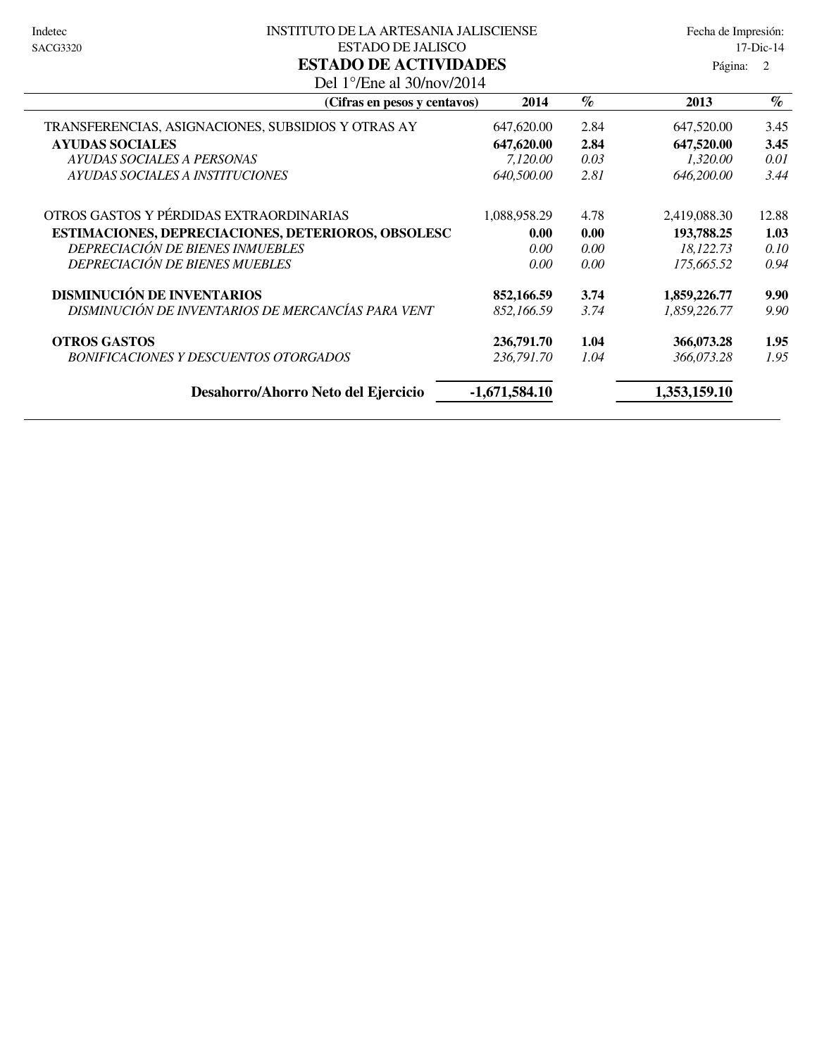#### Indetec 
Solomon Institution DE LA ARTESANIA JALISCIENSE Fecha de Impresión: ESTADO DE JALISCO 17-Dic-14 **ESTADO DE ACTIVIDADES**

|                                                                      | 1 ugunu.        |      |              |       |
|----------------------------------------------------------------------|-----------------|------|--------------|-------|
| Del 1 $^{\circ}$ /Ene al 30/nov/2014<br>(Cifras en pesos y centavos) | 2014            | $\%$ | 2013         | $\%$  |
| TRANSFERENCIAS, ASIGNACIONES, SUBSIDIOS Y OTRAS AY                   | 647,620.00      | 2.84 | 647,520.00   | 3.45  |
| <b>AYUDAS SOCIALES</b>                                               | 647,620.00      | 2.84 | 647,520.00   | 3.45  |
| AYUDAS SOCIALES A PERSONAS                                           | 7,120.00        | 0.03 | 1,320.00     | 0.01  |
| AYUDAS SOCIALES A INSTITUCIONES                                      | 640,500.00      | 2.81 | 646,200.00   | 3.44  |
| OTROS GASTOS Y PÉRDIDAS EXTRAORDINARIAS                              | 1,088,958.29    | 4.78 | 2,419,088.30 | 12.88 |
| ESTIMACIONES, DEPRECIACIONES, DETERIOROS, OBSOLESC                   | 0.00            | 0.00 | 193,788.25   | 1.03  |
| DEPRECIACIÓN DE BIENES INMUEBLES                                     | 0.00            | 0.00 | 18,122.73    | 0.10  |
| <b>DEPRECIACIÓN DE BIENES MUEBLES</b>                                | 0.00            | 0.00 | 175,665.52   | 0.94  |
| <b>DISMINUCIÓN DE INVENTARIOS</b>                                    | 852,166.59      | 3.74 | 1,859,226.77 | 9.90  |
| DISMINUCIÓN DE INVENTARIOS DE MERCANCÍAS PARA VENT                   | 852,166.59      | 3.74 | 1,859,226.77 | 9.90  |
| <b>OTROS GASTOS</b>                                                  | 236,791.70      | 1.04 | 366,073.28   | 1.95  |
| <b>BONIFICACIONES Y DESCUENTOS OTORGADOS</b>                         | 236,791.70      | 1.04 | 366,073.28   | 1.95  |
| Desahorro/Ahorro Neto del Ejercicio                                  | $-1,671,584.10$ |      | 1,353,159.10 |       |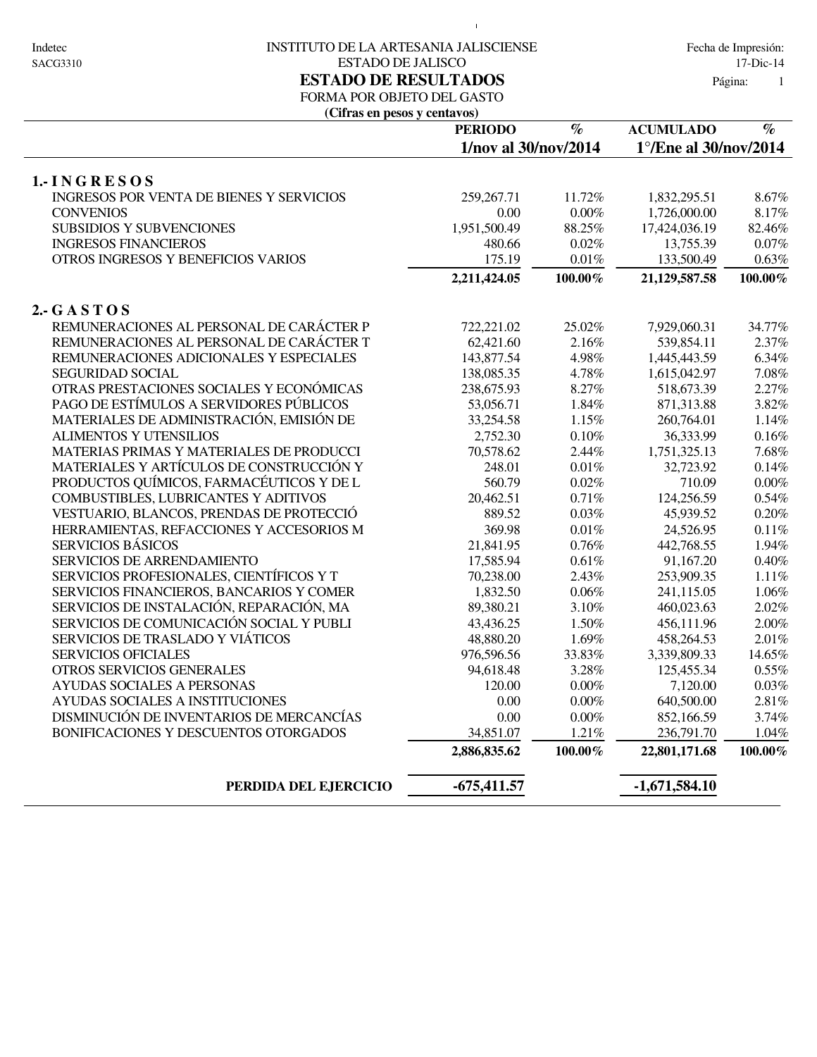#### Indetec 
INSTITUTO DE LA ARTESANIA JALISCIENSE

Indetec

Fecha de Impresión: ESTADO DE JALISCO 17-Dic-14 **ESTADO DE RESULTADOS** Página:

 $\bar{1}$ 

1

## FORMA POR OBJETO DEL GASTO

**(Cifras en pesos y centavos)**

| CIII as the pusus y cuita vus)           |                      |                                 |                       |                                 |  |
|------------------------------------------|----------------------|---------------------------------|-----------------------|---------------------------------|--|
|                                          | <b>PERIODO</b>       | $\overline{\mathcal{C}_{\ell}}$ | <b>ACUMULADO</b>      | $\overline{\mathcal{C}_{\ell}}$ |  |
|                                          | 1/nov al 30/nov/2014 |                                 | 1°/Ene al 30/nov/2014 |                                 |  |
| 1.-INGRESOS                              |                      |                                 |                       |                                 |  |
| INGRESOS POR VENTA DE BIENES Y SERVICIOS | 259, 267. 71         | 11.72%                          | 1,832,295.51          | 8.67%                           |  |
| <b>CONVENIOS</b>                         | 0.00                 | $0.00\%$                        | 1,726,000.00          | 8.17%                           |  |
| <b>SUBSIDIOS Y SUBVENCIONES</b>          | 1,951,500.49         | 88.25%                          | 17,424,036.19         | 82.46%                          |  |
| <b>INGRESOS FINANCIEROS</b>              | 480.66               | 0.02%                           | 13,755.39             | $0.07\%$                        |  |
| OTROS INGRESOS Y BENEFICIOS VARIOS       | 175.19               | $0.01\%$                        | 133,500.49            | $0.63\%$                        |  |
|                                          | 2,211,424.05         | $100.00\%$                      | 21,129,587.58         | 100.00%                         |  |
| 2. $GASTOS$                              |                      |                                 |                       |                                 |  |
| REMUNERACIONES AL PERSONAL DE CARÁCTER P | 722,221.02           | 25.02%                          | 7,929,060.31          | 34.77%                          |  |
| REMUNERACIONES AL PERSONAL DE CARÁCTER T | 62,421.60            | 2.16%                           | 539,854.11            | 2.37%                           |  |
| REMUNERACIONES ADICIONALES Y ESPECIALES  | 143,877.54           | 4.98%                           | 1,445,443.59          | 6.34%                           |  |
| <b>SEGURIDAD SOCIAL</b>                  | 138,085.35           | 4.78%                           | 1,615,042.97          | 7.08%                           |  |
| OTRAS PRESTACIONES SOCIALES Y ECONÓMICAS | 238,675.93           | 8.27%                           | 518,673.39            | 2.27%                           |  |
| PAGO DE ESTÍMULOS A SERVIDORES PÚBLICOS  | 53,056.71            | 1.84%                           | 871,313.88            | 3.82%                           |  |
| MATERIALES DE ADMINISTRACIÓN, EMISIÓN DE | 33,254.58            | 1.15%                           | 260,764.01            | 1.14%                           |  |
| <b>ALIMENTOS Y UTENSILIOS</b>            | 2,752.30             | $0.10\%$                        | 36,333.99             | $0.16\%$                        |  |
| MATERIAS PRIMAS Y MATERIALES DE PRODUCCI | 70,578.62            | 2.44%                           | 1,751,325.13          | 7.68%                           |  |
| MATERIALES Y ARTÍCULOS DE CONSTRUCCIÓN Y | 248.01               | $0.01\%$                        | 32,723.92             | 0.14%                           |  |
| PRODUCTOS QUÍMICOS, FARMACÉUTICOS Y DE L | 560.79               | 0.02%                           | 710.09                | $0.00\%$                        |  |
| COMBUSTIBLES, LUBRICANTES Y ADITIVOS     | 20,462.51            | 0.71%                           | 124,256.59            | 0.54%                           |  |
| VESTUARIO, BLANCOS, PRENDAS DE PROTECCIÓ | 889.52               | $0.03\%$                        | 45,939.52             | $0.20\%$                        |  |
| HERRAMIENTAS, REFACCIONES Y ACCESORIOS M | 369.98               | $0.01\%$                        | 24,526.95             | $0.11\%$                        |  |
| <b>SERVICIOS BÁSICOS</b>                 | 21,841.95            | 0.76%                           | 442,768.55            | 1.94%                           |  |
| SERVICIOS DE ARRENDAMIENTO               | 17,585.94            | $0.61\%$                        | 91,167.20             | $0.40\%$                        |  |
| SERVICIOS PROFESIONALES, CIENTÍFICOS Y T | 70,238.00            | 2.43%                           | 253,909.35            | 1.11%                           |  |
| SERVICIOS FINANCIEROS, BANCARIOS Y COMER | 1,832.50             | $0.06\%$                        | 241,115.05            | $1.06\%$                        |  |
| SERVICIOS DE INSTALACIÓN, REPARACIÓN, MA | 89,380.21            | 3.10%                           | 460,023.63            | 2.02%                           |  |
| SERVICIOS DE COMUNICACIÓN SOCIAL Y PUBLI | 43,436.25            | 1.50%                           | 456,111.96            | 2.00%                           |  |
| SERVICIOS DE TRASLADO Y VIÁTICOS         | 48,880.20            | 1.69%                           | 458,264.53            | 2.01%                           |  |
| <b>SERVICIOS OFICIALES</b>               | 976,596.56           | 33.83%                          | 3,339,809.33          | 14.65%                          |  |
| OTROS SERVICIOS GENERALES                | 94,618.48            | 3.28%                           | 125,455.34            | 0.55%                           |  |
| <b>AYUDAS SOCIALES A PERSONAS</b>        | 120.00               | $0.00\%$                        | 7,120.00              | $0.03\%$                        |  |
| AYUDAS SOCIALES A INSTITUCIONES          | 0.00                 | $0.00\%$                        | 640,500.00            | 2.81%                           |  |
| DISMINUCIÓN DE INVENTARIOS DE MERCANCÍAS | 0.00                 | $0.00\%$                        | 852,166.59            | 3.74%                           |  |
| BONIFICACIONES Y DESCUENTOS OTORGADOS    | 34,851.07            | 1.21%                           | 236,791.70            | $1.04\%$                        |  |
|                                          | 2,886,835.62         | $100.00\%$                      | 22,801,171.68         | $100.00\%$                      |  |
| PERDIDA DEL EJERCICIO                    | $-675,411.57$        |                                 | $-1,671,584.10$       |                                 |  |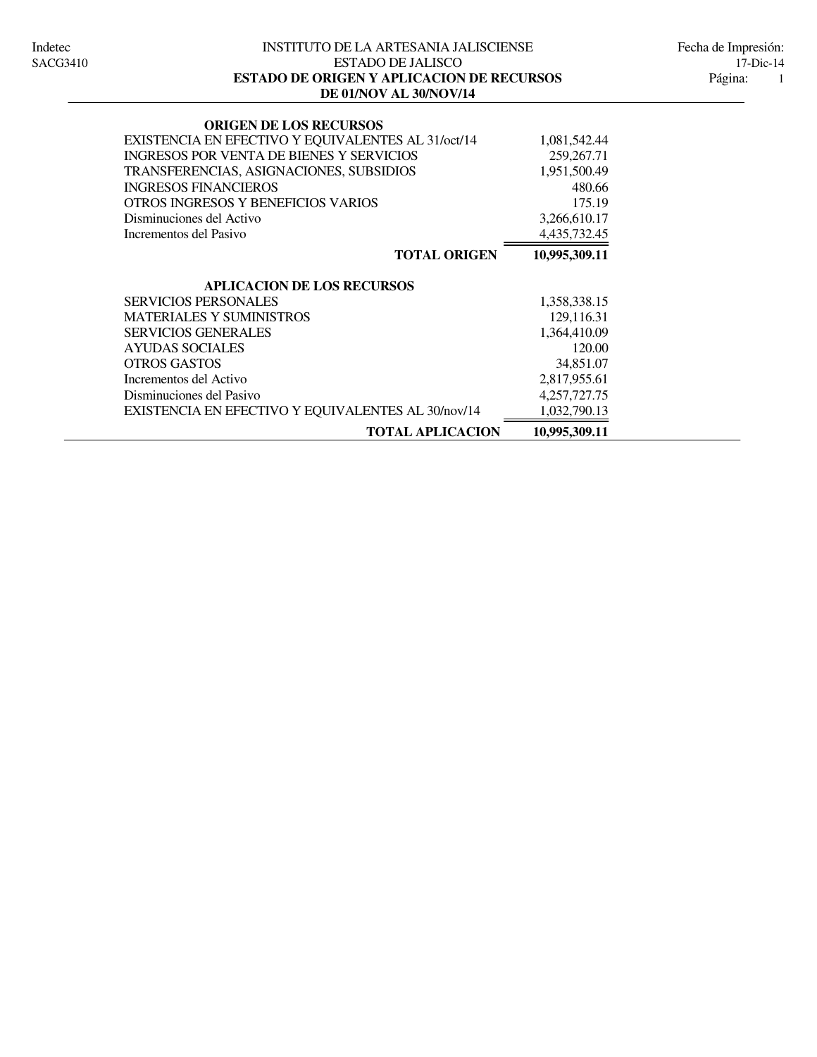#### INSTITUTO DE LA ARTESANIA JALISCIENSE Indetec Fecha de Impresión: ESTADO DE JALISCO 17-Dic-14<br>IGEN Y APLICACION DE RECURSOS Página: 1 **DE 01/NOV AL 30/NOV/14 ESTADO DE ORIGEN Y APLICACION DE RECURSOS**

| <b>ORIGEN DE LOS RECURSOS</b>                      |               |
|----------------------------------------------------|---------------|
| EXISTENCIA EN EFECTIVO Y EQUIVALENTES AL 31/oct/14 | 1,081,542.44  |
| <b>INGRESOS POR VENTA DE BIENES Y SERVICIOS</b>    | 259, 267. 71  |
| TRANSFERENCIAS, ASIGNACIONES, SUBSIDIOS            | 1,951,500.49  |
| <b>INGRESOS FINANCIEROS</b>                        | 480.66        |
| OTROS INGRESOS Y BENEFICIOS VARIOS                 | 175.19        |
| Disminuciones del Activo                           | 3,266,610.17  |
| Incrementos del Pasivo                             | 4,435,732.45  |
| <b>TOTAL ORIGEN</b>                                | 10,995,309.11 |
| <b>APLICACION DE LOS RECURSOS</b>                  |               |
| <b>SERVICIOS PERSONALES</b>                        | 1,358,338.15  |
| <b>MATERIALES Y SUMINISTROS</b>                    | 129,116.31    |
| <b>SERVICIOS GENERALES</b>                         | 1,364,410.09  |
| <b>AYUDAS SOCIALES</b>                             | 120.00        |
| <b>OTROS GASTOS</b>                                | 34,851.07     |
| Incrementos del Activo                             | 2,817,955.61  |
| Disminuciones del Pasivo                           | 4,257,727.75  |
| EXISTENCIA EN EFECTIVO Y EQUIVALENTES AL 30/nov/14 | 1,032,790.13  |
| <b>TOTAL APLICACION</b>                            | 10,995,309.11 |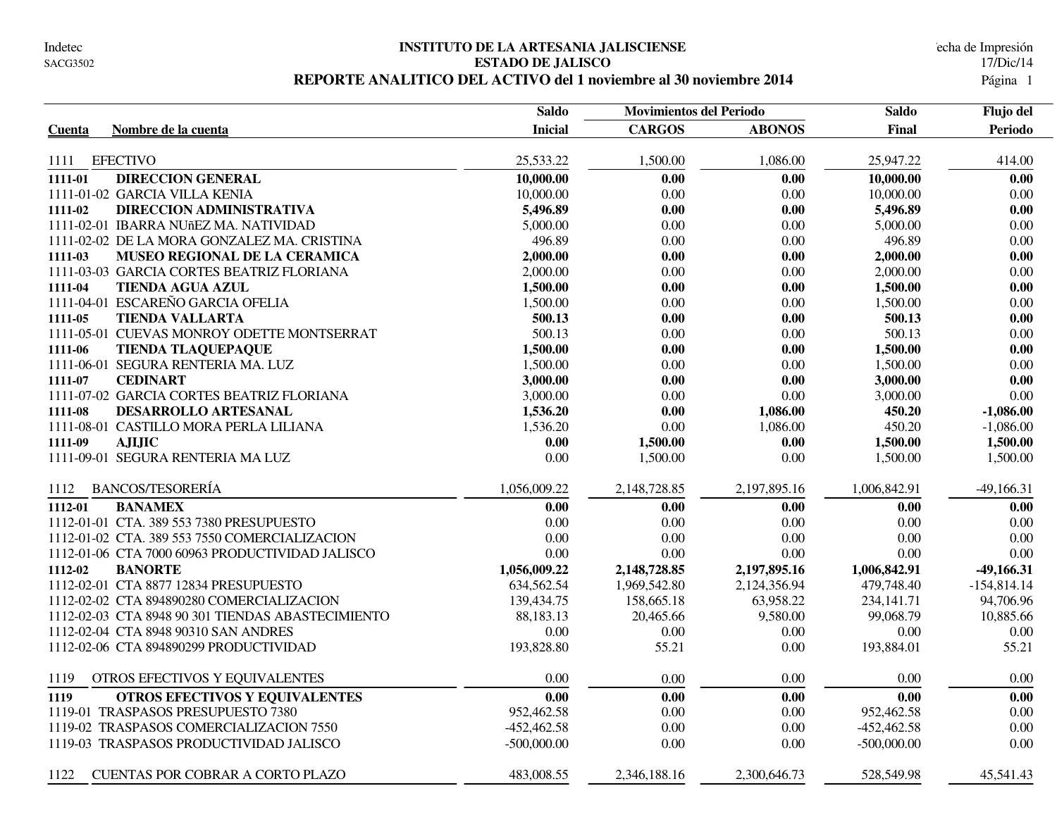#### **INSTITUTO DE LA ARTESANIA JALISCIENSE** Indetec Fecha de Impresión **ESTADO DE JALISCO** 17/Dic/14 REPORTE ANALITICO DEL ACTIVO del 1 noviembre al 30 noviembre 2014

|                                                   | <b>Saldo</b>   |               | <b>Movimientos del Periodo</b> |               | Flujo del      |
|---------------------------------------------------|----------------|---------------|--------------------------------|---------------|----------------|
| Nombre de la cuenta<br>Cuenta                     | <b>Inicial</b> | <b>CARGOS</b> | <b>ABONOS</b>                  | Final         | <b>Periodo</b> |
|                                                   |                |               |                                |               |                |
| <b>EFECTIVO</b><br>1111                           | 25,533.22      | 1,500.00      | 1,086.00                       | 25,947.22     | 414.00         |
| <b>DIRECCION GENERAL</b><br>1111-01               | 10,000.00      | 0.00          | 0.00                           | 10,000.00     | 0.00           |
| 1111-01-02 GARCIA VILLA KENIA                     | 10,000.00      | 0.00          | 0.00                           | 10,000.00     | 0.00           |
| DIRECCION ADMINISTRATIVA<br>1111-02               | 5,496.89       | 0.00          | 0.00                           | 5,496.89      | 0.00           |
| 1111-02-01 IBARRA NUñEZ MA. NATIVIDAD             | 5,000.00       | 0.00          | 0.00                           | 5,000.00      | 0.00           |
| 1111-02-02 DE LA MORA GONZALEZ MA. CRISTINA       | 496.89         | 0.00          | $0.00\,$                       | 496.89        | 0.00           |
| 1111-03<br>MUSEO REGIONAL DE LA CERAMICA          | 2,000.00       | 0.00          | 0.00                           | 2,000.00      | 0.00           |
| 1111-03-03 GARCIA CORTES BEATRIZ FLORIANA         | 2,000.00       | 0.00          | $0.00\,$                       | 2,000.00      | 0.00           |
| 1111-04<br><b>TIENDA AGUA AZUL</b>                | 1,500.00       | 0.00          | 0.00                           | 1,500.00      | 0.00           |
| 1111-04-01 ESCAREÑO GARCIA OFELIA                 | 1,500.00       | 0.00          | 0.00                           | 1,500.00      | 0.00           |
| <b>TIENDA VALLARTA</b><br>1111-05                 | 500.13         | 0.00          | 0.00                           | 500.13        | 0.00           |
| 1111-05-01 CUEVAS MONROY ODETTE MONTSERRAT        | 500.13         | 0.00          | 0.00                           | 500.13        | 0.00           |
| 1111-06<br><b>TIENDA TLAQUEPAQUE</b>              | 1,500.00       | 0.00          | 0.00                           | 1,500.00      | 0.00           |
| 1111-06-01 SEGURA RENTERIA MA. LUZ                | 1,500.00       | 0.00          | 0.00                           | 1,500.00      | 0.00           |
| <b>CEDINART</b><br>1111-07                        | 3,000.00       | 0.00          | 0.00                           | 3,000.00      | 0.00           |
| 1111-07-02 GARCIA CORTES BEATRIZ FLORIANA         | 3,000.00       | 0.00          | 0.00                           | 3,000.00      | 0.00           |
| DESARROLLO ARTESANAL<br>1111-08                   | 1,536.20       | 0.00          | 1,086.00                       | 450.20        | $-1,086.00$    |
| 1111-08-01 CASTILLO MORA PERLA LILIANA            | 1,536.20       | $0.00\,$      | 1,086.00                       | 450.20        | $-1,086.00$    |
| <b>AJIJIC</b><br>1111-09                          | 0.00           | 1,500.00      | 0.00                           | 1,500.00      | 1,500.00       |
| 1111-09-01 SEGURA RENTERIA MA LUZ                 | 0.00           | 1,500.00      | 0.00                           | 1,500.00      | 1,500.00       |
| <b>BANCOS/TESORERÍA</b><br>1112                   | 1,056,009.22   | 2,148,728.85  | 2,197,895.16                   | 1,006,842.91  | $-49,166.31$   |
| 1112-01<br><b>BANAMEX</b>                         | 0.00           | 0.00          | 0.00                           | 0.00          | 0.00           |
| 1112-01-01 CTA. 389 553 7380 PRESUPUESTO          | 0.00           | 0.00          | 0.00                           | 0.00          | 0.00           |
| 1112-01-02 CTA. 389 553 7550 COMERCIALIZACION     | $0.00\,$       | 0.00          | 0.00                           | 0.00          | $0.00\,$       |
| 1112-01-06 CTA 7000 60963 PRODUCTIVIDAD JALISCO   | 0.00           | 0.00          | 0.00                           | 0.00          | 0.00           |
| 1112-02<br><b>BANORTE</b>                         | 1,056,009.22   | 2,148,728.85  | 2,197,895.16                   | 1,006,842.91  | $-49,166.31$   |
| 1112-02-01 CTA 8877 12834 PRESUPUESTO             | 634,562.54     | 1,969,542.80  | 2,124,356.94                   | 479,748.40    | $-154,814.14$  |
| 1112-02-02 CTA 894890280 COMERCIALIZACION         | 139,434.75     | 158,665.18    | 63,958.22                      | 234, 141. 71  | 94,706.96      |
| 1112-02-03 CTA 8948 90 301 TIENDAS ABASTECIMIENTO | 88,183.13      | 20,465.66     | 9,580.00                       | 99,068.79     | 10,885.66      |
| 1112-02-04 CTA 8948 90310 SAN ANDRES              | 0.00           | 0.00          | 0.00                           | 0.00          | 0.00           |
| 1112-02-06 CTA 894890299 PRODUCTIVIDAD            | 193,828.80     | 55.21         | $0.00\,$                       | 193,884.01    | 55.21          |
|                                                   |                |               |                                |               |                |
| 1119<br>OTROS EFECTIVOS Y EQUIVALENTES            | 0.00           | 0.00          | 0.00                           | 0.00          | 0.00           |
| <b>OTROS EFECTIVOS Y EQUIVALENTES</b><br>1119     | 0.00           | 0.00          | 0.00                           | 0.00          | 0.00           |
| 1119-01 TRASPASOS PRESUPUESTO 7380                | 952,462.58     | 0.00          | 0.00                           | 952,462.58    | 0.00           |
| 1119-02 TRASPASOS COMERCIALIZACION 7550           | $-452,462.58$  | $0.00\,$      | $0.00\,$                       | $-452,462.58$ | 0.00           |
| 1119-03 TRASPASOS PRODUCTIVIDAD JALISCO           | $-500,000.00$  | 0.00          | 0.00                           | $-500,000.00$ | 0.00           |
| 1122<br><b>CUENTAS POR COBRAR A CORTO PLAZO</b>   | 483,008.55     | 2,346,188.16  | 2,300,646.73                   | 528,549.98    | 45,541.43      |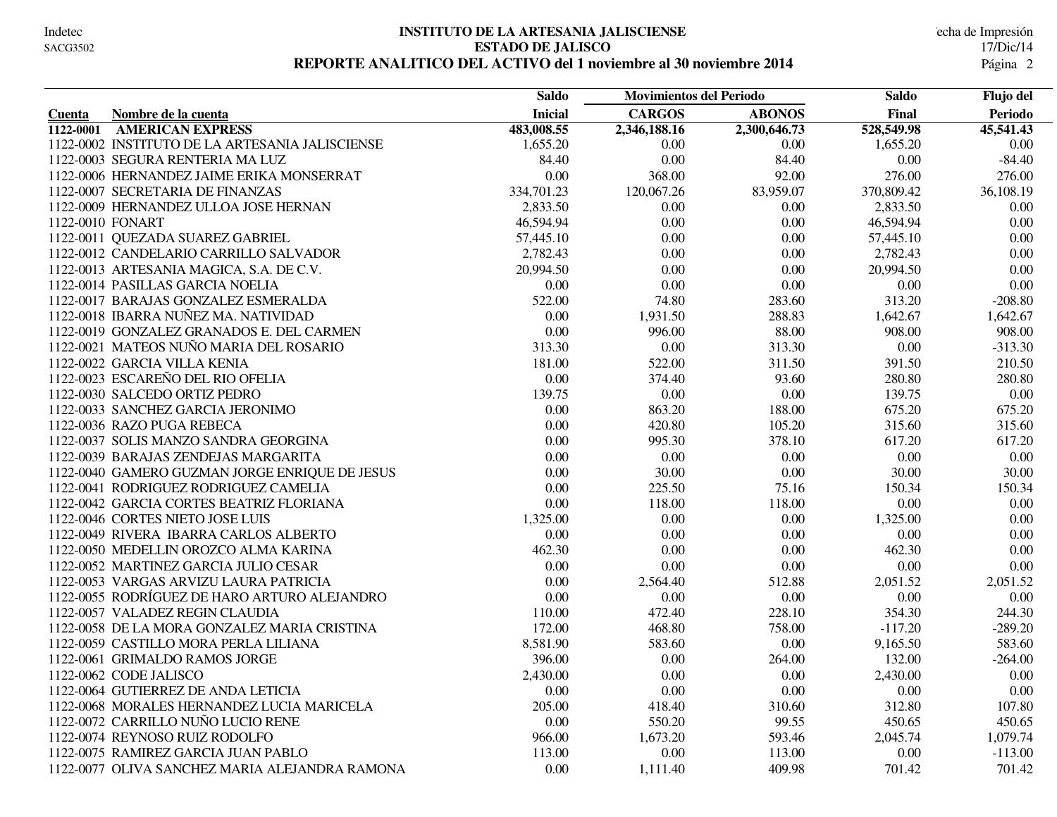#### **INSTITUTO DE LA ARTESANIA JALISCIENSE** Indetec Fecha de Impresión **ESTADO DE JALISCO** 17/Dic/14 REPORTE ANALITICO DEL ACTIVO del 1 noviembre al 30 noviembre 2014

|           |                                                 | <b>Saldo</b>   | <b>Movimientos del Periodo</b> |               | <b>Saldo</b> | Flujo del |
|-----------|-------------------------------------------------|----------------|--------------------------------|---------------|--------------|-----------|
| Cuenta    | Nombre de la cuenta                             | <b>Inicial</b> | <b>CARGOS</b>                  | <b>ABONOS</b> | Final        | Periodo   |
| 1122-0001 | <b>AMERICAN EXPRESS</b>                         | 483,008.55     | 2,346,188.16                   | 2,300,646.73  | 528,549.98   | 45,541.43 |
|           | 1122-0002 INSTITUTO DE LA ARTESANIA JALISCIENSE | 1,655.20       | 0.00                           | 0.00          | 1,655.20     | 0.00      |
|           | 1122-0003 SEGURA RENTERIA MA LUZ                | 84.40          | 0.00                           | 84.40         | 0.00         | $-84.40$  |
|           | 1122-0006 HERNANDEZ JAIME ERIKA MONSERRAT       | 0.00           | 368.00                         | 92.00         | 276.00       | 276.00    |
|           | 1122-0007 SECRETARIA DE FINANZAS                | 334,701.23     | 120,067.26                     | 83,959.07     | 370,809.42   | 36,108.19 |
|           | 1122-0009 HERNANDEZ ULLOA JOSE HERNAN           | 2,833.50       | 0.00                           | 0.00          | 2,833.50     | 0.00      |
|           | 1122-0010 FONART                                | 46,594.94      | 0.00                           | 0.00          | 46,594.94    | $0.00\,$  |
|           | 1122-0011 QUEZADA SUAREZ GABRIEL                | 57,445.10      | 0.00                           | 0.00          | 57,445.10    | $0.00\,$  |
|           | 1122-0012 CANDELARIO CARRILLO SALVADOR          | 2,782.43       | 0.00                           | 0.00          | 2,782.43     | 0.00      |
|           | 1122-0013 ARTESANIA MAGICA, S.A. DE C.V.        | 20,994.50      | 0.00                           | 0.00          | 20,994.50    | 0.00      |
|           | 1122-0014 PASILLAS GARCIA NOELIA                | 0.00           | 0.00                           | 0.00          | 0.00         | 0.00      |
|           | 1122-0017 BARAJAS GONZALEZ ESMERALDA            | 522.00         | 74.80                          | 283.60        | 313.20       | $-208.80$ |
|           | 1122-0018 IBARRA NUÑEZ MA. NATIVIDAD            | $0.00\,$       | 1,931.50                       | 288.83        | 1,642.67     | 1,642.67  |
|           | 1122-0019 GONZALEZ GRANADOS E. DEL CARMEN       | 0.00           | 996.00                         | 88.00         | 908.00       | 908.00    |
|           | 1122-0021 MATEOS NUÑO MARIA DEL ROSARIO         | 313.30         | 0.00                           | 313.30        | 0.00         | $-313.30$ |
|           | 1122-0022 GARCIA VILLA KENIA                    | 181.00         | 522.00                         | 311.50        | 391.50       | 210.50    |
|           | 1122-0023 ESCAREÑO DEL RIO OFELIA               | 0.00           | 374.40                         | 93.60         | 280.80       | 280.80    |
|           | 1122-0030 SALCEDO ORTIZ PEDRO                   | 139.75         | 0.00                           | 0.00          | 139.75       | 0.00      |
|           | 1122-0033 SANCHEZ GARCIA JERONIMO               | 0.00           | 863.20                         | 188.00        | 675.20       | 675.20    |
|           | 1122-0036 RAZO PUGA REBECA                      | 0.00           | 420.80                         | 105.20        | 315.60       | 315.60    |
|           | 1122-0037 SOLIS MANZO SANDRA GEORGINA           | 0.00           | 995.30                         | 378.10        | 617.20       | 617.20    |
|           | 1122-0039 BARAJAS ZENDEJAS MARGARITA            | 0.00           | 0.00                           | 0.00          | 0.00         | 0.00      |
|           | 1122-0040 GAMERO GUZMAN JORGE ENRIQUE DE JESUS  | 0.00           | 30.00                          | 0.00          | 30.00        | 30.00     |
|           | 1122-0041 RODRIGUEZ RODRIGUEZ CAMELIA           | 0.00           | 225.50                         | 75.16         | 150.34       | 150.34    |
|           | 1122-0042 GARCIA CORTES BEATRIZ FLORIANA        | 0.00           | 118.00                         | 118.00        | $0.00\,$     | $0.00\,$  |
|           | 1122-0046 CORTES NIETO JOSE LUIS                | 1,325.00       | 0.00                           | 0.00          | 1,325.00     | $0.00\,$  |
|           | 1122-0049 RIVERA IBARRA CARLOS ALBERTO          | 0.00           | 0.00                           | 0.00          | 0.00         | $0.00\,$  |
|           | 1122-0050 MEDELLIN OROZCO ALMA KARINA           | 462.30         | 0.00                           | 0.00          | 462.30       | 0.00      |
|           | 1122-0052 MARTINEZ GARCIA JULIO CESAR           | 0.00           | 0.00                           | 0.00          | 0.00         | 0.00      |
|           | 1122-0053 VARGAS ARVIZU LAURA PATRICIA          | 0.00           | 2,564.40                       | 512.88        | 2,051.52     | 2,051.52  |
|           | 1122-0055 RODRÍGUEZ DE HARO ARTURO ALEJANDRO    | 0.00           | 0.00                           | 0.00          | 0.00         | $0.00\,$  |
|           | 1122-0057 VALADEZ REGIN CLAUDIA                 | 110.00         | 472.40                         | 228.10        | 354.30       | 244.30    |
|           | 1122-0058 DE LA MORA GONZALEZ MARIA CRISTINA    | 172.00         | 468.80                         | 758.00        | $-117.20$    | $-289.20$ |
|           | 1122-0059 CASTILLO MORA PERLA LILIANA           | 8,581.90       | 583.60                         | 0.00          | 9,165.50     | 583.60    |
|           | 1122-0061 GRIMALDO RAMOS JORGE                  | 396.00         | 0.00                           | 264.00        | 132.00       | $-264.00$ |
|           | 1122-0062 CODE JALISCO                          | 2,430.00       | 0.00                           | 0.00          | 2,430.00     | 0.00      |
|           | 1122-0064 GUTIERREZ DE ANDA LETICIA             | 0.00           | 0.00                           | 0.00          | 0.00         | $0.00\,$  |
|           | 1122-0068 MORALES HERNANDEZ LUCIA MARICELA      | 205.00         | 418.40                         | 310.60        | 312.80       | 107.80    |
|           | 1122-0072 CARRILLO NUÑO LUCIO RENE              | 0.00           | 550.20                         | 99.55         | 450.65       | 450.65    |
|           | 1122-0074 REYNOSO RUIZ RODOLFO                  | 966.00         | 1,673.20                       | 593.46        | 2,045.74     | 1,079.74  |
|           | 1122-0075 RAMIREZ GARCIA JUAN PABLO             | 113.00         | 0.00                           | 113.00        | 0.00         | $-113.00$ |
|           | 1122-0077 OLIVA SANCHEZ MARIA ALEJANDRA RAMONA  | 0.00           | 1,111.40                       | 409.98        | 701.42       | 701.42    |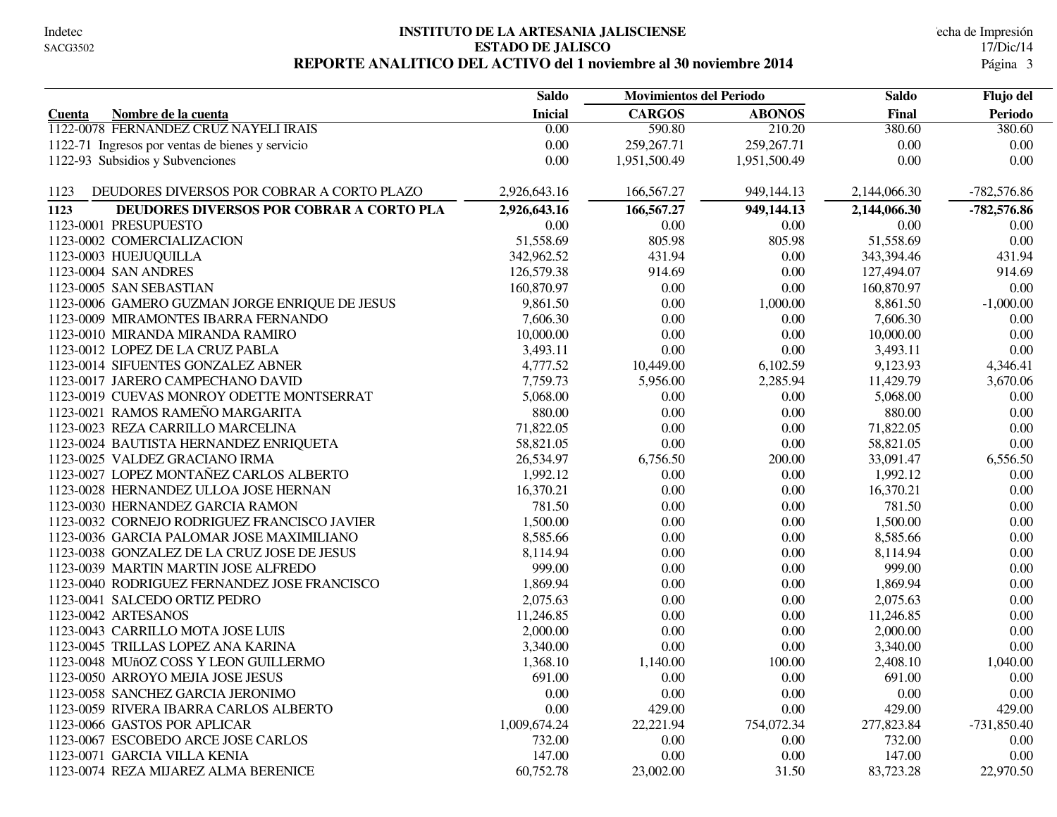#### **INSTITUTO DE LA ARTESANIA JALISCIENSE** Indetec Fecha de Impresión **ESTADO DE JALISCO** 17/Dic/14 REPORTE ANALITICO DEL ACTIVO del 1 noviembre al 30 noviembre 2014

|                                                    | <b>Saldo</b>   | <b>Movimientos del Periodo</b> |               | <b>Saldo</b> |                |
|----------------------------------------------------|----------------|--------------------------------|---------------|--------------|----------------|
| Nombre de la cuenta<br>Cuenta                      | <b>Inicial</b> | <b>CARGOS</b>                  | <b>ABONOS</b> | Final        | <b>Periodo</b> |
| 1122-0078 FERNANDEZ CRUZ NAYELI IRAIS              | 0.00           | 590.80                         | 210.20        | 380.60       | 380.60         |
| 1122-71 Ingresos por ventas de bienes y servicio   | 0.00           | 259, 267.71                    | 259, 267. 71  | 0.00         | 0.00           |
| 1122-93 Subsidios y Subvenciones                   | $0.00\,$       | 1,951,500.49                   | 1,951,500.49  | 0.00         | 0.00           |
| DEUDORES DIVERSOS POR COBRAR A CORTO PLAZO<br>1123 | 2,926,643.16   | 166,567.27                     | 949,144.13    | 2,144,066.30 | $-782,576.86$  |
| 1123<br>DEUDORES DIVERSOS POR COBRAR A CORTO PLA   | 2,926,643.16   | 166,567.27                     | 949,144.13    | 2,144,066.30 | $-782,576.86$  |
| 1123-0001 PRESUPUESTO                              | 0.00           | 0.00                           | 0.00          | 0.00         | 0.00           |
| 1123-0002 COMERCIALIZACION                         | 51,558.69      | 805.98                         | 805.98        | 51,558.69    | 0.00           |
| 1123-0003 HUEJUQUILLA                              | 342,962.52     | 431.94                         | 0.00          | 343,394.46   | 431.94         |
| 1123-0004 SAN ANDRES                               | 126,579.38     | 914.69                         | 0.00          | 127,494.07   | 914.69         |
| 1123-0005 SAN SEBASTIAN                            | 160,870.97     | 0.00                           | 0.00          | 160,870.97   | 0.00           |
| 1123-0006 GAMERO GUZMAN JORGE ENRIQUE DE JESUS     | 9,861.50       | 0.00                           | 1,000.00      | 8,861.50     | $-1,000.00$    |
| 1123-0009 MIRAMONTES IBARRA FERNANDO               | 7,606.30       | 0.00                           | 0.00          | 7,606.30     | 0.00           |
| 1123-0010 MIRANDA MIRANDA RAMIRO                   | 10,000.00      | 0.00                           | 0.00          | 10,000.00    | $0.00\,$       |
| 1123-0012 LOPEZ DE LA CRUZ PABLA                   | 3,493.11       | 0.00                           | 0.00          | 3,493.11     | 0.00           |
| 1123-0014 SIFUENTES GONZALEZ ABNER                 | 4,777.52       | 10,449.00                      | 6,102.59      | 9,123.93     | 4,346.41       |
| 1123-0017 JARERO CAMPECHANO DAVID                  | 7,759.73       | 5,956.00                       | 2,285.94      | 11,429.79    | 3,670.06       |
| 1123-0019 CUEVAS MONROY ODETTE MONTSERRAT          | 5,068.00       | 0.00                           | 0.00          | 5,068.00     | 0.00           |
| 1123-0021 RAMOS RAMEÑO MARGARITA                   | 880.00         | 0.00                           | 0.00          | 880.00       | 0.00           |
| 1123-0023 REZA CARRILLO MARCELINA                  | 71,822.05      | 0.00                           | $0.00\,$      | 71,822.05    | 0.00           |
| 1123-0024 BAUTISTA HERNANDEZ ENRIQUETA             | 58,821.05      | 0.00                           | $0.00\,$      | 58,821.05    | 0.00           |
| 1123-0025 VALDEZ GRACIANO IRMA                     | 26,534.97      | 6,756.50                       | 200.00        | 33,091.47    | 6,556.50       |
| 1123-0027 LOPEZ MONTAÑEZ CARLOS ALBERTO            | 1,992.12       | 0.00                           | 0.00          | 1,992.12     | 0.00           |
| 1123-0028 HERNANDEZ ULLOA JOSE HERNAN              | 16,370.21      | 0.00                           | $0.00\,$      | 16,370.21    | $0.00\,$       |
| 1123-0030 HERNANDEZ GARCIA RAMON                   | 781.50         | 0.00                           | $0.00\,$      | 781.50       | 0.00           |
| 1123-0032 CORNEJO RODRIGUEZ FRANCISCO JAVIER       | 1,500.00       | 0.00                           | 0.00          | 1,500.00     | 0.00           |
| 1123-0036 GARCIA PALOMAR JOSE MAXIMILIANO          | 8,585.66       | 0.00                           | 0.00          | 8,585.66     | 0.00           |
| 1123-0038 GONZALEZ DE LA CRUZ JOSE DE JESUS        | 8,114.94       | 0.00                           | 0.00          | 8,114.94     | 0.00           |
| 1123-0039 MARTIN MARTIN JOSE ALFREDO               | 999.00         | 0.00                           | 0.00          | 999.00       | 0.00           |
| 1123-0040 RODRIGUEZ FERNANDEZ JOSE FRANCISCO       | 1,869.94       | 0.00                           | 0.00          | 1,869.94     | 0.00           |
| 1123-0041 SALCEDO ORTIZ PEDRO                      | 2,075.63       | 0.00                           | 0.00          | 2,075.63     | 0.00           |
| 1123-0042 ARTESANOS                                | 11,246.85      | 0.00                           | 0.00          | 11,246.85    | 0.00           |
| 1123-0043 CARRILLO MOTA JOSE LUIS                  | 2,000.00       | 0.00                           | 0.00          | 2,000.00     | 0.00           |
| 1123-0045 TRILLAS LOPEZ ANA KARINA                 | 3,340.00       | $0.00\,$                       | 0.00          | 3,340.00     | $0.00\,$       |
| 1123-0048 MUñOZ COSS Y LEON GUILLERMO              | 1,368.10       | 1,140.00                       | 100.00        | 2,408.10     | 1,040.00       |
| 1123-0050 ARROYO MEJIA JOSE JESUS                  | 691.00         | $0.00\,$                       | 0.00          | 691.00       | 0.00           |
| 1123-0058 SANCHEZ GARCIA JERONIMO                  | 0.00           | 0.00                           | 0.00          | 0.00         | 0.00           |
| 1123-0059 RIVERA IBARRA CARLOS ALBERTO             | 0.00           | 429.00                         | 0.00          | 429.00       | 429.00         |
| 1123-0066 GASTOS POR APLICAR                       | 1,009,674.24   | 22,221.94                      | 754,072.34    | 277,823.84   | $-731,850.40$  |
| 1123-0067 ESCOBEDO ARCE JOSE CARLOS                | 732.00         | 0.00                           | 0.00          | 732.00       | 0.00           |
| 1123-0071 GARCIA VILLA KENIA                       | 147.00         | 0.00                           | 0.00          | 147.00       | 0.00           |
| 1123-0074 REZA MIJAREZ ALMA BERENICE               | 60,752.78      | 23,002.00                      | 31.50         | 83,723.28    | 22,970.50      |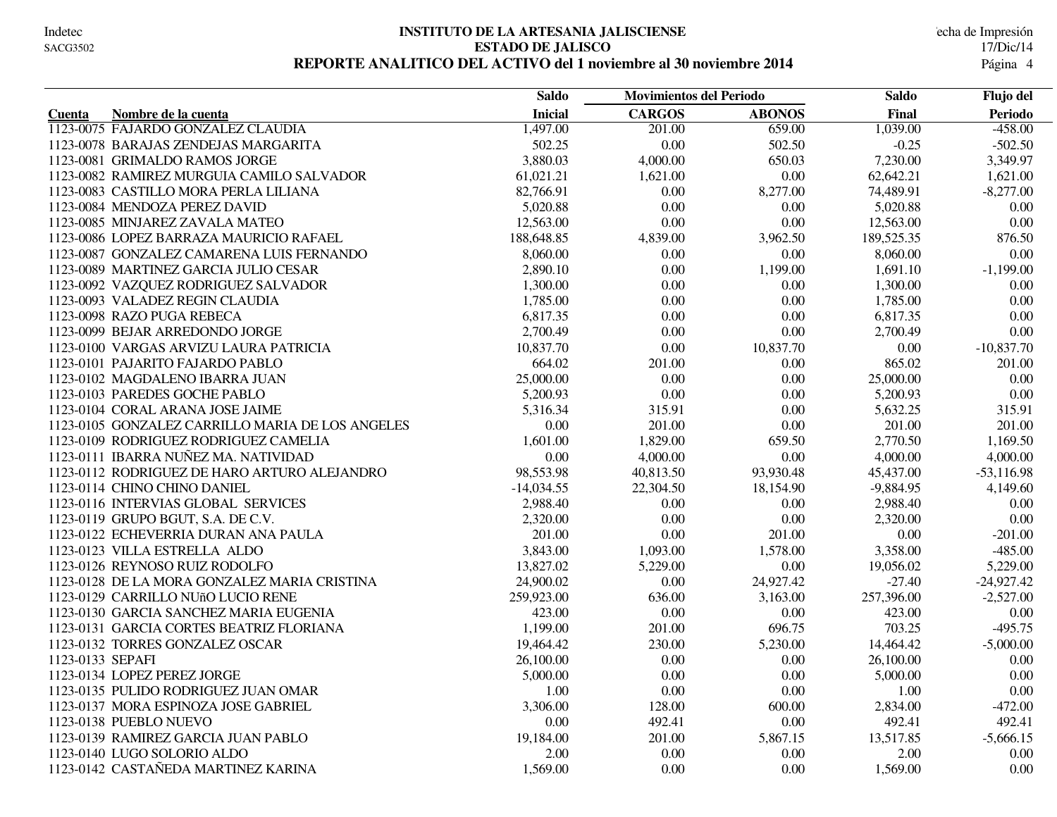#### **INSTITUTO DE LA ARTESANIA JALISCIENSE** Indetec Fecha de Impresión **ESTADO DE JALISCO** 17/Dic/14 REPORTE ANALITICO DEL ACTIVO del 1 noviembre al 30 noviembre 2014

|                                                  | <b>Saldo</b>   | <b>Movimientos del Periodo</b> |               | Saldo       | Flujo del    |
|--------------------------------------------------|----------------|--------------------------------|---------------|-------------|--------------|
| Nombre de la cuenta<br><b>Cuenta</b>             | <b>Inicial</b> | <b>CARGOS</b>                  | <b>ABONOS</b> | Final       | Periodo      |
| 1123-0075 FAJARDO GONZALEZ CLAUDIA               | 1,497.00       | 201.00                         | 659.00        | 1,039.00    | $-458.00$    |
| 1123-0078 BARAJAS ZENDEJAS MARGARITA             | 502.25         | 0.00                           | 502.50        | $-0.25$     | $-502.50$    |
| 1123-0081 GRIMALDO RAMOS JORGE                   | 3,880.03       | 4,000.00                       | 650.03        | 7,230.00    | 3,349.97     |
| 1123-0082 RAMIREZ MURGUIA CAMILO SALVADOR        | 61,021.21      | 1,621.00                       | 0.00          | 62,642.21   | 1,621.00     |
| 1123-0083 CASTILLO MORA PERLA LILIANA            | 82,766.91      | 0.00                           | 8,277.00      | 74,489.91   | $-8,277.00$  |
| 1123-0084 MENDOZA PEREZ DAVID                    | 5,020.88       | 0.00                           | 0.00          | 5,020.88    | $0.00\,$     |
| 1123-0085 MINJAREZ ZAVALA MATEO                  | 12,563.00      | 0.00                           | 0.00          | 12,563.00   | 0.00         |
| 1123-0086 LOPEZ BARRAZA MAURICIO RAFAEL          | 188,648.85     | 4,839.00                       | 3,962.50      | 189,525.35  | 876.50       |
| 1123-0087 GONZALEZ CAMARENA LUIS FERNANDO        | 8,060.00       | 0.00                           | 0.00          | 8,060.00    | 0.00         |
| 1123-0089 MARTINEZ GARCIA JULIO CESAR            | 2,890.10       | 0.00                           | 1,199.00      | 1,691.10    | $-1,199.00$  |
| 1123-0092 VAZQUEZ RODRIGUEZ SALVADOR             | 1,300.00       | 0.00                           | 0.00          | 1,300.00    | 0.00         |
| 1123-0093 VALADEZ REGIN CLAUDIA                  | 1,785.00       | 0.00                           | 0.00          | 1,785.00    | 0.00         |
| 1123-0098 RAZO PUGA REBECA                       | 6,817.35       | 0.00                           | $0.00\,$      | 6,817.35    | $0.00\,$     |
| 1123-0099 BEJAR ARREDONDO JORGE                  | 2,700.49       | 0.00                           | 0.00          | 2,700.49    | 0.00         |
| 1123-0100 VARGAS ARVIZU LAURA PATRICIA           | 10,837.70      | 0.00                           | 10,837.70     | 0.00        | $-10,837.70$ |
| 1123-0101 PAJARITO FAJARDO PABLO                 | 664.02         | 201.00                         | 0.00          | 865.02      | 201.00       |
| 1123-0102 MAGDALENO IBARRA JUAN                  | 25,000.00      | 0.00                           | 0.00          | 25,000.00   | $0.00\,$     |
| 1123-0103 PAREDES GOCHE PABLO                    | 5,200.93       | 0.00                           | 0.00          | 5,200.93    | 0.00         |
| 1123-0104 CORAL ARANA JOSE JAIME                 | 5,316.34       | 315.91                         | 0.00          | 5,632.25    | 315.91       |
| 1123-0105 GONZALEZ CARRILLO MARIA DE LOS ANGELES | $0.00\,$       | 201.00                         | 0.00          | 201.00      | 201.00       |
| 1123-0109 RODRIGUEZ RODRIGUEZ CAMELIA            | 1,601.00       | 1,829.00                       | 659.50        | 2,770.50    | 1,169.50     |
| 1123-0111 IBARRA NUÑEZ MA. NATIVIDAD             | 0.00           | 4,000.00                       | 0.00          | 4,000.00    | 4,000.00     |
| 1123-0112 RODRIGUEZ DE HARO ARTURO ALEJANDRO     | 98,553.98      | 40,813.50                      | 93,930.48     | 45,437.00   | $-53,116.98$ |
| 1123-0114 CHINO CHINO DANIEL                     | $-14,034.55$   | 22,304.50                      | 18,154.90     | $-9,884.95$ | 4,149.60     |
| 1123-0116 INTERVIAS GLOBAL SERVICES              | 2,988.40       | 0.00                           | 0.00          | 2,988.40    | 0.00         |
| 1123-0119 GRUPO BGUT, S.A. DE C.V.               | 2,320.00       | 0.00                           | 0.00          | 2,320.00    | $0.00\,$     |
| 1123-0122 ECHEVERRIA DURAN ANA PAULA             | 201.00         | 0.00                           | 201.00        | $0.00\,$    | $-201.00$    |
| 1123-0123 VILLA ESTRELLA ALDO                    | 3,843.00       | 1,093.00                       | 1,578.00      | 3,358.00    | $-485.00$    |
| 1123-0126 REYNOSO RUIZ RODOLFO                   | 13,827.02      | 5,229.00                       | 0.00          | 19,056.02   | 5,229.00     |
| 1123-0128 DE LA MORA GONZALEZ MARIA CRISTINA     | 24,900.02      | 0.00                           | 24,927.42     | $-27.40$    | $-24,927.42$ |
| 1123-0129 CARRILLO NUñO LUCIO RENE               | 259,923.00     | 636.00                         | 3,163.00      | 257,396.00  | $-2,527.00$  |
| 1123-0130 GARCIA SANCHEZ MARIA EUGENIA           | 423.00         | 0.00                           | 0.00          | 423.00      | 0.00         |
| 1123-0131 GARCIA CORTES BEATRIZ FLORIANA         | 1,199.00       | 201.00                         | 696.75        | 703.25      | $-495.75$    |
| 1123-0132 TORRES GONZALEZ OSCAR                  | 19,464.42      | 230.00                         | 5,230.00      | 14,464.42   | $-5,000.00$  |
| 1123-0133 SEPAFI                                 | 26,100.00      | 0.00                           | 0.00          | 26,100.00   | 0.00         |
| 1123-0134 LOPEZ PEREZ JORGE                      | 5,000.00       | 0.00                           | 0.00          | 5,000.00    | $0.00\,$     |
| 1123-0135 PULIDO RODRIGUEZ JUAN OMAR             | 1.00           | 0.00                           | 0.00          | 1.00        | 0.00         |
| 1123-0137 MORA ESPINOZA JOSE GABRIEL             | 3,306.00       | 128.00                         | 600.00        | 2,834.00    | $-472.00$    |
| 1123-0138 PUEBLO NUEVO                           | 0.00           | 492.41                         | 0.00          | 492.41      | 492.41       |
| 1123-0139 RAMIREZ GARCIA JUAN PABLO              | 19,184.00      | 201.00                         | 5,867.15      | 13,517.85   | $-5,666.15$  |
| 1123-0140 LUGO SOLORIO ALDO                      | 2.00           | 0.00                           | 0.00          | 2.00        | 0.00         |
| 1123-0142 CASTAÑEDA MARTINEZ KARINA              | 1,569.00       | 0.00                           | 0.00          | 1,569.00    | 0.00         |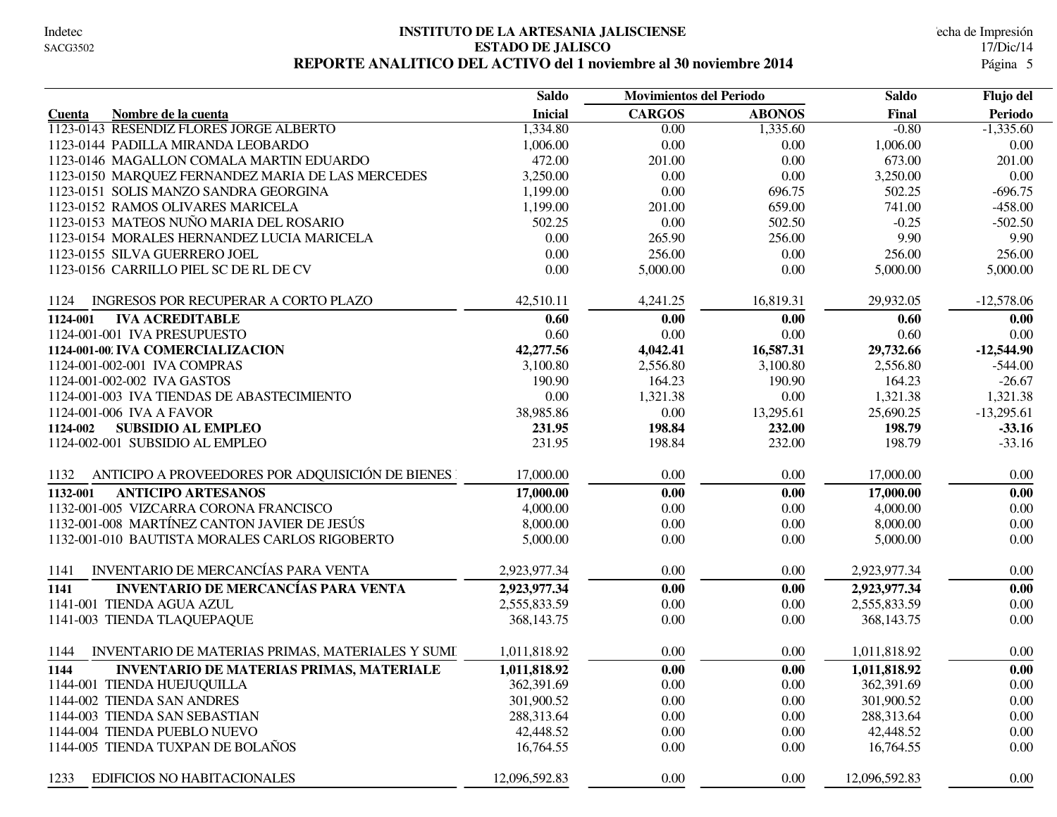#### **INSTITUTO DE LA ARTESANIA JALISCIENSE** Indetec Fecha de Impresión **ESTADO DE JALISCO** 17/Dic/14 REPORTE ANALITICO DEL ACTIVO del 1 noviembre al 30 noviembre 2014

|                                                          | <b>Saldo</b><br><b>Movimientos del Periodo</b> |               | <b>Saldo</b>  |               |              |  | Flujo del |
|----------------------------------------------------------|------------------------------------------------|---------------|---------------|---------------|--------------|--|-----------|
| Nombre de la cuenta<br>Cuenta                            | <b>Inicial</b>                                 | <b>CARGOS</b> | <b>ABONOS</b> | Final         | Periodo      |  |           |
| 1123-0143 RESENDIZ FLORES JORGE ALBERTO                  | 1,334.80                                       | 0.00          | 1,335.60      | $-0.80$       | $-1,335.60$  |  |           |
| 1123-0144 PADILLA MIRANDA LEOBARDO                       | 1,006.00                                       | 0.00          | 0.00          | 1,006.00      | 0.00         |  |           |
| 1123-0146 MAGALLON COMALA MARTIN EDUARDO                 | 472.00                                         | 201.00        | 0.00          | 673.00        | 201.00       |  |           |
| 1123-0150 MARQUEZ FERNANDEZ MARIA DE LAS MERCEDES        | 3,250.00                                       | 0.00          | 0.00          | 3,250.00      | 0.00         |  |           |
| 1123-0151 SOLIS MANZO SANDRA GEORGINA                    | 1,199.00                                       | 0.00          | 696.75        | 502.25        | $-696.75$    |  |           |
| 1123-0152 RAMOS OLIVARES MARICELA                        | 1,199.00                                       | 201.00        | 659.00        | 741.00        | $-458.00$    |  |           |
| 1123-0153 MATEOS NUÑO MARIA DEL ROSARIO                  | 502.25                                         | $0.00\,$      | 502.50        | $-0.25$       | $-502.50$    |  |           |
| 1123-0154 MORALES HERNANDEZ LUCIA MARICELA               | 0.00                                           | 265.90        | 256.00        | 9.90          | 9.90         |  |           |
| 1123-0155 SILVA GUERRERO JOEL                            | 0.00                                           | 256.00        | 0.00          | 256.00        | 256.00       |  |           |
| 1123-0156 CARRILLO PIEL SC DE RL DE CV                   | 0.00                                           | 5,000.00      | 0.00          | 5,000.00      | 5,000.00     |  |           |
| INGRESOS POR RECUPERAR A CORTO PLAZO<br>1124             | 42,510.11                                      | 4,241.25      | 16,819.31     | 29,932.05     | $-12,578.06$ |  |           |
| <b>IVA ACREDITABLE</b><br>1124-001                       | 0.60                                           | 0.00          | 0.00          | 0.60          | 0.00         |  |           |
| 1124-001-001 IVA PRESUPUESTO                             | 0.60                                           | $0.00\,$      | 0.00          | 0.60          | 0.00         |  |           |
| 1124-001-00 IVA COMERCIALIZACION                         | 42,277.56                                      | 4,042.41      | 16,587.31     | 29,732.66     | $-12,544.90$ |  |           |
| 1124-001-002-001 IVA COMPRAS                             | 3,100.80                                       | 2,556.80      | 3,100.80      | 2,556.80      | $-544.00$    |  |           |
| 1124-001-002-002 IVA GASTOS                              | 190.90                                         | 164.23        | 190.90        | 164.23        | $-26.67$     |  |           |
| 1124-001-003 IVA TIENDAS DE ABASTECIMIENTO               | 0.00                                           | 1,321.38      | 0.00          | 1,321.38      | 1,321.38     |  |           |
| 1124-001-006 IVA A FAVOR                                 | 38,985.86                                      | 0.00          | 13,295.61     | 25,690.25     | $-13,295.61$ |  |           |
| <b>SUBSIDIO AL EMPLEO</b><br>1124-002                    | 231.95                                         | 198.84        | 232.00        | 198.79        | $-33.16$     |  |           |
| 1124-002-001 SUBSIDIO AL EMPLEO                          | 231.95                                         | 198.84        | 232.00        | 198.79        | $-33.16$     |  |           |
| ANTICIPO A PROVEEDORES POR ADQUISICIÓN DE BIENES<br>1132 | 17,000.00                                      | 0.00          | 0.00          | 17,000.00     | 0.00         |  |           |
| <b>ANTICIPO ARTESANOS</b><br>1132-001                    | 17,000.00                                      | 0.00          | 0.00          | 17,000.00     | 0.00         |  |           |
| 1132-001-005 VIZCARRA CORONA FRANCISCO                   | 4,000.00                                       | 0.00          | 0.00          | 4,000.00      | 0.00         |  |           |
| 1132-001-008 MARTÍNEZ CANTON JAVIER DE JESÚS             | 8,000.00                                       | 0.00          | 0.00          | 8,000.00      | 0.00         |  |           |
| 1132-001-010 BAUTISTA MORALES CARLOS RIGOBERTO           | 5,000.00                                       | 0.00          | 0.00          | 5,000.00      | 0.00         |  |           |
| <b>INVENTARIO DE MERCANCÍAS PARA VENTA</b><br>1141       | 2,923,977.34                                   | $0.00\,$      | 0.00          | 2,923,977.34  | 0.00         |  |           |
| <b>INVENTARIO DE MERCANCÍAS PARA VENTA</b><br>1141       | 2,923,977.34                                   | 0.00          | 0.00          | 2,923,977.34  | 0.00         |  |           |
| 1141-001 TIENDA AGUA AZUL                                | 2,555,833.59                                   | 0.00          | 0.00          | 2,555,833.59  | 0.00         |  |           |
| 1141-003 TIENDA TLAQUEPAQUE                              | 368, 143.75                                    | 0.00          | 0.00          | 368, 143.75   | 0.00         |  |           |
| 1144<br>INVENTARIO DE MATERIAS PRIMAS, MATERIALES Y SUMI | 1,011,818.92                                   | 0.00          | 0.00          | 1,011,818.92  | 0.00         |  |           |
| 1144<br><b>INVENTARIO DE MATERIAS PRIMAS, MATERIALE</b>  | 1,011,818.92                                   | 0.00          | 0.00          | 1,011,818.92  | 0.00         |  |           |
| 1144-001 TIENDA HUEJUQUILLA                              | 362,391.69                                     | 0.00          | 0.00          | 362,391.69    | 0.00         |  |           |
| 1144-002 TIENDA SAN ANDRES                               | 301,900.52                                     | 0.00          | 0.00          | 301,900.52    | 0.00         |  |           |
| 1144-003 TIENDA SAN SEBASTIAN                            | 288,313.64                                     | 0.00          | 0.00          | 288,313.64    | 0.00         |  |           |
| 1144-004 TIENDA PUEBLO NUEVO                             | 42,448.52                                      | 0.00          | 0.00          | 42,448.52     | 0.00         |  |           |
| 1144-005 TIENDA TUXPAN DE BOLAÑOS                        | 16,764.55                                      | 0.00          | 0.00          | 16,764.55     | 0.00         |  |           |
| <b>EDIFICIOS NO HABITACIONALES</b><br>1233               | 12,096,592.83                                  | $0.00\,$      | 0.00          | 12,096,592.83 | $0.00\,$     |  |           |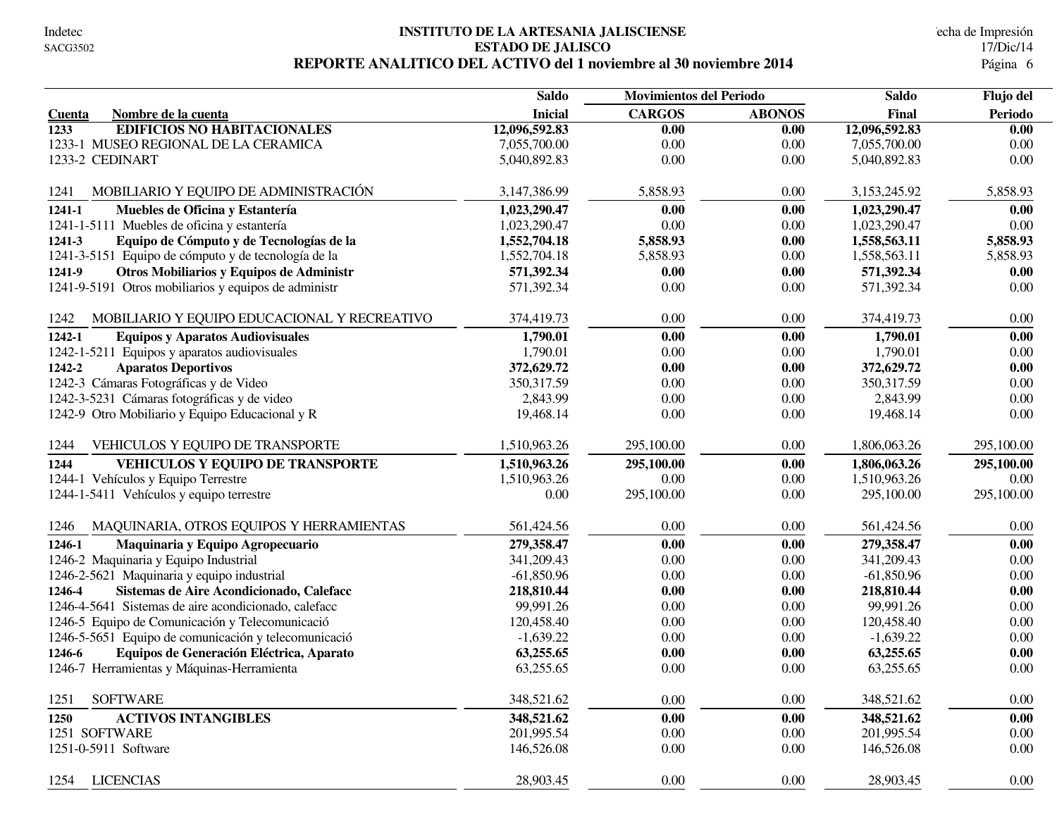#### **INSTITUTO DE LA ARTESANIA JALISCIENSE** Indetec Fecha de Impresión **ESTADO DE JALISCO** 17/Dic/14 REPORTE ANALITICO DEL ACTIVO del 1 noviembre al 30 noviembre 2014

|                                                      | <b>Saldo</b>   | <b>Movimientos del Periodo</b> |               | <b>Saldo</b>  | Flujo del  |
|------------------------------------------------------|----------------|--------------------------------|---------------|---------------|------------|
| Nombre de la cuenta<br>Cuenta                        | <b>Inicial</b> | <b>CARGOS</b>                  | <b>ABONOS</b> | Final         | Periodo    |
| <b>EDIFICIOS NO HABITACIONALES</b><br>1233           | 12,096,592.83  | 0.00                           | 0.00          | 12,096,592.83 | 0.00       |
| 1233-1 MUSEO REGIONAL DE LA CERAMICA                 | 7,055,700.00   | 0.00                           | 0.00          | 7,055,700.00  | 0.00       |
| 1233-2 CEDINART                                      | 5,040,892.83   | 0.00                           | 0.00          | 5,040,892.83  | 0.00       |
| MOBILIARIO Y EQUIPO DE ADMINISTRACIÓN<br>1241        | 3,147,386.99   | 5,858.93                       | 0.00          | 3,153,245.92  | 5,858.93   |
| Muebles de Oficina y Estantería<br>1241-1            | 1,023,290.47   | 0.00                           | 0.00          | 1,023,290.47  | 0.00       |
| 1241-1-5111 Muebles de oficina y estantería          | 1,023,290.47   | 0.00                           | 0.00          | 1,023,290.47  | $0.00\,$   |
| Equipo de Cómputo y de Tecnologías de la<br>1241-3   | 1,552,704.18   | 5,858.93                       | 0.00          | 1,558,563.11  | 5,858.93   |
| 1241-3-5151 Equipo de cómputo y de tecnología de la  | 1,552,704.18   | 5,858.93                       | 0.00          | 1,558,563.11  | 5,858.93   |
| Otros Mobiliarios y Equipos de Administr<br>1241-9   | 571,392.34     | 0.00                           | 0.00          | 571,392.34    | 0.00       |
| 1241-9-5191 Otros mobiliarios y equipos de administr | 571,392.34     | 0.00                           | 0.00          | 571,392.34    | $0.00\,$   |
| 1242<br>MOBILIARIO Y EQUIPO EDUCACIONAL Y RECREATIVO | 374,419.73     | 0.00                           | 0.00          | 374,419.73    | 0.00       |
| 1242-1<br><b>Equipos y Aparatos Audiovisuales</b>    | 1,790.01       | 0.00                           | 0.00          | 1,790.01      | 0.00       |
| 1242-1-5211 Equipos y aparatos audiovisuales         | 1,790.01       | 0.00                           | 0.00          | 1,790.01      | 0.00       |
| <b>Aparatos Deportivos</b><br>1242-2                 | 372,629.72     | 0.00                           | 0.00          | 372,629.72    | 0.00       |
| 1242-3 Cámaras Fotográficas y de Video               | 350, 317.59    | 0.00                           | 0.00          | 350, 317.59   | 0.00       |
| 1242-3-5231 Cámaras fotográficas y de video          | 2,843.99       | 0.00                           | 0.00          | 2,843.99      | 0.00       |
| 1242-9 Otro Mobiliario y Equipo Educacional y R      | 19,468.14      | 0.00                           | 0.00          | 19,468.14     | 0.00       |
| 1244<br>VEHICULOS Y EQUIPO DE TRANSPORTE             | 1,510,963.26   | 295,100.00                     | 0.00          | 1,806,063.26  | 295,100.00 |
| VEHICULOS Y EQUIPO DE TRANSPORTE<br>1244             | 1,510,963.26   | 295,100.00                     | 0.00          | 1,806,063.26  | 295,100.00 |
| 1244-1 Vehículos y Equipo Terrestre                  | 1,510,963.26   | 0.00                           | 0.00          | 1,510,963.26  | $0.00\,$   |
| 1244-1-5411 Vehículos y equipo terrestre             | 0.00           | 295,100.00                     | 0.00          | 295,100.00    | 295,100.00 |
| MAQUINARIA, OTROS EQUIPOS Y HERRAMIENTAS<br>1246     | 561,424.56     | 0.00                           | 0.00          | 561,424.56    | 0.00       |
| Maquinaria y Equipo Agropecuario<br>1246-1           | 279,358.47     | 0.00                           | 0.00          | 279,358.47    | 0.00       |
| 1246-2 Maquinaria y Equipo Industrial                | 341,209.43     | 0.00                           | 0.00          | 341,209.43    | 0.00       |
| 1246-2-5621 Maquinaria y equipo industrial           | $-61,850.96$   | 0.00                           | 0.00          | $-61,850.96$  | 0.00       |
| Sistemas de Aire Acondicionado, Calefacc<br>1246-4   | 218,810.44     | 0.00                           | 0.00          | 218,810.44    | 0.00       |
| 1246-4-5641 Sistemas de aire acondicionado, calefacc | 99,991.26      | 0.00                           | 0.00          | 99,991.26     | 0.00       |
| 1246-5 Equipo de Comunicación y Telecomunicació      | 120,458.40     | 0.00                           | 0.00          | 120,458.40    | 0.00       |
| 1246-5-5651 Equipo de comunicación y telecomunicació | $-1,639.22$    | 0.00                           | 0.00          | $-1,639.22$   | 0.00       |
| Equipos de Generación Eléctrica, Aparato<br>1246-6   | 63,255.65      | 0.00                           | 0.00          | 63,255.65     | 0.00       |
| 1246-7 Herramientas y Máquinas-Herramienta           | 63,255.65      | 0.00                           | 0.00          | 63,255.65     | 0.00       |
| <b>SOFTWARE</b><br>1251                              | 348,521.62     | 0.00                           | 0.00          | 348,521.62    | $0.00\,$   |
| <b>ACTIVOS INTANGIBLES</b><br>1250                   | 348,521.62     | 0.00                           | 0.00          | 348,521.62    | 0.00       |
| 1251 SOFTWARE                                        | 201,995.54     | 0.00                           | $0.00\,$      | 201,995.54    | 0.00       |
| 1251-0-5911 Software                                 | 146,526.08     | 0.00                           | 0.00          | 146,526.08    | $0.00\,$   |
| 1254 LICENCIAS                                       | 28,903.45      | 0.00                           | 0.00          | 28,903.45     | $0.00\,$   |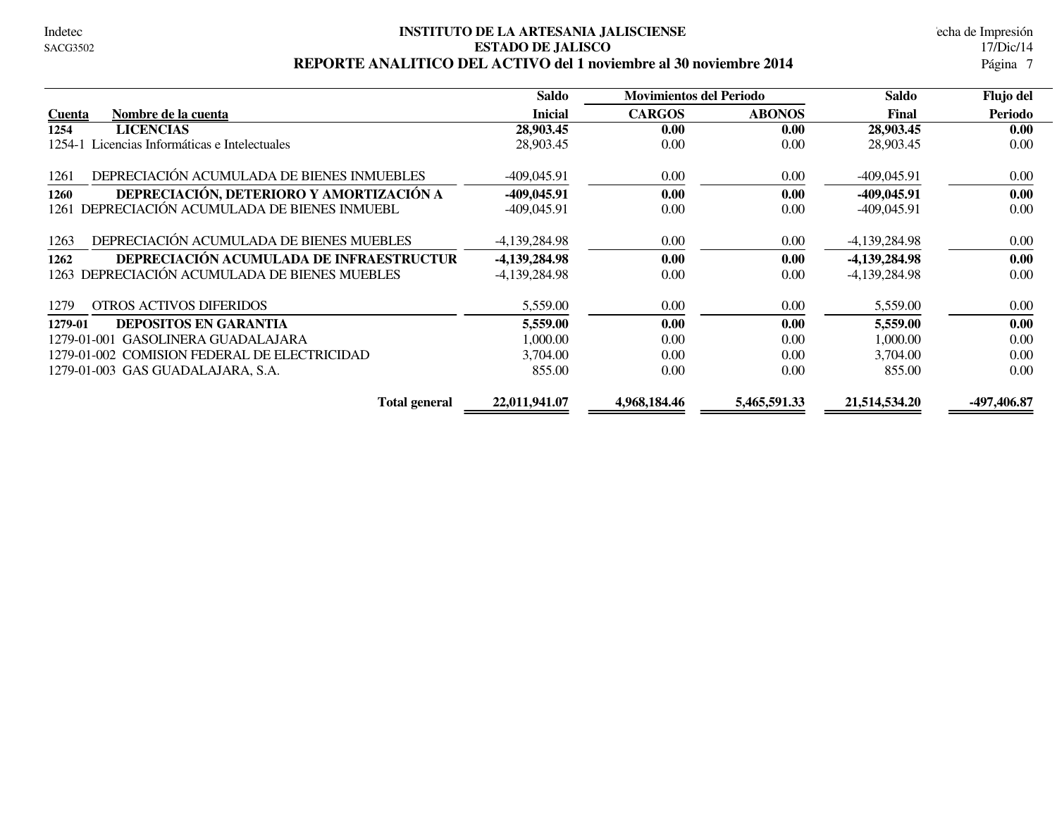#### **INSTITUTO DE LA ARTESANIA JALISCIENSE** Indetec Fecha de Impresión **ESTADO DE JALISCO** 17/Dic/14 REPORTE ANALITICO DEL ACTIVO del 1 noviembre al 30 noviembre 2014

|                                                    | Saldo           | <b>Movimientos del Periodo</b> |               | Saldo           | Flujo del   |  |
|----------------------------------------------------|-----------------|--------------------------------|---------------|-----------------|-------------|--|
| Nombre de la cuenta<br><b>Cuenta</b>               | <b>Inicial</b>  | <b>CARGOS</b>                  | <b>ABONOS</b> | Final           | Periodo     |  |
| <b>LICENCIAS</b><br>1254                           | 28,903.45       | 0.00                           | 0.00          | 28,903.45       | 0.00        |  |
| Licencias Informáticas e Intelectuales<br>1254-1   | 28,903.45       | 0.00                           | 0.00          | 28,903.45       | 0.00        |  |
| DEPRECIACIÓN ACUMULADA DE BIENES INMUEBLES<br>1261 | $-409,045.91$   | 0.00                           | 0.00          | $-409,045.91$   | 0.00        |  |
| DEPRECIACIÓN, DETERIORO Y AMORTIZACIÓN A<br>1260   | $-409,045.91$   | 0.00                           | 0.00          | $-409,045.91$   | 0.00        |  |
| DEPRECIACIÓN ACUMULADA DE BIENES INMUEBL<br>1261   | $-409,045.91$   | 0.00                           | 0.00          | $-409.045.91$   | 0.00        |  |
| DEPRECIACIÓN ACUMULADA DE BIENES MUEBLES<br>1263   | -4,139,284.98   | 0.00                           | 0.00          | $-4,139,284.98$ | 0.00        |  |
| DEPRECIACIÓN ACUMULADA DE INFRAESTRUCTUR<br>1262   | -4,139,284.98   | 0.00                           | 0.00          | -4,139,284.98   | 0.00        |  |
| 1263 DEPRECIACIÓN ACUMULADA DE BIENES MUEBLES      | $-4,139,284.98$ | 0.00                           | 0.00          | $-4,139,284.98$ | 0.00        |  |
| <b>OTROS ACTIVOS DIFERIDOS</b><br>1279             | 5,559.00        | 0.00                           | 0.00          | 5,559.00        | 0.00        |  |
| <b>DEPOSITOS EN GARANTIA</b><br>1279-01            | 5,559.00        | 0.00                           | 0.00          | 5,559.00        | 0.00        |  |
| <b>GASOLINERA GUADALAJARA</b><br>1279-01-001       | 1,000.00        | 0.00                           | 0.00          | 1,000.00        | 0.00        |  |
| 1279-01-002 COMISION FEDERAL DE ELECTRICIDAD       | 3,704.00        | 0.00                           | 0.00          | 3,704.00        | 0.00        |  |
| 1279-01-003 GAS GUADALAJARA, S.A.                  | 855.00          | 0.00                           | 0.00          | 855.00          | 0.00        |  |
| <b>Total general</b>                               | 22.011.941.07   | 4,968,184.46                   | 5,465,591.33  | 21,514,534.20   | -497,406.87 |  |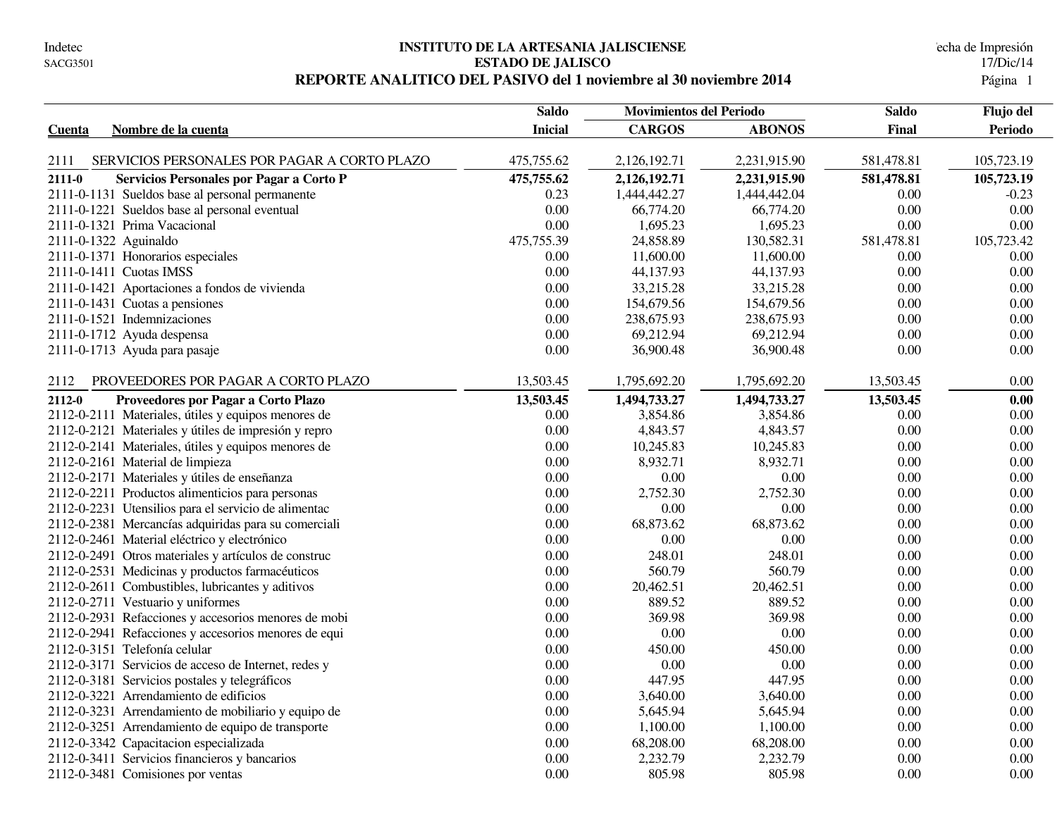#### **INSTITUTO DE LA ARTESANIA JALISCIENSE** echa de Impresión **ESTADO DE JALISCO** 17/Dic/14 **REPORTE ANALITICO DEL PASIVO del 1 noviembre al 30 noviembre 2014** 1

|                                                      | <b>Saldo</b>   | <b>Movimientos del Periodo</b> |               | <b>Saldo</b> | Flujo del  |  |
|------------------------------------------------------|----------------|--------------------------------|---------------|--------------|------------|--|
| Nombre de la cuenta<br><b>Cuenta</b>                 | <b>Inicial</b> | <b>CARGOS</b>                  | <b>ABONOS</b> | Final        | Periodo    |  |
|                                                      |                |                                |               |              |            |  |
| SERVICIOS PERSONALES POR PAGAR A CORTO PLAZO<br>2111 | 475,755.62     | 2,126,192.71                   | 2,231,915.90  | 581,478.81   | 105,723.19 |  |
| 2111-0<br>Servicios Personales por Pagar a Corto P   | 475,755.62     | 2,126,192.71                   | 2,231,915.90  | 581,478.81   | 105,723.19 |  |
| 2111-0-1131 Sueldos base al personal permanente      | 0.23           | 1,444,442.27                   | 1,444,442.04  | 0.00         | $-0.23$    |  |
| 2111-0-1221 Sueldos base al personal eventual        | 0.00           | 66,774.20                      | 66,774.20     | 0.00         | 0.00       |  |
| 2111-0-1321 Prima Vacacional                         | 0.00           | 1,695.23                       | 1,695.23      | 0.00         | 0.00       |  |
| 2111-0-1322 Aguinaldo                                | 475,755.39     | 24,858.89                      | 130,582.31    | 581,478.81   | 105,723.42 |  |
| 2111-0-1371 Honorarios especiales                    | 0.00           | 11,600.00                      | 11,600.00     | 0.00         | 0.00       |  |
| 2111-0-1411 Cuotas IMSS                              | 0.00           | 44,137.93                      | 44,137.93     | 0.00         | $0.00\,$   |  |
| 2111-0-1421 Aportaciones a fondos de vivienda        | 0.00           | 33,215.28                      | 33,215.28     | 0.00         | 0.00       |  |
| 2111-0-1431 Cuotas a pensiones                       | 0.00           | 154,679.56                     | 154,679.56    | 0.00         | 0.00       |  |
| 2111-0-1521 Indemnizaciones                          | 0.00           | 238,675.93                     | 238,675.93    | 0.00         | 0.00       |  |
| 2111-0-1712 Ayuda despensa                           | 0.00           | 69,212.94                      | 69,212.94     | 0.00         | 0.00       |  |
| 2111-0-1713 Ayuda para pasaje                        | 0.00           | 36,900.48                      | 36,900.48     | 0.00         | 0.00       |  |
| PROVEEDORES POR PAGAR A CORTO PLAZO<br>2112          | 13,503.45      | 1,795,692.20                   | 1,795,692.20  | 13,503.45    | 0.00       |  |
| 2112-0<br>Proveedores por Pagar a Corto Plazo        | 13,503.45      | 1,494,733.27                   | 1,494,733.27  | 13,503.45    | 0.00       |  |
| 2112-0-2111 Materiales, útiles y equipos menores de  | 0.00           | 3,854.86                       | 3,854.86      | 0.00         | 0.00       |  |
| 2112-0-2121 Materiales y útiles de impresión y repro | 0.00           | 4,843.57                       | 4,843.57      | 0.00         | 0.00       |  |
| 2112-0-2141 Materiales, útiles y equipos menores de  | $0.00\,$       | 10,245.83                      | 10,245.83     | 0.00         | 0.00       |  |
| 2112-0-2161 Material de limpieza                     | 0.00           | 8,932.71                       | 8,932.71      | 0.00         | 0.00       |  |
| 2112-0-2171 Materiales y útiles de enseñanza         | 0.00           | $0.00\,$                       | 0.00          | 0.00         | 0.00       |  |
| 2112-0-2211 Productos alimenticios para personas     | 0.00           | 2,752.30                       | 2,752.30      | 0.00         | 0.00       |  |
| 2112-0-2231 Utensilios para el servicio de alimentac | 0.00           | $0.00\,$                       | 0.00          | 0.00         | 0.00       |  |
| 2112-0-2381 Mercancías adquiridas para su comerciali | 0.00           | 68,873.62                      | 68,873.62     | 0.00         | 0.00       |  |
| 2112-0-2461 Material eléctrico y electrónico         | 0.00           | $0.00\,$                       | 0.00          | 0.00         | 0.00       |  |
| 2112-0-2491 Otros materiales y artículos de construc | 0.00           | 248.01                         | 248.01        | 0.00         | 0.00       |  |
| 2112-0-2531 Medicinas y productos farmacéuticos      | 0.00           | 560.79                         | 560.79        | 0.00         | 0.00       |  |
| 2112-0-2611 Combustibles, lubricantes y aditivos     | 0.00           | 20,462.51                      | 20,462.51     | 0.00         | 0.00       |  |
| 2112-0-2711 Vestuario y uniformes                    | 0.00           | 889.52                         | 889.52        | $0.00\,$     | 0.00       |  |
| 2112-0-2931 Refacciones y accesorios menores de mobi | 0.00           | 369.98                         | 369.98        | 0.00         | 0.00       |  |
| 2112-0-2941 Refacciones y accesorios menores de equi | 0.00           | $0.00\,$                       | $0.00\,$      | 0.00         | 0.00       |  |
| 2112-0-3151 Telefonía celular                        | 0.00           | 450.00                         | 450.00        | 0.00         | 0.00       |  |
| 2112-0-3171 Servicios de acceso de Internet, redes y | 0.00           | 0.00                           | 0.00          | 0.00         | 0.00       |  |
| 2112-0-3181 Servicios postales y telegráficos        | 0.00           | 447.95                         | 447.95        | 0.00         | 0.00       |  |
| 2112-0-3221 Arrendamiento de edificios               | 0.00           | 3,640.00                       | 3,640.00      | 0.00         | 0.00       |  |
| 2112-0-3231 Arrendamiento de mobiliario y equipo de  | 0.00           | 5,645.94                       | 5,645.94      | 0.00         | 0.00       |  |
| 2112-0-3251 Arrendamiento de equipo de transporte    | 0.00           | 1,100.00                       | 1,100.00      | 0.00         | 0.00       |  |
| 2112-0-3342 Capacitacion especializada               | 0.00           | 68,208.00                      | 68,208.00     | 0.00         | 0.00       |  |
| 2112-0-3411 Servicios financieros y bancarios        | 0.00           | 2,232.79                       | 2,232.79      | 0.00         | 0.00       |  |
| 2112-0-3481 Comisiones por ventas                    | 0.00           | 805.98                         | 805.98        | 0.00         | 0.00       |  |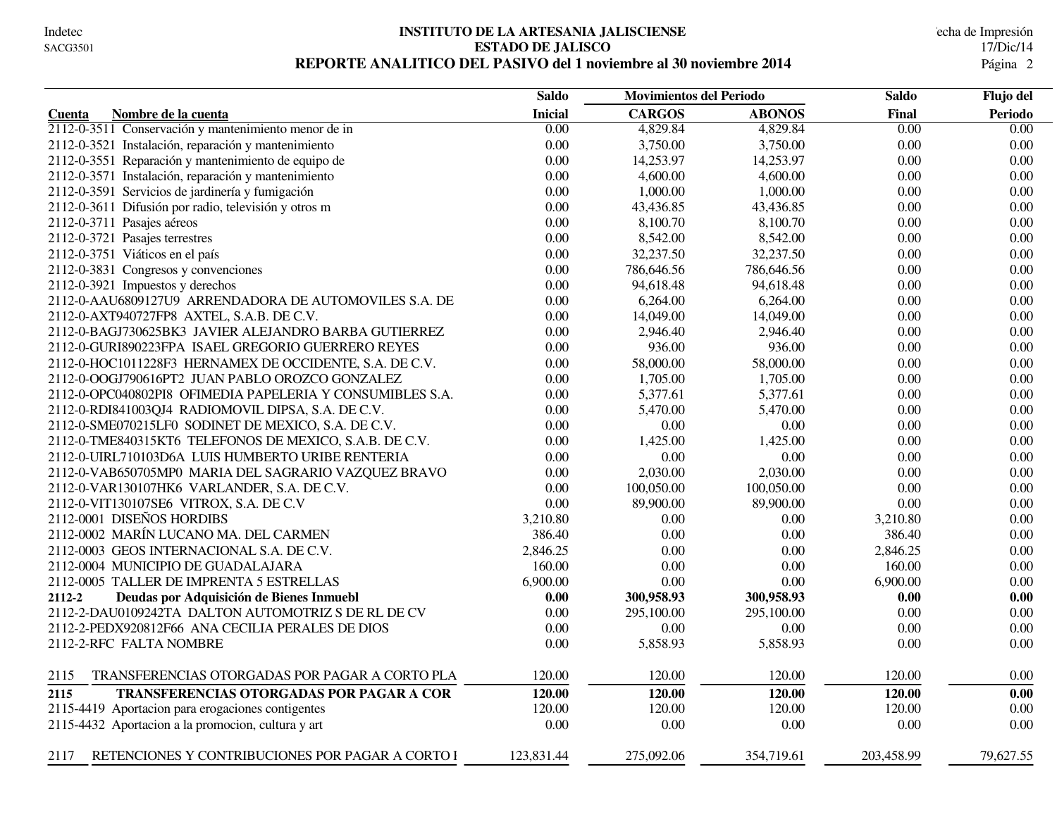#### **INSTITUTO DE LA ARTESANIA JALISCIENSE** echa de Impresión **ESTADO DE JALISCO** 17/Dic/14 REPORTE ANALITICO DEL PASIVO del 1 noviembre al 30 noviembre 2014

|                                                           | <b>Saldo</b>   | <b>Movimientos del Periodo</b> |               | <b>Saldo</b> | Flujo del |
|-----------------------------------------------------------|----------------|--------------------------------|---------------|--------------|-----------|
| Nombre de la cuenta<br>Cuenta                             | <b>Inicial</b> | <b>CARGOS</b>                  | <b>ABONOS</b> | <b>Final</b> | Periodo   |
| 2112-0-3511 Conservación y mantenimiento menor de in      | 0.00           | 4,829.84                       | 4,829.84      | 0.00         | 0.00      |
| 2112-0-3521 Instalación, reparación y mantenimiento       | 0.00           | 3,750.00                       | 3,750.00      | 0.00         | 0.00      |
| 2112-0-3551 Reparación y mantenimiento de equipo de       | 0.00           | 14,253.97                      | 14,253.97     | 0.00         | 0.00      |
| 2112-0-3571 Instalación, reparación y mantenimiento       | 0.00           | 4,600.00                       | 4,600.00      | 0.00         | 0.00      |
| 2112-0-3591 Servicios de jardinería y fumigación          | 0.00           | 1,000.00                       | 1,000.00      | 0.00         | 0.00      |
| 2112-0-3611 Difusión por radio, televisión y otros m      | 0.00           | 43,436.85                      | 43,436.85     | 0.00         | 0.00      |
| 2112-0-3711 Pasajes aéreos                                | 0.00           | 8,100.70                       | 8,100.70      | 0.00         | 0.00      |
| 2112-0-3721 Pasajes terrestres                            | 0.00           | 8,542.00                       | 8,542.00      | 0.00         | 0.00      |
| 2112-0-3751 Viáticos en el país                           | 0.00           | 32,237.50                      | 32,237.50     | 0.00         | 0.00      |
| 2112-0-3831 Congresos y convenciones                      | 0.00           | 786,646.56                     | 786,646.56    | 0.00         | 0.00      |
| 2112-0-3921 Impuestos y derechos                          | 0.00           | 94,618.48                      | 94,618.48     | 0.00         | 0.00      |
| 2112-0-AAU6809127U9 ARRENDADORA DE AUTOMOVILES S.A. DE    | 0.00           | 6,264.00                       | 6,264.00      | 0.00         | 0.00      |
| 2112-0-AXT940727FP8 AXTEL, S.A.B. DE C.V.                 | 0.00           | 14,049.00                      | 14,049.00     | 0.00         | 0.00      |
| 2112-0-BAGJ730625BK3 JAVIER ALEJANDRO BARBA GUTIERREZ     | 0.00           | 2,946.40                       | 2,946.40      | 0.00         | 0.00      |
| 2112-0-GURI890223FPA ISAEL GREGORIO GUERRERO REYES        | 0.00           | 936.00                         | 936.00        | 0.00         | $0.00\,$  |
| 2112-0-HOC1011228F3 HERNAMEX DE OCCIDENTE, S.A. DE C.V.   | 0.00           | 58,000.00                      | 58,000.00     | 0.00         | 0.00      |
| 2112-0-OOGJ790616PT2 JUAN PABLO OROZCO GONZALEZ           | 0.00           | 1,705.00                       | 1,705.00      | 0.00         | 0.00      |
| 2112-0-OPC040802PI8 OFIMEDIA PAPELERIA Y CONSUMIBLES S.A. | 0.00           | 5,377.61                       | 5,377.61      | 0.00         | 0.00      |
| 2112-0-RDI841003QJ4 RADIOMOVIL DIPSA, S.A. DE C.V.        | 0.00           | 5,470.00                       | 5,470.00      | 0.00         | 0.00      |
| 2112-0-SME070215LF0 SODINET DE MEXICO, S.A. DE C.V.       | 0.00           | 0.00                           | 0.00          | 0.00         | $0.00\,$  |
| 2112-0-TME840315KT6 TELEFONOS DE MEXICO, S.A.B. DE C.V.   | 0.00           | 1,425.00                       | 1,425.00      | 0.00         | 0.00      |
| 2112-0-UIRL710103D6A LUIS HUMBERTO URIBE RENTERIA         | 0.00           | 0.00                           | 0.00          | 0.00         | 0.00      |
| 2112-0-VAB650705MP0 MARIA DEL SAGRARIO VAZQUEZ BRAVO      | 0.00           | 2,030.00                       | 2,030.00      | 0.00         | 0.00      |
| 2112-0-VAR130107HK6 VARLANDER, S.A. DE C.V.               | 0.00           | 100,050.00                     | 100,050.00    | 0.00         | 0.00      |
| 2112-0-VIT130107SE6 VITROX, S.A. DE C.V                   | 0.00           | 89,900.00                      | 89,900.00     | 0.00         | 0.00      |
| 2112-0001 DISEÑOS HORDIBS                                 | 3,210.80       | 0.00                           | 0.00          | 3,210.80     | 0.00      |
| 2112-0002 MARÍN LUCANO MA. DEL CARMEN                     | 386.40         | 0.00                           | 0.00          | 386.40       | 0.00      |
| 2112-0003 GEOS INTERNACIONAL S.A. DE C.V.                 | 2,846.25       | 0.00                           | 0.00          | 2,846.25     | 0.00      |
| 2112-0004 MUNICIPIO DE GUADALAJARA                        | 160.00         | 0.00                           | 0.00          | 160.00       | 0.00      |
| 2112-0005 TALLER DE IMPRENTA 5 ESTRELLAS                  | 6,900.00       | 0.00                           | 0.00          | 6,900.00     | 0.00      |
| 2112-2<br>Deudas por Adquisición de Bienes Inmuebl        | 0.00           | 300,958.93                     | 300,958.93    | 0.00         | 0.00      |
| 2112-2-DAU0109242TA DALTON AUTOMOTRIZ S DE RL DE CV       | 0.00           | 295,100.00                     | 295,100.00    | 0.00         | 0.00      |
| 2112-2-PEDX920812F66 ANA CECILIA PERALES DE DIOS          | 0.00           | 0.00                           | 0.00          | 0.00         | 0.00      |
| 2112-2-RFC FALTA NOMBRE                                   | 0.00           | 5,858.93                       | 5,858.93      | 0.00         | 0.00      |
|                                                           |                |                                |               |              |           |
| TRANSFERENCIAS OTORGADAS POR PAGAR A CORTO PLA<br>2115    | 120.00         | 120.00                         | 120.00        | 120.00       | 0.00      |
| 2115<br><b>TRANSFERENCIAS OTORGADAS POR PAGAR A COR</b>   | 120.00         | 120.00                         | 120.00        | 120.00       | 0.00      |
| 2115-4419 Aportacion para erogaciones contigentes         | 120.00         | 120.00                         | 120.00        | 120.00       | 0.00      |
| 2115-4432 Aportacion a la promocion, cultura y art        | 0.00           | 0.00                           | 0.00          | 0.00         | 0.00      |
| RETENCIONES Y CONTRIBUCIONES POR PAGAR A CORTO I<br>2117  | 123,831.44     | 275,092.06                     | 354,719.61    | 203,458.99   | 79.627.55 |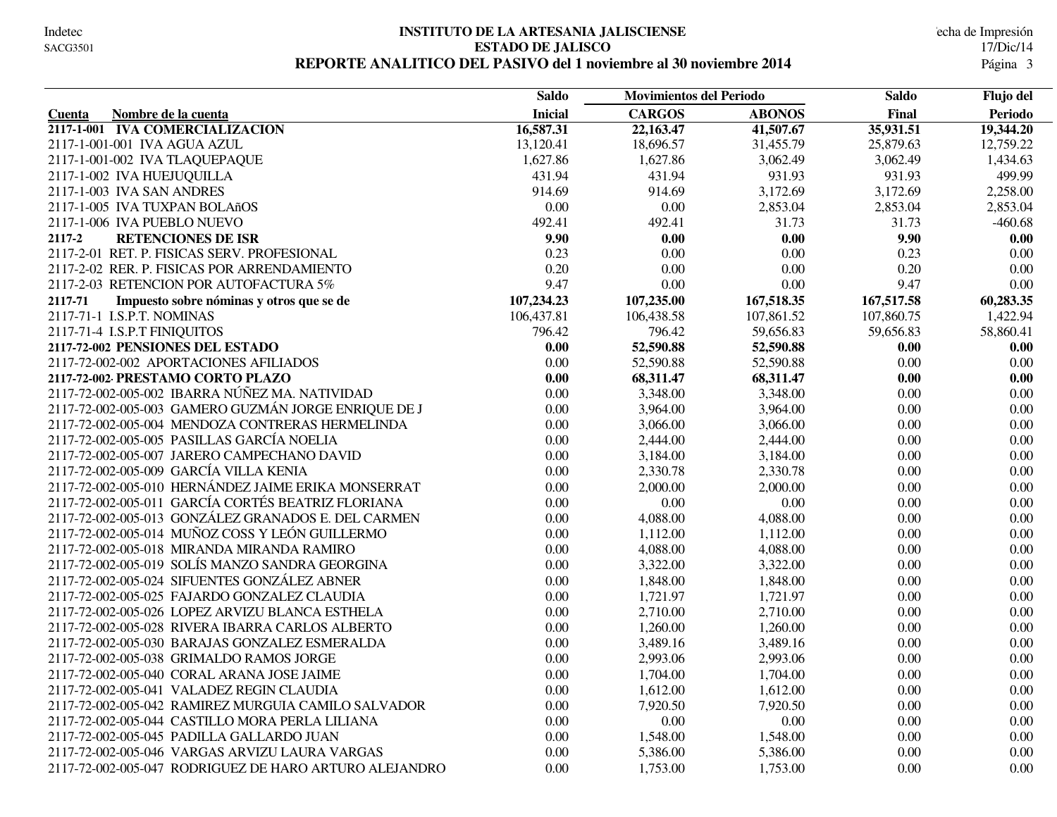#### **INSTITUTO DE LA ARTESANIA JALISCIENSE** echa de Impresión **ESTADO DE JALISCO** 17/Dic/14 REPORTE ANALITICO DEL PASIVO del 1 noviembre al 30 noviembre 2014

|                                                        | <b>Saldo</b>   | <b>Movimientos del Periodo</b> |               | <b>Saldo</b> | Flujo del |
|--------------------------------------------------------|----------------|--------------------------------|---------------|--------------|-----------|
| Nombre de la cuenta<br>Cuenta                          | <b>Inicial</b> | <b>CARGOS</b>                  | <b>ABONOS</b> | Final        | Periodo   |
| 2117-1-001 IVA COMERCIALIZACION                        | 16,587.31      | 22,163.47                      | 41,507.67     | 35,931.51    | 19,344.20 |
| 2117-1-001-001 IVA AGUA AZUL                           | 13,120.41      | 18,696.57                      | 31,455.79     | 25,879.63    | 12,759.22 |
| 2117-1-001-002 IVA TLAQUEPAQUE                         | 1,627.86       | 1,627.86                       | 3,062.49      | 3,062.49     | 1,434.63  |
| 2117-1-002 IVA HUEJUQUILLA                             | 431.94         | 431.94                         | 931.93        | 931.93       | 499.99    |
| 2117-1-003 IVA SAN ANDRES                              | 914.69         | 914.69                         | 3,172.69      | 3,172.69     | 2,258.00  |
| 2117-1-005 IVA TUXPAN BOLAñOS                          | 0.00           | 0.00                           | 2,853.04      | 2,853.04     | 2,853.04  |
| 2117-1-006 IVA PUEBLO NUEVO                            | 492.41         | 492.41                         | 31.73         | 31.73        | $-460.68$ |
| 2117-2<br><b>RETENCIONES DE ISR</b>                    | 9.90           | 0.00                           | 0.00          | 9.90         | 0.00      |
| 2117-2-01 RET. P. FISICAS SERV. PROFESIONAL            | 0.23           | 0.00                           | 0.00          | 0.23         | 0.00      |
| 2117-2-02 RER. P. FISICAS POR ARRENDAMIENTO            | 0.20           | 0.00                           | 0.00          | 0.20         | 0.00      |
| 2117-2-03 RETENCION POR AUTOFACTURA 5%                 | 9.47           | 0.00                           | 0.00          | 9.47         | 0.00      |
| 2117-71<br>Impuesto sobre nóminas y otros que se de    | 107,234.23     | 107,235.00                     | 167,518.35    | 167,517.58   | 60,283.35 |
| 2117-71-1 I.S.P.T. NOMINAS                             | 106,437.81     | 106,438.58                     | 107,861.52    | 107,860.75   | 1,422.94  |
| 2117-71-4 I.S.P.T FINIQUITOS                           | 796.42         | 796.42                         | 59,656.83     | 59,656.83    | 58,860.41 |
| 2117-72-002 PENSIONES DEL ESTADO                       | 0.00           | 52,590.88                      | 52,590.88     | 0.00         | 0.00      |
| 2117-72-002-002 APORTACIONES AFILIADOS                 | 0.00           | 52,590.88                      | 52,590.88     | 0.00         | 0.00      |
| 2117-72-002 PRESTAMO CORTO PLAZO                       | $0.00\,$       | 68,311.47                      | 68,311.47     | 0.00         | 0.00      |
| 2117-72-002-005-002 IBARRA NÚÑEZ MA. NATIVIDAD         | 0.00           | 3,348.00                       | 3,348.00      | 0.00         | $0.00\,$  |
| 2117-72-002-005-003 GAMERO GUZMÁN JORGE ENRIQUE DE J   | 0.00           | 3,964.00                       | 3,964.00      | 0.00         | 0.00      |
| 2117-72-002-005-004 MENDOZA CONTRERAS HERMELINDA       | $0.00\,$       | 3,066.00                       | 3,066.00      | 0.00         | $0.00\,$  |
| 2117-72-002-005-005 PASILLAS GARCÍA NOELIA             | 0.00           | 2,444.00                       | 2,444.00      | 0.00         | $0.00\,$  |
| 2117-72-002-005-007 JARERO CAMPECHANO DAVID            | 0.00           | 3,184.00                       | 3,184.00      | 0.00         | 0.00      |
| 2117-72-002-005-009 GARCÍA VILLA KENIA                 | 0.00           | 2,330.78                       | 2,330.78      | 0.00         | 0.00      |
| 2117-72-002-005-010 HERNÁNDEZ JAIME ERIKA MONSERRAT    | 0.00           | 2,000.00                       | 2,000.00      | 0.00         | 0.00      |
| 2117-72-002-005-011 GARCÍA CORTÉS BEATRIZ FLORIANA     | 0.00           | 0.00                           | 0.00          | 0.00         | $0.00\,$  |
| 2117-72-002-005-013 GONZÁLEZ GRANADOS E. DEL CARMEN    | 0.00           | 4,088.00                       | 4,088.00      | $0.00\,$     | 0.00      |
| 2117-72-002-005-014 MUÑOZ COSS Y LEÓN GUILLERMO        | 0.00           | 1,112.00                       | 1,112.00      | 0.00         | 0.00      |
| 2117-72-002-005-018 MIRANDA MIRANDA RAMIRO             | 0.00           | 4,088.00                       | 4,088.00      | 0.00         | 0.00      |
| 2117-72-002-005-019 SOLÍS MANZO SANDRA GEORGINA        | 0.00           | 3,322.00                       | 3,322.00      | $0.00\,$     | 0.00      |
| 2117-72-002-005-024 SIFUENTES GONZÁLEZ ABNER           | 0.00           | 1,848.00                       | 1,848.00      | 0.00         | 0.00      |
| 2117-72-002-005-025 FAJARDO GONZALEZ CLAUDIA           | 0.00           | 1,721.97                       | 1,721.97      | 0.00         | 0.00      |
| 2117-72-002-005-026 LOPEZ ARVIZU BLANCA ESTHELA        | $0.00\,$       | 2,710.00                       | 2,710.00      | 0.00         | $0.00\,$  |
| 2117-72-002-005-028 RIVERA IBARRA CARLOS ALBERTO       | 0.00           | 1,260.00                       | 1,260.00      | 0.00         | 0.00      |
| 2117-72-002-005-030 BARAJAS GONZALEZ ESMERALDA         | 0.00           | 3,489.16                       | 3,489.16      | 0.00         | 0.00      |
| 2117-72-002-005-038 GRIMALDO RAMOS JORGE               | 0.00           | 2,993.06                       | 2,993.06      | 0.00         | 0.00      |
| 2117-72-002-005-040 CORAL ARANA JOSE JAIME             | 0.00           | 1,704.00                       | 1,704.00      | 0.00         | 0.00      |
| 2117-72-002-005-041 VALADEZ REGIN CLAUDIA              | 0.00           | 1,612.00                       | 1,612.00      | 0.00         | 0.00      |
| 2117-72-002-005-042 RAMIREZ MURGUIA CAMILO SALVADOR    | $0.00\,$       | 7,920.50                       | 7,920.50      | $0.00\,$     | 0.00      |
| 2117-72-002-005-044 CASTILLO MORA PERLA LILIANA        | $0.00\,$       | $0.00\,$                       | 0.00          | 0.00         | $0.00\,$  |
| 2117-72-002-005-045 PADILLA GALLARDO JUAN              | 0.00           | 1,548.00                       | 1,548.00      | 0.00         | 0.00      |
| 2117-72-002-005-046 VARGAS ARVIZU LAURA VARGAS         | 0.00           | 5,386.00                       | 5,386.00      | 0.00         | 0.00      |
| 2117-72-002-005-047 RODRIGUEZ DE HARO ARTURO ALEJANDRO | 0.00           | 1,753.00                       | 1,753.00      | 0.00         | 0.00      |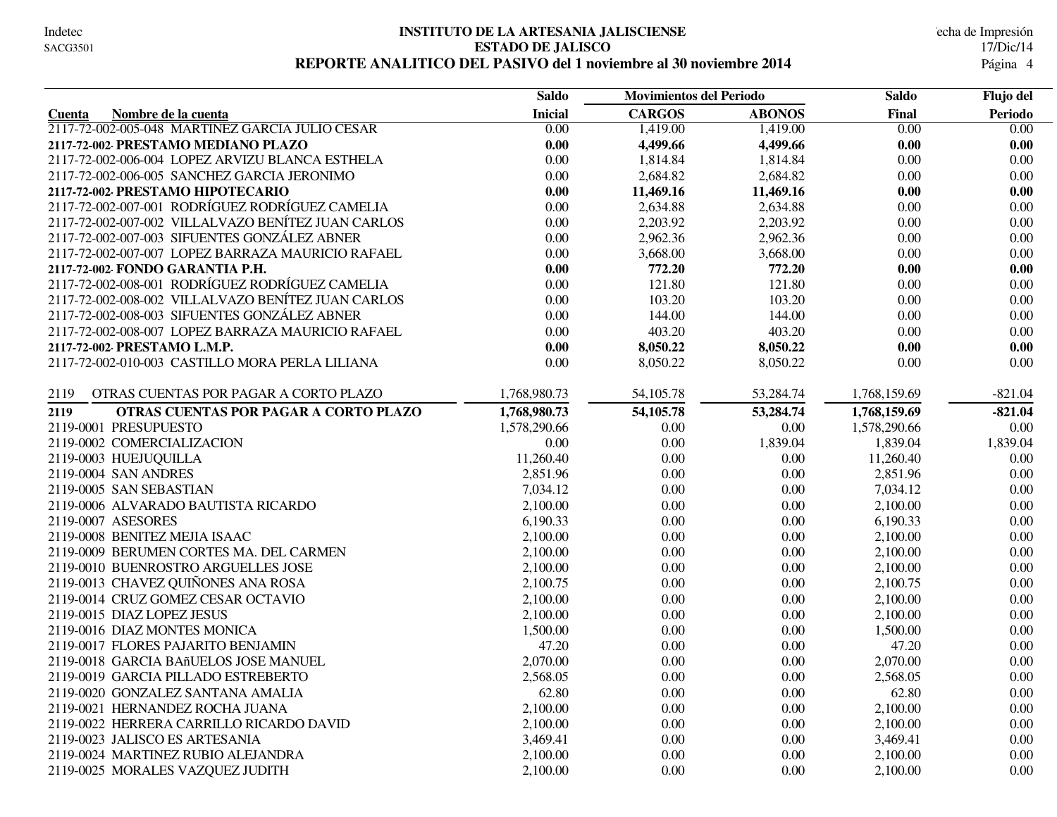#### **INSTITUTO DE LA ARTESANIA JALISCIENSE** echa de Impresión **ESTADO DE JALISCO** 17/Dic/14 **REPORTE ANALITICO DEL PASIVO del 1 noviembre al 30 noviembre 2014** 4

|                                                    | <b>Saldo</b>      | <b>Movimientos del Periodo</b> |               | <b>Saldo</b> | Flujo del |
|----------------------------------------------------|-------------------|--------------------------------|---------------|--------------|-----------|
| Nombre de la cuenta<br>Cuenta                      | <b>Inicial</b>    | <b>CARGOS</b>                  | <b>ABONOS</b> | Final        | Periodo   |
| 2117-72-002-005-048 MARTINEZ GARCIA JULIO CESAR    | $\overline{0.00}$ | 1,419.00                       | 1,419.00      | 0.00         | 0.00      |
| 2117-72-002 PRESTAMO MEDIANO PLAZO                 | 0.00              | 4,499.66                       | 4,499.66      | 0.00         | 0.00      |
| 2117-72-002-006-004 LOPEZ ARVIZU BLANCA ESTHELA    | 0.00              | 1,814.84                       | 1,814.84      | 0.00         | 0.00      |
| 2117-72-002-006-005 SANCHEZ GARCIA JERONIMO        | 0.00              | 2,684.82                       | 2,684.82      | 0.00         | 0.00      |
| 2117-72-002 PRESTAMO HIPOTECARIO                   | 0.00              | 11,469.16                      | 11,469.16     | 0.00         | 0.00      |
| 2117-72-002-007-001 RODRÍGUEZ RODRÍGUEZ CAMELIA    | $0.00\,$          | 2,634.88                       | 2,634.88      | 0.00         | 0.00      |
| 2117-72-002-007-002 VILLALVAZO BENÍTEZ JUAN CARLOS | 0.00              | 2,203.92                       | 2,203.92      | 0.00         | 0.00      |
| 2117-72-002-007-003 SIFUENTES GONZÁLEZ ABNER       | 0.00              | 2,962.36                       | 2,962.36      | 0.00         | 0.00      |
| 2117-72-002-007-007 LOPEZ BARRAZA MAURICIO RAFAEL  | 0.00              | 3,668.00                       | 3,668.00      | 0.00         | 0.00      |
| 2117-72-002 FONDO GARANTIA P.H.                    | 0.00              | 772.20                         | 772.20        | 0.00         | 0.00      |
| 2117-72-002-008-001 RODRÍGUEZ RODRÍGUEZ CAMELIA    | 0.00              | 121.80                         | 121.80        | 0.00         | 0.00      |
| 2117-72-002-008-002 VILLALVAZO BENÍTEZ JUAN CARLOS | 0.00              | 103.20                         | 103.20        | 0.00         | 0.00      |
| 2117-72-002-008-003 SIFUENTES GONZÁLEZ ABNER       | 0.00              | 144.00                         | 144.00        | 0.00         | 0.00      |
| 2117-72-002-008-007 LOPEZ BARRAZA MAURICIO RAFAEL  | 0.00              | 403.20                         | 403.20        | 0.00         | 0.00      |
| 2117-72-002 PRESTAMO L.M.P.                        | 0.00              | 8,050.22                       | 8,050.22      | 0.00         | 0.00      |
| 2117-72-002-010-003 CASTILLO MORA PERLA LILIANA    | 0.00              | 8,050.22                       | 8,050.22      | 0.00         | $0.00\,$  |
|                                                    |                   |                                |               |              |           |
| 2119<br>OTRAS CUENTAS POR PAGAR A CORTO PLAZO      | 1,768,980.73      | 54, 105.78                     | 53,284.74     | 1,768,159.69 | $-821.04$ |
| OTRAS CUENTAS POR PAGAR A CORTO PLAZO<br>2119      | 1,768,980.73      | 54,105.78                      | 53,284.74     | 1,768,159.69 | $-821.04$ |
| 2119-0001 PRESUPUESTO                              | 1,578,290.66      | 0.00                           | 0.00          | 1,578,290.66 | 0.00      |
| 2119-0002 COMERCIALIZACION                         | 0.00              | 0.00                           | 1,839.04      | 1,839.04     | 1,839.04  |
| 2119-0003 HUEJUQUILLA                              | 11,260.40         | 0.00                           | 0.00          | 11,260.40    | 0.00      |
| 2119-0004 SAN ANDRES                               | 2,851.96          | 0.00                           | 0.00          | 2,851.96     | $0.00\,$  |
| 2119-0005 SAN SEBASTIAN                            | 7,034.12          | 0.00                           | 0.00          | 7,034.12     | 0.00      |
| 2119-0006 ALVARADO BAUTISTA RICARDO                | 2,100.00          | 0.00                           | 0.00          | 2,100.00     | 0.00      |
| 2119-0007 ASESORES                                 | 6,190.33          | 0.00                           | 0.00          | 6,190.33     | 0.00      |
| 2119-0008 BENITEZ MEJIA ISAAC                      | 2,100.00          | 0.00                           | 0.00          | 2,100.00     | 0.00      |
| 2119-0009 BERUMEN CORTES MA. DEL CARMEN            | 2,100.00          | 0.00                           | 0.00          | 2,100.00     | 0.00      |
| 2119-0010 BUENROSTRO ARGUELLES JOSE                | 2,100.00          | 0.00                           | 0.00          | 2,100.00     | 0.00      |
| 2119-0013 CHAVEZ QUIÑONES ANA ROSA                 | 2,100.75          | 0.00                           | 0.00          | 2,100.75     | 0.00      |
| 2119-0014 CRUZ GOMEZ CESAR OCTAVIO                 | 2,100.00          | 0.00                           | 0.00          | 2,100.00     | 0.00      |
| 2119-0015 DIAZ LOPEZ JESUS                         | 2,100.00          | 0.00                           | 0.00          | 2,100.00     | 0.00      |
| 2119-0016 DIAZ MONTES MONICA                       | 1,500.00          | 0.00                           | 0.00          | 1,500.00     | 0.00      |
| 2119-0017 FLORES PAJARITO BENJAMIN                 | 47.20             | 0.00                           | 0.00          | 47.20        | 0.00      |
| 2119-0018 GARCIA BAñUELOS JOSE MANUEL              | 2,070.00          | 0.00                           | 0.00          | 2,070.00     | 0.00      |
| 2119-0019 GARCIA PILLADO ESTREBERTO                | 2,568.05          | 0.00                           | 0.00          | 2,568.05     | 0.00      |
| 2119-0020 GONZALEZ SANTANA AMALIA                  | 62.80             | 0.00                           | 0.00          | 62.80        | 0.00      |
| 2119-0021 HERNANDEZ ROCHA JUANA                    | 2,100.00          | 0.00                           | 0.00          | 2,100.00     | 0.00      |
| 2119-0022 HERRERA CARRILLO RICARDO DAVID           | 2,100.00          | 0.00                           | 0.00          | 2,100.00     | 0.00      |
| 2119-0023 JALISCO ES ARTESANIA                     | 3,469.41          | 0.00                           | 0.00          | 3,469.41     | 0.00      |
| 2119-0024 MARTINEZ RUBIO ALEJANDRA                 | 2,100.00          | 0.00                           | 0.00          | 2,100.00     | 0.00      |
| 2119-0025 MORALES VAZQUEZ JUDITH                   | 2,100.00          | 0.00                           | 0.00          | 2,100.00     | 0.00      |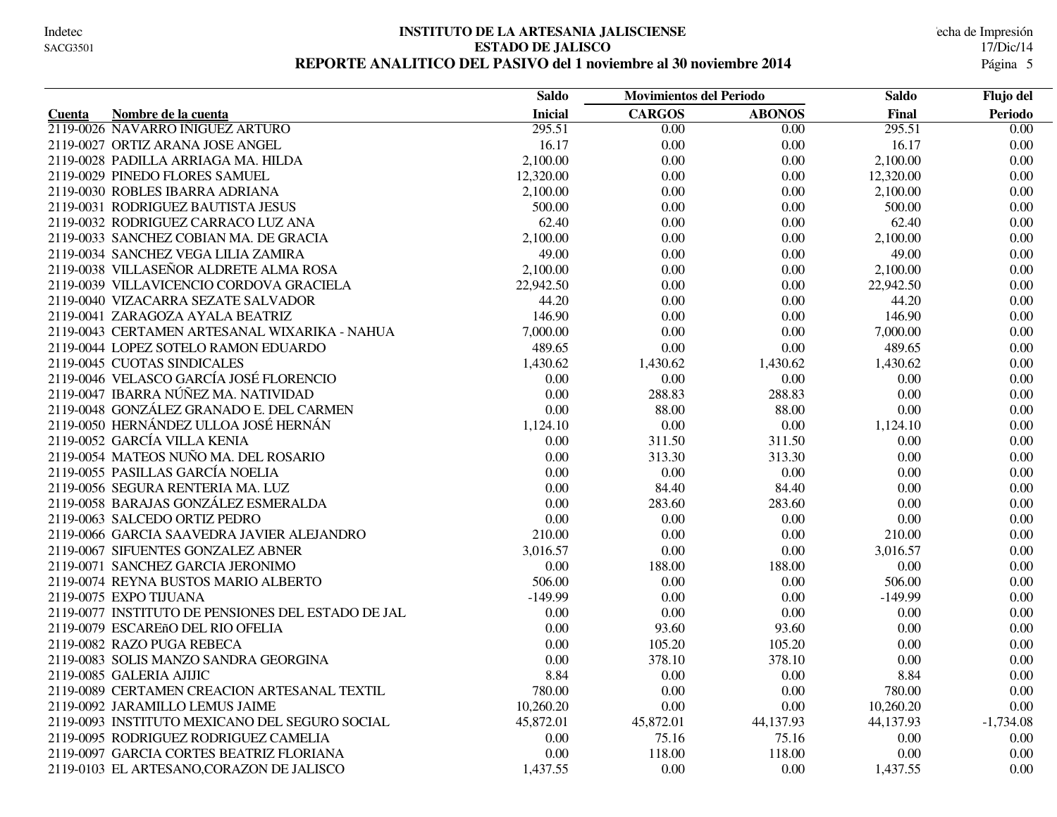#### **INSTITUTO DE LA ARTESANIA JALISCIENSE** echa de Impresión **ESTADO DE JALISCO** 17/Dic/14 REPORTE ANALITICO DEL PASIVO del 1 noviembre al 30 noviembre 2014

|                                                    | <b>Saldo</b>   | <b>Movimientos del Periodo</b> |                   | <b>Saldo</b> | Flujo del         |
|----------------------------------------------------|----------------|--------------------------------|-------------------|--------------|-------------------|
| Nombre de la cuenta<br><b>Cuenta</b>               | <b>Inicial</b> | <b>CARGOS</b>                  | <b>ABONOS</b>     | Final        | Periodo           |
| 2119-0026 NAVARRO IÑIGUEZ ARTURO                   | 295.51         | $\overline{0.00}$              | $\overline{0.00}$ | 295.51       | $\overline{0.00}$ |
| 2119-0027 ORTIZ ARANA JOSE ANGEL                   | 16.17          | 0.00                           | 0.00              | 16.17        | $0.00\,$          |
| 2119-0028 PADILLA ARRIAGA MA. HILDA                | 2,100.00       | 0.00                           | 0.00              | 2,100.00     | $0.00\,$          |
| 2119-0029 PINEDO FLORES SAMUEL                     | 12,320.00      | 0.00                           | 0.00              | 12,320.00    | 0.00              |
| 2119-0030 ROBLES IBARRA ADRIANA                    | 2,100.00       | 0.00                           | 0.00              | 2,100.00     | $0.00\,$          |
| 2119-0031 RODRIGUEZ BAUTISTA JESUS                 | 500.00         | 0.00                           | 0.00              | 500.00       | $0.00\,$          |
| 2119-0032 RODRIGUEZ CARRACO LUZ ANA                | 62.40          | 0.00                           | 0.00              | 62.40        | 0.00              |
| 2119-0033 SANCHEZ COBIAN MA. DE GRACIA             | 2,100.00       | 0.00                           | 0.00              | 2,100.00     | $0.00\,$          |
| 2119-0034 SANCHEZ VEGA LILIA ZAMIRA                | 49.00          | 0.00                           | 0.00              | 49.00        | 0.00              |
| 2119-0038 VILLASEÑOR ALDRETE ALMA ROSA             | 2,100.00       | 0.00                           | 0.00              | 2,100.00     | 0.00              |
| 2119-0039 VILLAVICENCIO CORDOVA GRACIELA           | 22,942.50      | 0.00                           | 0.00              | 22,942.50    | 0.00              |
| 2119-0040 VIZACARRA SEZATE SALVADOR                | 44.20          | 0.00                           | 0.00              | 44.20        | 0.00              |
| 2119-0041 ZARAGOZA AYALA BEATRIZ                   | 146.90         | 0.00                           | 0.00              | 146.90       | $0.00\,$          |
| 2119-0043 CERTAMEN ARTESANAL WIXARIKA - NAHUA      | 7,000.00       | 0.00                           | 0.00              | 7,000.00     | 0.00              |
| 2119-0044 LOPEZ SOTELO RAMON EDUARDO               | 489.65         | 0.00                           | 0.00              | 489.65       | 0.00              |
| 2119-0045 CUOTAS SINDICALES                        | 1,430.62       | 1,430.62                       | 1,430.62          | 1,430.62     | 0.00              |
| 2119-0046 VELASCO GARCÍA JOSÉ FLORENCIO            | 0.00           | 0.00                           | 0.00              | 0.00         | 0.00              |
| 2119-0047 IBARRA NÚÑEZ MA. NATIVIDAD               | 0.00           | 288.83                         | 288.83            | 0.00         | 0.00              |
| 2119-0048 GONZÁLEZ GRANADO E. DEL CARMEN           | 0.00           | 88.00                          | 88.00             | 0.00         | 0.00              |
| 2119-0050 HERNÁNDEZ ULLOA JOSÉ HERNÁN              | 1,124.10       | 0.00                           | 0.00              | 1,124.10     | 0.00              |
| 2119-0052 GARCÍA VILLA KENIA                       | 0.00           | 311.50                         | 311.50            | 0.00         | 0.00              |
| 2119-0054 MATEOS NUÑO MA. DEL ROSARIO              | 0.00           | 313.30                         | 313.30            | 0.00         | $0.00\,$          |
| 2119-0055 PASILLAS GARCÍA NOELIA                   | 0.00           | 0.00                           | 0.00              | 0.00         | $0.00\,$          |
| 2119-0056 SEGURA RENTERIA MA. LUZ                  | 0.00           | 84.40                          | 84.40             | 0.00         | $0.00\,$          |
| 2119-0058 BARAJAS GONZÁLEZ ESMERALDA               | 0.00           | 283.60                         | 283.60            | 0.00         | 0.00              |
| 2119-0063 SALCEDO ORTIZ PEDRO                      | 0.00           | 0.00                           | 0.00              | 0.00         | 0.00              |
| 2119-0066 GARCIA SAAVEDRA JAVIER ALEJANDRO         | 210.00         | 0.00                           | 0.00              | 210.00       | $0.00\,$          |
| 2119-0067 SIFUENTES GONZALEZ ABNER                 | 3,016.57       | 0.00                           | 0.00              | 3,016.57     | $0.00\,$          |
| 2119-0071 SANCHEZ GARCIA JERONIMO                  | 0.00           | 188.00                         | 188.00            | 0.00         | 0.00              |
| 2119-0074 REYNA BUSTOS MARIO ALBERTO               | 506.00         | 0.00                           | 0.00              | 506.00       | $0.00\,$          |
| 2119-0075 EXPO TIJUANA                             | $-149.99$      | 0.00                           | 0.00              | $-149.99$    | 0.00              |
| 2119-0077 INSTITUTO DE PENSIONES DEL ESTADO DE JAL | 0.00           | 0.00                           | 0.00              | 0.00         | 0.00              |
| 2119-0079 ESCAREñO DEL RIO OFELIA                  | 0.00           | 93.60                          | 93.60             | 0.00         | 0.00              |
| 2119-0082 RAZO PUGA REBECA                         | 0.00           | 105.20                         | 105.20            | 0.00         | $0.00\,$          |
| 2119-0083 SOLIS MANZO SANDRA GEORGINA              | 0.00           | 378.10                         | 378.10            | 0.00         | 0.00              |
| 2119-0085 GALERIA AJIJIC                           | 8.84           | 0.00                           | 0.00              | 8.84         | $0.00\,$          |
| 2119-0089 CERTAMEN CREACION ARTESANAL TEXTIL       | 780.00         | 0.00                           | 0.00              | 780.00       | 0.00              |
| 2119-0092 JARAMILLO LEMUS JAIME                    | 10,260.20      | 0.00                           | 0.00              | 10,260.20    | 0.00              |
| 2119-0093 INSTITUTO MEXICANO DEL SEGURO SOCIAL     | 45,872.01      | 45,872.01                      | 44,137.93         | 44,137.93    | $-1,734.08$       |
| 2119-0095 RODRIGUEZ RODRIGUEZ CAMELIA              | 0.00           | 75.16                          | 75.16             | 0.00         | 0.00              |
| 2119-0097 GARCIA CORTES BEATRIZ FLORIANA           | 0.00           | 118.00                         | 118.00            | 0.00         | 0.00              |
| 2119-0103 EL ARTESANO, CORAZON DE JALISCO          | 1,437.55       | 0.00                           | 0.00              | 1,437.55     | 0.00              |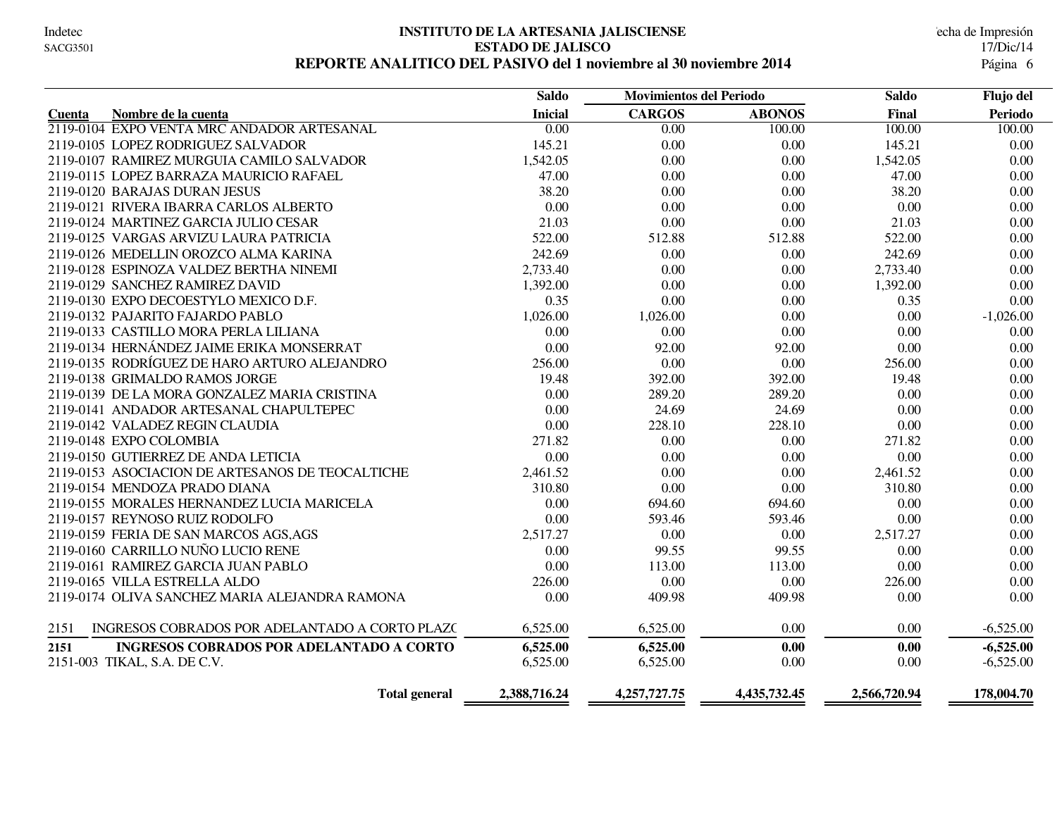#### **INSTITUTO DE LA ARTESANIA JALISCIENSE** echa de Impresión **ESTADO DE JALISCO** 17/Dic/14 REPORTE ANALITICO DEL PASIVO del 1 noviembre al 30 noviembre 2014

|                                                         | <b>Saldo</b>      | <b>Movimientos del Periodo</b> |               | <b>Saldo</b> | Flujo del      |
|---------------------------------------------------------|-------------------|--------------------------------|---------------|--------------|----------------|
| Nombre de la cuenta<br>Cuenta                           | <b>Inicial</b>    | <b>CARGOS</b>                  | <b>ABONOS</b> | Final        | <b>Periodo</b> |
| 2119-0104 EXPO VENTA MRC ANDADOR ARTESANAL              | $\overline{0.00}$ | 0.00                           | 100.00        | 100.00       | 100.00         |
| 2119-0105 LOPEZ RODRIGUEZ SALVADOR                      | 145.21            | 0.00                           | 0.00          | 145.21       | 0.00           |
| 2119-0107 RAMIREZ MURGUIA CAMILO SALVADOR               | 1,542.05          | 0.00                           | 0.00          | 1,542.05     | 0.00           |
| 2119-0115 LOPEZ BARRAZA MAURICIO RAFAEL                 | 47.00             | 0.00                           | 0.00          | 47.00        | 0.00           |
| 2119-0120 BARAJAS DURAN JESUS                           | 38.20             | 0.00                           | 0.00          | 38.20        | 0.00           |
| 2119-0121 RIVERA IBARRA CARLOS ALBERTO                  | 0.00              | 0.00                           | 0.00          | 0.00         | 0.00           |
| 2119-0124 MARTINEZ GARCIA JULIO CESAR                   | 21.03             | 0.00                           | 0.00          | 21.03        | 0.00           |
| 2119-0125 VARGAS ARVIZU LAURA PATRICIA                  | 522.00            | 512.88                         | 512.88        | 522.00       | $0.00\,$       |
| 2119-0126 MEDELLIN OROZCO ALMA KARINA                   | 242.69            | 0.00                           | 0.00          | 242.69       | 0.00           |
| 2119-0128 ESPINOZA VALDEZ BERTHA NINEMI                 | 2,733.40          | 0.00                           | 0.00          | 2,733.40     | 0.00           |
| 2119-0129 SANCHEZ RAMIREZ DAVID                         | 1,392.00          | 0.00                           | 0.00          | 1,392.00     | 0.00           |
| 2119-0130 EXPO DECOESTYLO MEXICO D.F.                   | 0.35              | 0.00                           | 0.00          | 0.35         | 0.00           |
| 2119-0132 PAJARITO FAJARDO PABLO                        | 1,026.00          | 1,026.00                       | 0.00          | 0.00         | $-1,026.00$    |
| 2119-0133 CASTILLO MORA PERLA LILIANA                   | 0.00              | 0.00                           | 0.00          | 0.00         | 0.00           |
| 2119-0134 HERNÁNDEZ JAIME ERIKA MONSERRAT               | 0.00              | 92.00                          | 92.00         | 0.00         | 0.00           |
| 2119-0135 RODRÍGUEZ DE HARO ARTURO ALEJANDRO            | 256.00            | 0.00                           | 0.00          | 256.00       | 0.00           |
| 2119-0138 GRIMALDO RAMOS JORGE                          | 19.48             | 392.00                         | 392.00        | 19.48        | 0.00           |
| 2119-0139 DE LA MORA GONZALEZ MARIA CRISTINA            | 0.00              | 289.20                         | 289.20        | 0.00         | 0.00           |
| 2119-0141 ANDADOR ARTESANAL CHAPULTEPEC                 | 0.00              | 24.69                          | 24.69         | 0.00         | 0.00           |
| 2119-0142 VALADEZ REGIN CLAUDIA                         | 0.00              | 228.10                         | 228.10        | 0.00         | 0.00           |
| 2119-0148 EXPO COLOMBIA                                 | 271.82            | 0.00                           | 0.00          | 271.82       | 0.00           |
| 2119-0150 GUTIERREZ DE ANDA LETICIA                     | 0.00              | 0.00                           | 0.00          | 0.00         | 0.00           |
| 2119-0153 ASOCIACION DE ARTESANOS DE TEOCALTICHE        | 2,461.52          | 0.00                           | 0.00          | 2,461.52     | 0.00           |
| 2119-0154 MENDOZA PRADO DIANA                           | 310.80            | 0.00                           | 0.00          | 310.80       | 0.00           |
| 2119-0155 MORALES HERNANDEZ LUCIA MARICELA              | 0.00              | 694.60                         | 694.60        | 0.00         | 0.00           |
| 2119-0157 REYNOSO RUIZ RODOLFO                          | 0.00              | 593.46                         | 593.46        | 0.00         | 0.00           |
| 2119-0159 FERIA DE SAN MARCOS AGS, AGS                  | 2,517.27          | 0.00                           | 0.00          | 2,517.27     | 0.00           |
| 2119-0160 CARRILLO NUÑO LUCIO RENE                      | 0.00              | 99.55                          | 99.55         | 0.00         | 0.00           |
| 2119-0161 RAMIREZ GARCIA JUAN PABLO                     | 0.00              | 113.00                         | 113.00        | 0.00         | 0.00           |
| 2119-0165 VILLA ESTRELLA ALDO                           | 226.00            | 0.00                           | 0.00          | 226.00       | 0.00           |
| 2119-0174 OLIVA SANCHEZ MARIA ALEJANDRA RAMONA          | 0.00              | 409.98                         | 409.98        | 0.00         | 0.00           |
| INGRESOS COBRADOS POR ADELANTADO A CORTO PLAZO<br>2151  | 6,525.00          | 6,525.00                       | 0.00          | 0.00         | $-6,525.00$    |
| <b>INGRESOS COBRADOS POR ADELANTADO A CORTO</b><br>2151 | 6,525.00          | 6,525.00                       | 0.00          | 0.00         | $-6,525.00$    |
| 2151-003 TIKAL, S.A. DE C.V.                            | 6,525.00          | 6,525.00                       | 0.00          | 0.00         | $-6,525.00$    |
| <b>Total general</b>                                    | 2,388,716.24      | 4,257,727.75                   | 4,435,732.45  | 2,566,720.94 | 178,004.70     |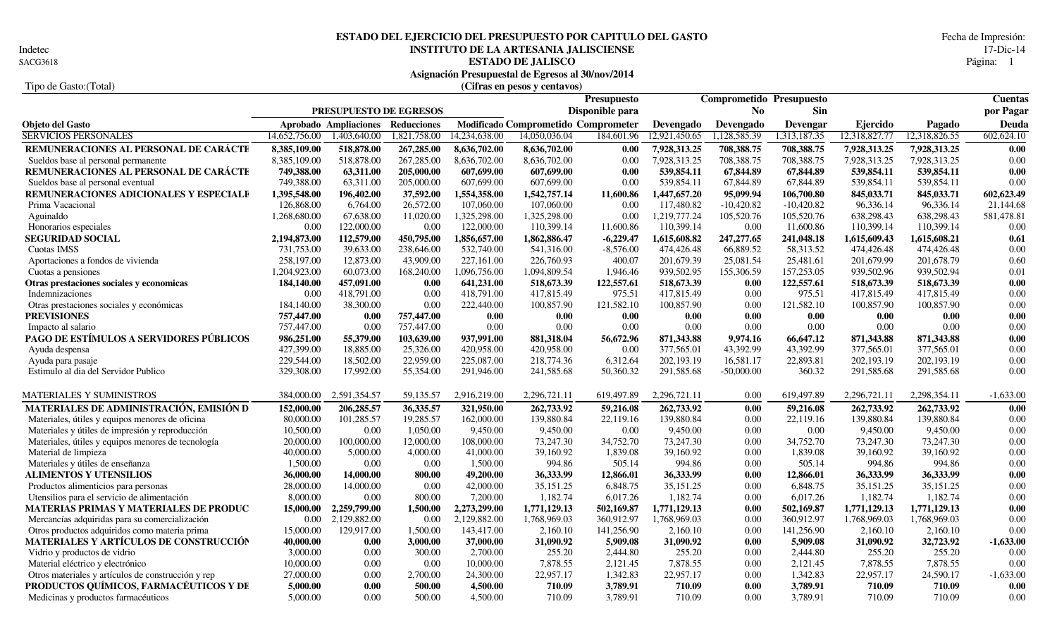Indetec<br>SACG3618

## **INSTITUTO DE LA ARTESANIA JALISCIENSE** 17-Dic-14<br>**ESTADO DE JALISCO** Página: 1 **ESTADO DEL EJERCICIO DEL PRESUPUESTO POR CAPITULO DEL GASTO** Fecha de Impresión:

**ESTADO DE JALISCO** Página: 1 **Asignación Presupuestal de Egresos al 30/nov/2014**

### Tipo de Gasto:(Total) **(Cifras en pesos y centavos)**

|                                                    |               |                        |                    |               |                                     | <b>Presupuesto</b> |               | <b>Comprometido Presupuesto</b> |              |               |               | <b>Cuentas</b> |
|----------------------------------------------------|---------------|------------------------|--------------------|---------------|-------------------------------------|--------------------|---------------|---------------------------------|--------------|---------------|---------------|----------------|
|                                                    |               | PRESUPUESTO DE EGRESOS |                    |               |                                     | Disponible para    |               | N <sub>0</sub>                  | <b>Sin</b>   |               |               | por Pagar      |
| <b>Objeto del Gasto</b>                            |               | Aprobado Ampliaciones  | <b>Reducciones</b> |               | Modificado Comprometido Comprometer |                    | Devengado     | Devengado                       | Devengar     | Ejercido      | Pagado        | Deuda          |
| <b>SERVICIOS PERSONALES</b>                        | 14,652,756.00 | 1,403,640.00           | 1,821,758.00       | 14,234,638.00 | 14,050,036.04                       | 184,601.96         | 12,921,450.65 | 1,128,585.39                    | 1,313,187.35 | 12,318,827.77 | 12,318,826.55 | 602,624.10     |
| REMUNERACIONES AL PERSONAL DE CARÁCTE              | 8,385,109.00  | 518,878.00             | 267,285.00         | 8,636,702.00  | 8,636,702.00                        | 0.00               | 7,928,313.25  | 708,388.75                      | 708,388.75   | 7,928,313.25  | 7,928,313.25  | 0.00           |
| Sueldos base al personal permanente                | 8,385,109.00  | 518,878.00             | 267,285.00         | 8,636,702.00  | 8,636,702.00                        | 0.00               | 7,928,313.25  | 708,388.75                      | 708,388.75   | 7,928,313.25  | 7,928,313.25  | 0.00           |
| REMUNERACIONES AL PERSONAL DE CARÁCTE              | 749,388.00    | 63,311.00              | 205,000.00         | 607,699.00    | 607,699.00                          | 0.00               | 539,854.11    | 67,844.89                       | 67,844.89    | 539,854.11    | 539,854.11    | 0.00           |
| Sueldos base al personal eventual                  | 749,388.00    | 63,311.00              | 205,000.00         | 607,699.00    | 607,699.00                          | 0.00               | 539,854.11    | 67,844.89                       | 67,844.89    | 539,854.11    | 539,854.11    | 0.00           |
| REMUNERACIONES ADICIONALES Y ESPECIALE             | 1,395,548.00  | 196,402.00             | 37,592.00          | 1,554,358.00  | 1,542,757.14                        | 11,600.86          | 1,447,657.20  | 95,099.94                       | 106,700.80   | 845,033.71    | 845,033.71    | 602,623.49     |
| Prima Vacacional                                   | 126,868.00    | 6,764.00               | 26,572.00          | 107,060.00    | 107,060.00                          | 0.00               | 117,480.82    | $-10,420.82$                    | $-10,420.82$ | 96,336.14     | 96,336.14     | 21,144.68      |
| Aguinaldo                                          | 1,268,680.00  | 67,638.00              | 11,020.00          | 1,325,298.00  | 1,325,298.00                        | 0.00               | 1,219,777.24  | 105,520.76                      | 105,520.76   | 638,298.43    | 638,298.43    | 581,478.81     |
| Honorarios especiales                              | 0.00          | 122,000.00             | 0.00               | 122,000.00    | 110,399.14                          | 11,600.86          | 110,399.14    | 0.00                            | 11,600.86    | 110,399.14    | 110,399.14    | 0.00           |
| <b>SEGURIDAD SOCIAL</b>                            | 2,194,873.00  | 112,579.00             | 450,795.00         | 1,856,657.00  | 1,862,886.47                        | $-6,229.47$        | 1,615,608.82  | 247,277.65                      | 241,048.18   | 1,615,609.43  | 1,615,608.21  | 0.61           |
| Cuotas IMSS                                        | 731,753.00    | 39,633.00              | 238,646.00         | 532,740.00    | 541,316.00                          | $-8,576.00$        | 474,426.48    | 66,889.52                       | 58,313.52    | 474,426.48    | 474,426.48    | 0.00           |
| Aportaciones a fondos de vivienda                  | 258,197.00    | 12,873.00              | 43,909.00          | 227,161.00    | 226,760.93                          | 400.07             | 201,679.39    | 25,081.54                       | 25,481.61    | 201,679.99    | 201,678.79    | 0.60           |
| Cuotas a pensiones                                 | 1,204,923.00  | 60,073.00              | 168,240.00         | 1,096,756.00  | 1,094,809.54                        | 1,946.46           | 939,502.95    | 155,306.59                      | 157,253.05   | 939,502.96    | 939,502.94    | 0.01           |
| Otras prestaciones sociales y economicas           | 184,140.00    | 457,091.00             | 0.00               | 641,231.00    | 518,673.39                          | 122,557.61         | 518,673.39    | 0.00                            | 122,557.61   | 518,673.39    | 518,673.39    | 0.00           |
| Indemnizaciones                                    | 0.00          | 418,791.00             | 0.00               | 418,791.00    | 417,815.49                          | 975.51             | 417.815.49    | 0.00                            | 975.51       | 417.815.49    | 417,815.49    | 0.00           |
| Otras prestaciones sociales y económicas           | 184,140.00    | 38,300.00              | 0.00               | 222,440.00    | 100,857.90                          | 121,582.10         | 100,857.90    | 0.00                            | 121,582.10   | 100,857.90    | 100,857.90    | 0.00           |
| <b>PREVISIONES</b>                                 | 757,447.00    | 0.00                   | 757,447.00         | 0.00          | 0.00                                | 0.00               | 0.00          | 0.00                            | 0.00         | 0.00          | 0.00          | $0.00\,$       |
| Impacto al salario                                 | 757,447.00    | 0.00                   | 757,447.00         | 0.00          | 0.00                                | 0.00               | 0.00          | 0.00                            | 0.00         | 0.00          | 0.00          | 0.00           |
| PAGO DE ESTÍMULOS A SERVIDORES PÚBLICOS            | 986,251.00    | 55,379.00              | 103,639.00         | 937,991.00    | 881,318.04                          | 56,672.96          | 871,343.88    | 9,974.16                        | 66.647.12    | 871,343.88    | 871,343.88    | 0.00           |
| Ayuda despensa                                     | 427,399.00    | 18,885.00              | 25,326.00          | 420,958.00    | 420,958.00                          | 0.00               | 377,565.01    | 43,392.99                       | 43,392.99    | 377,565.01    | 377,565.01    | 0.00           |
| Ayuda para pasaje                                  | 229,544.00    | 18,502.00              | 22,959.00          | 225,087.00    | 218,774.36                          | 6,312.64           | 202,193.19    | 16,581.17                       | 22,893.81    | 202,193.19    | 202,193.19    | 0.00           |
| Estimulo al dia del Servidor Publico               | 329,308.00    | 17,992.00              | 55,354.00          | 291,946.00    | 241,585.68                          | 50,360.32          | 291,585.68    | $-50,000.00$                    | 360.32       | 291,585.68    | 291,585.68    | 0.00           |
|                                                    |               |                        |                    |               |                                     |                    |               |                                 |              |               |               |                |
| MATERIALES Y SUMINISTROS                           | 384,000.00    | 2,591,354.57           | 59,135.57          | 2,916,219.00  | 2,296,721.11                        | 619,497.89         | 2,296,721.11  | 0.00                            | 619,497.89   | 2,296,721.11  | 2,298,354.11  | $-1,633.00$    |
| MATERIALES DE ADMINISTRACIÓN, EMISIÓN D            | 152,000.00    | 206,285.57             | 36,335.57          | 321,950.00    | 262,733.92                          | 59,216.08          | 262,733.92    | 0.00                            | 59,216.08    | 262,733.92    | 262,733.92    | 0.00           |
| Materiales, útiles y equipos menores de oficina    | 80,000.00     | 101,285.57             | 19,285.57          | 162,000.00    | 139,880.84                          | 22,119.16          | 139,880.84    | 0.00                            | 22,119.16    | 139,880.84    | 139,880.84    | 0.00           |
| Materiales y útiles de impresión y reproducción    | 10,500.00     | 0.00                   | 1,050.00           | 9,450.00      | 9,450.00                            | 0.00               | 9,450.00      | 0.00                            | 0.00         | 9,450.00      | 9,450.00      | 0.00           |
| Materiales, útiles y equipos menores de tecnología | 20,000.00     | 100,000.00             | 12,000.00          | 108,000.00    | 73,247.30                           | 34,752.70          | 73,247.30     | 0.00                            | 34,752.70    | 73,247.30     | 73,247.30     | 0.00           |
| Material de limpieza                               | 40,000.00     | 5,000.00               | 4,000.00           | 41,000.00     | 39,160.92                           | 1,839.08           | 39,160.92     | 0.00                            | 1,839.08     | 39,160.92     | 39,160.92     | 0.00           |
| Materiales y útiles de enseñanza                   | 1,500.00      | 0.00                   | 0.00               | 1,500.00      | 994.86                              | 505.14             | 994.86        | 0.00                            | 505.14       | 994.86        | 994.86        | 0.00           |
| ALIMENTOS Y UTENSILIOS                             | 36,000.00     | 14,000.00              | 800.00             | 49,200.00     | 36,333.99                           | 12,866.01          | 36,333.99     | 0.00                            | 12,866.01    | 36,333.99     | 36,333.99     | 0.00           |
| Productos alimenticios para personas               | 28,000.00     | 14,000.00              | 0.00               | 42,000.00     | 35,151.25                           | 6,848.75           | 35,151.25     | 0.00                            | 6,848.75     | 35,151.25     | 35,151.25     | 0.00           |
| Utensilios para el servicio de alimentación        | 8,000.00      | 0.00                   | 800.00             | 7,200.00      | 1,182.74                            | 6,017.26           | 1,182.74      | 0.00                            | 6,017.26     | 1,182.74      | 1,182.74      | 0.00           |
| MATERIAS PRIMAS Y MATERIALES DE PRODUC             | 15,000.00     | 2,259,799.00           | 1,500.00           | 2,273,299.00  | 1,771,129.13                        | 502,169.87         | 1,771,129.13  | 0.00                            | 502,169.87   | 1,771,129.13  | 1,771,129.13  | 0.00           |
| Mercancías adquiridas para su comercialización     | 0.00          | 2,129,882.00           | 0.00               | 2,129,882.00  | 1,768,969.03                        | 360,912.97         | 1,768,969.03  | 0.00                            | 360,912.97   | 1,768,969.03  | 1.768.969.03  | 0.00           |
| Otros productos adquiridos como materia prima      | 15,000.00     | 129,917.00             | 1,500.00           | 143,417.00    | 2,160.10                            | 141,256.90         | 2,160.10      | 0.00                            | 141,256.90   | 2,160.10      | 2,160.10      | 0.00           |
| MATERIALES Y ARTÍCULOS DE CONSTRUCCIÓN             | 40,000.00     | 0.00                   | 3,000.00           | 37,000.00     | 31,090.92                           | 5,909.08           | 31,090.92     | 0.00                            | 5,909.08     | 31,090.92     | 32,723.92     | $-1,633.00$    |
| Vidrio y productos de vidrio                       | 3,000.00      | 0.00                   | 300.00             | 2,700.00      | 255.20                              | 2,444.80           | 255.20        | 0.00                            | 2,444.80     | 255.20        | 255.20        | 0.00           |
| Material eléctrico y electrónico                   | 10,000.00     | 0.00                   | 0.00               | 10,000.00     | 7,878.55                            | 2,121.45           | 7,878.55      | 0.00                            | 2,121.45     | 7,878.55      | 7,878.55      | 0.00           |
| Otros materiales y artículos de construcción y rep | 27,000.00     | 0.00                   | 2,700.00           | 24,300.00     | 22,957.17                           | 1,342.83           | 22,957.17     | 0.00                            | 1,342.83     | 22,957.17     | 24,590.17     | $-1,633.00$    |
| PRODUCTOS QUÍMICOS, FARMACÉUTICOS Y DE             | 5,000.00      | 0.00                   | 500.00             | 4,500.00      | 710.09                              | 3,789.91           | 710.09        | 0.00                            | 3,789.91     | 710.09        | 710.09        | 0.00           |
| Medicinas y productos farmacéuticos                | 5,000.00      | 0.00                   | 500.00             | 4,500.00      | 710.09                              | 3,789.91           | 710.09        | 0.00                            | 3,789.91     | 710.09        | 710.09        | 0.00           |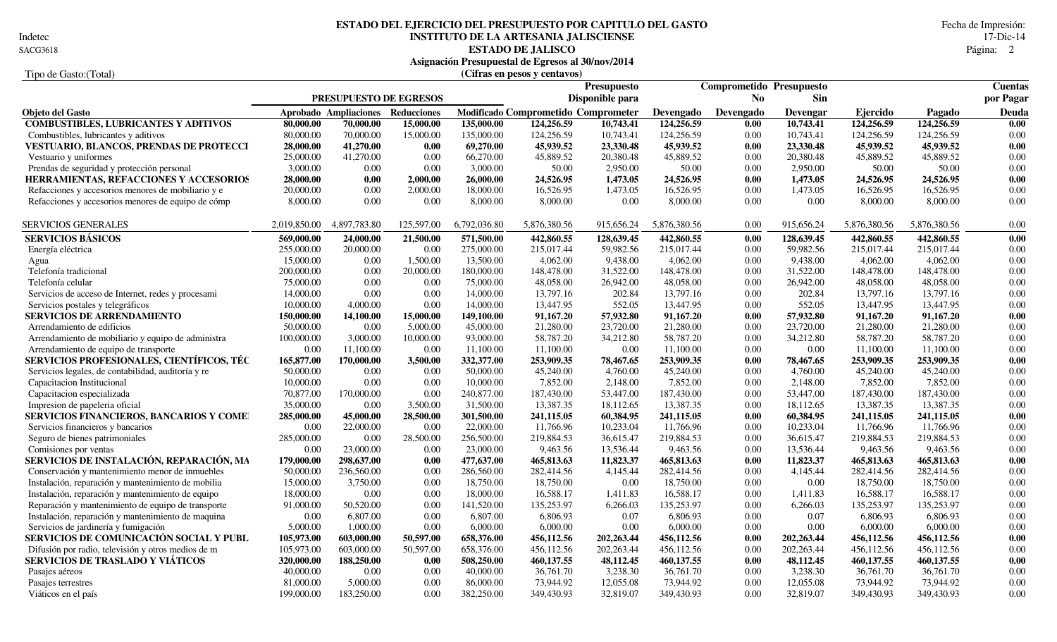Indetec

# **INSTITUTO DE LA ARTESANIA JALISCIENSE** 17-Dic-14<br>**ESTADO DE JALISCO** Página: 2 **ESTADO DEL EJERCICIO DEL PRESUPUESTO POR CAPITULO DEL GASTO** Fecha de Impresión:

**ESTADO DE JALISCO** 2 SACG3618 Página:

|                                                         |              |                                   |                               |              | Asignación Presupuestal de Egresos al 30/nov/2014 |                 |              |                                 |              |              |              |                   |
|---------------------------------------------------------|--------------|-----------------------------------|-------------------------------|--------------|---------------------------------------------------|-----------------|--------------|---------------------------------|--------------|--------------|--------------|-------------------|
| Tipo de Gasto: (Total)                                  |              |                                   |                               |              | (Cifras en pesos y centavos)                      |                 |              |                                 |              |              |              |                   |
|                                                         |              |                                   |                               |              |                                                   | Presupuesto     |              | <b>Comprometido Presupuesto</b> |              |              |              | <b>Cuentas</b>    |
|                                                         |              |                                   | <b>PRESUPUESTO DE EGRESOS</b> |              |                                                   | Disponible para |              | N <sub>0</sub>                  | <b>Sin</b>   |              |              | por Pagar         |
| Objeto del Gasto                                        |              | Aprobado Ampliaciones Reducciones |                               |              | Modificado Comprometido Comprometer               |                 | Devengado    | Devengado                       | Devengar     | Ejercido     | Pagado       | Deuda             |
| <b>COMBUSTIBLES, LUBRICANTES Y ADITIVOS</b>             | 80,000.00    | 70,000.00                         | 15,000.00                     | 135,000.00   | 124,256.59                                        | 10,743.41       | 124,256.59   | 0.00                            | 10,743.41    | 124,256.59   | 124,256.59   | $\overline{0.00}$ |
| Combustibles, lubricantes y aditivos                    | 80,000.00    | 70,000.00                         | 15,000.00                     | 135,000.00   | 124,256.59                                        | 10,743.41       | 124,256.59   | 0.00                            | 10,743.41    | 124,256.59   | 124,256.59   | 0.00              |
| VESTUARIO, BLANCOS, PRENDAS DE PROTECCI                 | 28,000.00    | 41,270.00                         | 0.00                          | 69,270.00    | 45,939.52                                         | 23,330.48       | 45,939.52    | 0.00                            | 23.330.48    | 45,939.52    | 45,939.52    | 0.00              |
| Vestuario y uniformes                                   | 25,000.00    | 41,270.00                         | 0.00                          | 66,270.00    | 45,889.52                                         | 20,380.48       | 45,889.52    | 0.00                            | 20,380.48    | 45,889.52    | 45,889.52    | 0.00              |
| Prendas de seguridad y protección personal              | 3,000.00     | 0.00                              | 0.00                          | 3,000.00     | 50.00                                             | 2,950.00        | 50.00        | 0.00                            | 2,950.00     | 50.00        | 50.00        | 0.00              |
| HERRAMIENTAS, REFACCIONES Y ACCESORIOS                  | 28,000.00    | 0.00                              | 2,000.00                      | 26,000.00    | 24,526.95                                         | 1,473.05        | 24,526.95    | 0.00                            | 1,473.05     | 24,526.95    | 24,526.95    | $0.00\,$          |
| Refacciones y accesorios menores de mobiliario y e      | 20,000.00    | 0.00                              | 2,000.00                      | 18,000.00    | 16,526.95                                         | 1,473.05        | 16,526.95    | 0.00                            | 1,473.05     | 16,526.95    | 16,526.95    | 0.00              |
| Refacciones y accesorios menores de equipo de cómp      | 8,000.00     | 0.00                              | 0.00                          | 8,000.00     | 8,000.00                                          | 0.00            | 8,000.00     | 0.00                            | 0.00         | 8,000.00     | 8,000.00     | 0.00              |
| <b>SERVICIOS GENERALES</b>                              | 2,019,850.00 | 4,897,783.80                      | 125,597.00                    | 6,792,036.80 | 5,876,380.56                                      | 915,656.24      | 5,876,380.56 | 0.00                            | 915,656.24   | 5,876,380.56 | 5,876,380.56 | 0.00              |
| <b>SERVICIOS BÁSICOS</b>                                | 569,000.00   | 24,000.00                         | 21,500.00                     | 571,500.00   | 442,860.55                                        | 128,639.45      | 442,860.55   | 0.00                            | 128,639.45   | 442,860.55   | 442,860.55   | 0.00              |
| Energía eléctrica                                       | 255,000.00   | 20,000.00                         | 0.00                          | 275,000.00   | 215,017.44                                        | 59,982.56       | 215,017.44   | 0.00                            | 59,982.56    | 215,017.44   | 215,017.44   | 0.00              |
| Agua                                                    | 15,000.00    | 0.00                              | 1,500.00                      | 13,500.00    | 4,062.00                                          | 9.438.00        | 4,062.00     | 0.00                            | 9,438.00     | 4,062.00     | 4,062.00     | 0.00              |
| Telefonía tradicional                                   | 200,000.00   | 0.00                              | 20,000.00                     | 180,000.00   | 148,478.00                                        | 31,522.00       | 148,478.00   | 0.00                            | 31,522.00    | 148,478.00   | 148,478.00   | 0.00              |
| Telefonía celular                                       | 75,000.00    | 0.00                              | 0.00                          | 75,000.00    | 48,058.00                                         | 26,942.00       | 48,058.00    | 0.00                            | 26,942.00    | 48,058.00    | 48,058.00    | 0.00              |
| Servicios de acceso de Internet, redes y procesami      | 14,000.00    | 0.00                              | 0.00                          | 14,000.00    | 13,797.16                                         | 202.84          | 13,797.16    | 0.00                            | 202.84       | 13,797.16    | 13,797.16    | 0.00              |
| Servicios postales y telegráficos                       | 10,000.00    | 4,000.00                          | 0.00                          | 14,000.00    | 13,447.95                                         | 552.05          | 13,447.95    | 0.00                            | 552.05       | 13,447.95    | 13,447.95    | 0.00              |
| <b>SERVICIOS DE ARRENDAMIENTO</b>                       | 150,000.00   | 14,100.00                         | 15,000.00                     | 149,100.00   | 91,167.20                                         | 57,932.80       | 91,167.20    | 0.00                            | 57,932.80    | 91,167.20    | 91,167.20    | 0.00              |
| Arrendamiento de edificios                              | 50,000.00    | 0.00                              | 5,000.00                      | 45,000.00    | 21,280.00                                         | 23,720.00       | 21,280.00    | 0.00                            | 23,720.00    | 21,280.00    | 21,280.00    | 0.00              |
| Arrendamiento de mobiliario y equipo de administra      | 100,000.00   | 3,000.00                          | 10,000.00                     | 93,000.00    | 58,787.20                                         | 34,212.80       | 58,787.20    | 0.00                            | 34,212.80    | 58,787.20    | 58,787.20    | 0.00              |
| Arrendamiento de equipo de transporte                   | 0.00         | 11,100.00                         | 0.00                          | 11,100.00    | 11,100.00                                         | 0.00            | 11,100.00    | $0.00\,$                        | 0.00         | 11,100.00    | 11,100.00    | 0.00              |
| SERVICIOS PROFESIONALES, CIENTÍFICOS, TÉC               | 165,877.00   | 170,000.00                        | 3,500.00                      | 332,377.00   | 253,909.35                                        | 78,467.65       | 253,909.35   | 0.00                            | 78,467.65    | 253,909.35   | 253,909.35   | 0.00              |
| Servicios legales, de contabilidad, auditoría y re      | 50,000.00    | 0.00                              | 0.00                          | 50,000.00    | 45,240.00                                         | 4,760.00        | 45,240.00    | 0.00                            | 4,760.00     | 45,240.00    | 45,240.00    | 0.00              |
| Capacitacion Institucional                              | 10,000.00    | 0.00                              | 0.00                          | 10,000.00    | 7,852.00                                          | 2,148.00        | 7,852.00     | 0.00                            | 2,148.00     | 7,852.00     | 7,852.00     | 0.00              |
| Capacitacion especializada                              | 70,877.00    | 170,000.00                        | 0.00                          | 240,877.00   | 187,430.00                                        | 53,447.00       | 187,430.00   | 0.00                            | 53,447.00    | 187,430.00   | 187,430.00   | 0.00              |
| Impresion de papeleria oficial                          | 35,000.00    | 0.00                              | 3,500.00                      | 31,500.00    | 13,387.35                                         | 18,112.65       | 13,387.35    | 0.00                            | 18,112.65    | 13,387.35    | 13,387.35    | 0.00              |
| SERVICIOS FINANCIEROS, BANCARIOS Y COME                 | 285,000.00   | 45,000.00                         | 28,500.00                     | 301,500.00   | 241,115.05                                        | 60,384.95       | 241,115.05   | 0.00                            | 60,384.95    | 241,115.05   | 241,115.05   | 0.00              |
| Servicios financieros y bancarios                       | 0.00         | 22,000.00                         | 0.00                          | 22,000.00    | 11,766.96                                         | 10,233.04       | 11,766.96    | 0.00                            | 10,233.04    | 11,766.96    | 11,766.96    | 0.00              |
|                                                         | 285,000.00   | 0.00                              | 28,500.00                     | 256,500.00   | 219,884.53                                        | 36,615.47       | 219,884.53   | 0.00                            | 36,615.47    | 219,884.53   | 219,884.53   | 0.00              |
| Seguro de bienes patrimoniales<br>Comisiones por ventas | 0.00         | 23,000.00                         | 0.00                          | 23,000.00    | 9,463.56                                          | 13,536.44       | 9,463.56     | 0.00                            | 13,536.44    | 9,463.56     | 9,463.56     | 0.00              |
| SERVICIOS DE INSTALACIÓN, REPARACIÓN, MA                | 179,000.00   | 298,637.00                        | 0.00                          | 477,637.00   | 465,813.63                                        | 11,823.37       | 465,813.63   | 0.00                            | 11,823.37    | 465,813.63   | 465,813.63   | 0.00              |
| Conservación y mantenimiento menor de inmuebles         | 50,000.00    | 236,560.00                        | 0.00                          | 286,560.00   |                                                   | 4,145.44        | 282,414.56   | 0.00                            | 4,145.44     | 282,414.56   | 282,414.56   | 0.00              |
| Instalación, reparación y mantenimiento de mobilia      | 15,000.00    | 3,750.00                          | 0.00                          | 18,750.00    | 282,414.56<br>18,750.00                           | $0.00\,$        | 18,750.00    | 0.00                            | 0.00         | 18,750.00    | 18,750.00    | 0.00              |
|                                                         |              |                                   |                               |              |                                                   |                 |              | 0.00                            |              |              |              | 0.00              |
| Instalación, reparación y mantenimiento de equipo       | 18,000.00    | 0.00                              | 0.00                          | 18,000.00    | 16,588.17                                         | 1,411.83        | 16,588.17    | 0.00                            | 1,411.83     | 16,588.17    | 16,588.17    | 0.00              |
| Reparación y mantenimiento de equipo de transporte      | 91,000.00    | 50,520.00                         | 0.00                          | 141,520.00   | 135,253.97                                        | 6,266.03        | 135,253.97   |                                 | 6,266.03     | 135,253.97   | 135,253.97   |                   |
| Instalación, reparación y mantenimiento de maquina      | 0.00         | 6,807.00                          | 0.00                          | 6,807.00     | 6,806.93                                          | 0.07            | 6,806.93     | 0.00                            | 0.07         | 6,806.93     | 6,806.93     | 0.00              |
| Servicios de jardinería y fumigación                    | 5,000.00     | 1,000.00                          | 0.00                          | 6,000.00     | 6,000.00                                          | 0.00            | 6,000.00     | 0.00                            | 0.00         | 6,000.00     | 6,000.00     | 0.00              |
| SERVICIOS DE COMUNICACIÓN SOCIAL Y PUBL                 | 105,973.00   | 603,000.00                        | 50,597.00                     | 658,376.00   | 456,112.56                                        | 202,263.44      | 456,112.56   | 0.00                            | 202, 263, 44 | 456,112.56   | 456,112.56   | 0.00              |
| Difusión por radio, televisión y otros medios de m      | 105,973.00   | 603,000.00                        | 50,597.00                     | 658,376.00   | 456,112.56                                        | 202, 263.44     | 456,112.56   | 0.00                            | 202, 263.44  | 456,112.56   | 456,112.56   | 0.00              |
| SERVICIOS DE TRASLADO Y VIÁTICOS                        | 320,000.00   | 188,250.00                        | 0.00                          | 508,250.00   | 460,137.55                                        | 48,112.45       | 460,137.55   | 0.00                            | 48,112.45    | 460,137.55   | 460,137.55   | 0.00              |
| Pasajes aéreos                                          | 40,000.00    | 0.00                              | 0.00                          | 40,000.00    | 36,761.70                                         | 3,238.30        | 36,761.70    | 0.00                            | 3,238.30     | 36,761.70    | 36,761.70    | 0.00              |
| Pasajes terrestres                                      | 81,000.00    | 5,000.00                          | 0.00                          | 86,000.00    | 73,944.92                                         | 12,055.08       | 73,944.92    | 0.00                            | 12,055.08    | 73,944.92    | 73,944.92    | 0.00              |
| Viáticos en el país                                     | 199,000.00   | 183,250.00                        | 0.00                          | 382,250.00   | 349,430.93                                        | 32,819.07       | 349,430.93   | 0.00                            | 32,819.07    | 349,430.93   | 349,430.93   | 0.00              |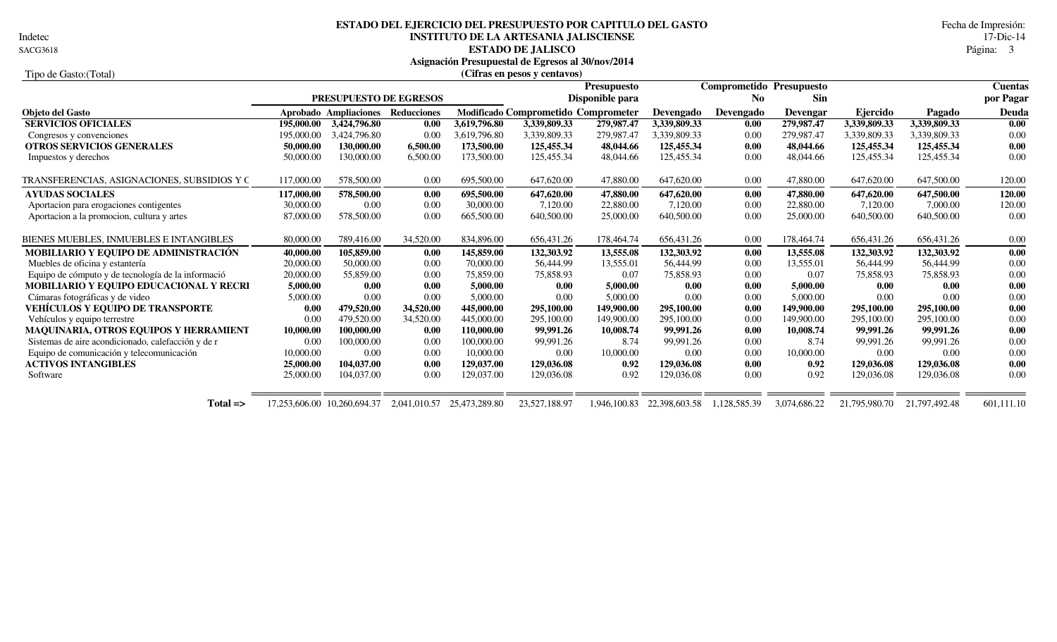Indetec

# **INSTITUTO DE LA ARTESANIA JALISCIENSE** 17-Dic-14<br>**ESTADO DE JALISCO** Página: 3 **ESTADO DEL EJERCICIO DEL PRESUPUESTO POR CAPITULO DEL GASTO** Fecha de Impresión:

**ESTADO DE JALISCO** Página: 3

**Asignación Presupuestal de Egresos al 30/nov/2014**

| Tipo de Gasto: (Total)                             |            |                                   |              |               | (Cifras en pesos y centavos)        |                    |               |                |                          |               |               |                |
|----------------------------------------------------|------------|-----------------------------------|--------------|---------------|-------------------------------------|--------------------|---------------|----------------|--------------------------|---------------|---------------|----------------|
|                                                    |            |                                   |              |               |                                     | <b>Presupuesto</b> |               |                | Comprometido Presupuesto |               |               | <b>Cuentas</b> |
|                                                    |            | PRESUPUESTO DE EGRESOS            |              |               |                                     | Disponible para    |               | N <sub>0</sub> | <b>Sin</b>               |               |               | por Pagar      |
| Objeto del Gasto                                   |            | Aprobado Ampliaciones Reducciones |              |               | Modificado Comprometido Comprometer |                    | Devengado     | Devengado      | <b>Devengar</b>          | Ejercido      | Pagado        | Deuda          |
| <b>SERVICIOS OFICIALES</b>                         | 195,000.00 | 3,424,796.80                      | 0.00         | 3,619,796.80  | 3,339,809.33                        | 279,987.47         | 3,339,809.33  | 0.00           | 279,987.47               | 3,339,809.33  | 3,339,809.33  | 0.00           |
| Congresos y convenciones                           | 195,000.00 | 3.424,796.80                      | 0.00         | 3.619.796.80  | 3,339,809.33                        | 279,987.47         | 3.339.809.33  | 0.00           | 279,987.47               | 3,339,809.33  | 3,339,809.33  | 0.00           |
| <b>OTROS SERVICIOS GENERALES</b>                   | 50,000.00  | 130,000.00                        | 6,500.00     | 173,500.00    | 125,455.34                          | 48,044.66          | 125,455.34    | 0.00           | 48,044.66                | 125,455.34    | 125,455.34    | 0.00           |
| Impuestos y derechos                               | 50,000.00  | 130,000.00                        | 6,500.00     | 173,500.00    | 125,455.34                          | 48,044.66          | 125,455.34    | 0.00           | 48,044.66                | 125,455.34    | 125,455.34    | 0.00           |
| TRANSFERENCIAS, ASIGNACIONES, SUBSIDIOS Y C        | 117,000.00 | 578,500.00                        | 0.00         | 695,500.00    | 647,620.00                          | 47,880.00          | 647,620.00    | 0.00           | 47,880.00                | 647,620.00    | 647,500.00    | 120.00         |
| <b>AYUDAS SOCIALES</b>                             | 117,000.00 | 578,500.00                        | 0.00         | 695,500.00    | 647,620.00                          | 47,880.00          | 647,620.00    | 0.00           | 47,880.00                | 647,620.00    | 647,500.00    | 120.00         |
| Aportación para erogaciones contigentes            | 30,000.00  | 0.00                              | 0.00         | 30,000.00     | 7,120.00                            | 22,880.00          | 7,120.00      | 0.00           | 22,880.00                | 7,120.00      | 7,000.00      | 120.00         |
| Aportacion a la promocion, cultura y artes         | 87,000.00  | 578,500.00                        | 0.00         | 665,500.00    | 640,500.00                          | 25,000.00          | 640,500.00    | 0.00           | 25,000.00                | 640,500.00    | 640,500.00    | 0.00           |
| BIENES MUEBLES, INMUEBLES E INTANGIBLES            | 80,000.00  | 789,416.00                        | 34,520.00    | 834,896.00    | 656,431.26                          | 178,464.74         | 656,431.26    | 0.00           | 178,464.74               | 656,431.26    | 656,431.26    | 0.00           |
| MOBILIARIO Y EQUIPO DE ADMINISTRACIÓN              | 40,000.00  | 105,859.00                        | 0.00         | 145,859.00    | 132,303.92                          | 13,555.08          | 132,303.92    | 0.00           | 13,555.08                | 132,303.92    | 132,303.92    | 0.00           |
| Muebles de oficina y estantería                    | 20,000.00  | 50,000.00                         | 0.00         | 70,000.00     | 56,444.99                           | 13,555.01          | 56,444.99     | 0.00           | 13,555.01                | 56,444.99     | 56,444.99     | 0.00           |
| Equipo de cómputo y de tecnología de la informació | 20,000.00  | 55,859.00                         | 0.00         | 75,859.00     | 75,858.93                           | 0.07               | 75,858.93     | 0.00           | 0.07                     | 75,858.93     | 75,858.93     | 0.00           |
| MOBILIARIO Y EQUIPO EDUCACIONAL Y RECRI            | 5,000.00   | 0.00                              | 0.00         | 5,000.00      | 0.00                                | 5,000.00           | 0.00          | 0.00           | 5,000.00                 | 0.00          | 0.00          | 0.00           |
| Cámaras fotográficas y de video                    | 5,000.00   | 0.00                              | 0.00         | 5,000.00      | 0.00                                | 5,000.00           | 0.00          | 0.00           | 5,000.00                 | 0.00          | 0.00          | 0.00           |
| VEHÍCULOS Y EQUIPO DE TRANSPORTE                   | 0.00       | 479,520.00                        | 34,520.00    | 445,000.00    | 295,100.00                          | 149,900.00         | 295,100.00    | 0.00           | 149,900.00               | 295,100.00    | 295,100.00    | 0.00           |
| Vehículos y equipo terrestre                       | 0.00       | 479,520.00                        | 34,520.00    | 445,000.00    | 295,100.00                          | 149,900.00         | 295,100.00    | 0.00           | 149,900.00               | 295,100.00    | 295,100.00    | 0.00           |
| <b>MAQUINARIA, OTROS EQUIPOS Y HERRAMIENT</b>      | 10,000.00  | 100,000.00                        | 0.00         | 110,000.00    | 99,991.26                           | 10,008.74          | 99,991.26     | 0.00           | 10,008.74                | 99.991.26     | 99,991.26     | 0.00           |
| Sistemas de aire acondicionado, calefacción y de r | 0.00       | 100,000.00                        | 0.00         | 100,000.00    | 99,991.26                           | 8.74               | 99,991.26     | 0.00           | 8.74                     | 99,991.26     | 99.991.26     | 0.00           |
| Equipo de comunicación y telecomunicación          | 10,000.00  | 0.00                              | 0.00         | 10,000.00     | 0.00                                | 10,000.00          | 0.00          | 0.00           | 10,000.00                | 0.00          | 0.00          | 0.00           |
| <b>ACTIVOS INTANGIBLES</b>                         | 25,000.00  | 104,037.00                        | 0.00         | 129,037.00    | 129,036.08                          | 0.92               | 129,036.08    | 0.00           | 0.92                     | 129,036.08    | 129,036.08    | 0.00           |
| Software                                           | 25,000.00  | 104,037.00                        | 0.00         | 129,037.00    | 129,036.08                          | 0.92               | 129,036.08    | 0.00           | 0.92                     | 129,036.08    | 129,036.08    | 0.00           |
| $Total \Rightarrow$                                |            | 17,253,606.00 10,260,694.37       | 2,041,010.57 | 25,473,289.80 | 23,527,188.97                       | 1,946,100.83       | 22,398,603.58 | 1,128,585.39   | 3,074,686.22             | 21,795,980.70 | 21,797,492.48 | 601,111.10     |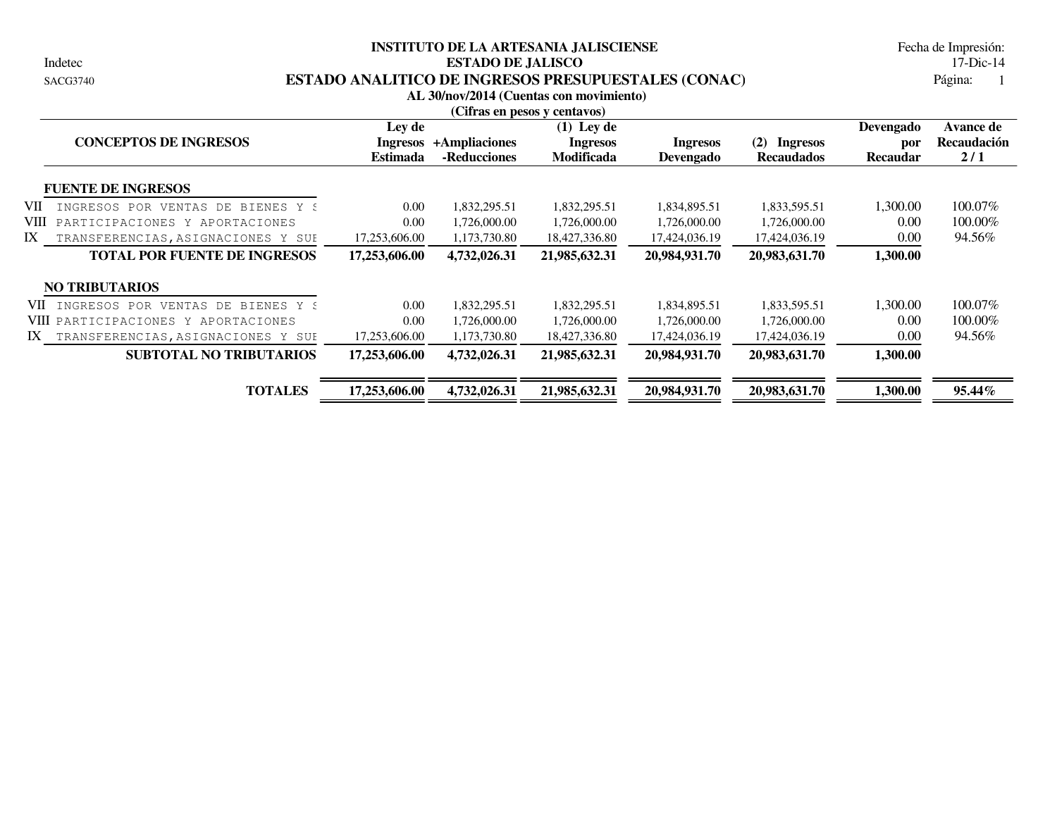Indetec

#### **INSTITUTO DE LA ARTESANIA JALISCIENSE ESTADO DE JALISCO** 17-Dic-14 SACG3740 **ESTADO ANALITICO DE INGRESOS PRESUPUESTALES (CONAC)**

Página: 1 Fecha de Impresión:

|                                                |                                       |                               | AL 30/nov/2014 (Cuentas con movimiento)<br>(Cifras en pesos y centavos) |                                     |                                             |                                     |                                               |
|------------------------------------------------|---------------------------------------|-------------------------------|-------------------------------------------------------------------------|-------------------------------------|---------------------------------------------|-------------------------------------|-----------------------------------------------|
| <b>CONCEPTOS DE INGRESOS</b>                   | Ley de<br>Ingresos<br><b>Estimada</b> | +Ampliaciones<br>-Reducciones | $(1)$ Ley de<br><b>Ingresos</b><br><b>Modificada</b>                    | <b>Ingresos</b><br><b>Devengado</b> | (2)<br><b>Ingresos</b><br><b>Recaudados</b> | Devengado<br>por<br><b>Recaudar</b> | <b>Avance de</b><br><b>Recaudación</b><br>2/1 |
| <b>FUENTE DE INGRESOS</b>                      |                                       |                               |                                                                         |                                     |                                             |                                     |                                               |
| VII<br>INGRESOS POR<br>VENTAS DE<br>BIENES Y S | 0.00                                  | 1,832,295.51                  | 1,832,295.51                                                            | 1,834,895.51                        | 1,833,595.51                                | 1,300.00                            | 100.07%                                       |
| VIII<br>PARTICIPACIONES Y APORTACIONES         | 0.00                                  | 1,726,000.00                  | 1,726,000.00                                                            | 1,726,000.00                        | 1,726,000.00                                | 0.00                                | 100.00%                                       |
| IX<br>TRANSFERENCIAS, ASIGNACIONES Y SUE       | 17,253,606.00                         | 1,173,730.80                  | 18,427,336.80                                                           | 17,424,036.19                       | 17,424,036.19                               | 0.00                                | 94.56%                                        |
| <b>TOTAL POR FUENTE DE INGRESOS</b>            | 17,253,606.00                         | 4,732,026.31                  | 21,985,632.31                                                           | 20,984,931.70                       | 20,983,631.70                               | 1,300.00                            |                                               |
| <b>NO TRIBUTARIOS</b>                          |                                       |                               |                                                                         |                                     |                                             |                                     |                                               |
| VII INGRESOS POR<br>VENTAS DE BIENES Y S       | 0.00                                  | 1,832,295.51                  | 1,832,295.51                                                            | 1,834,895.51                        | 1,833,595.51                                | 1,300.00                            | 100.07%                                       |
| VIII PARTICIPACIONES Y APORTACIONES            | 0.00                                  | 1,726,000.00                  | 1,726,000.00                                                            | 1,726,000.00                        | 1,726,000.00                                | 0.00                                | 100.00%                                       |
| IX<br>TRANSFERENCIAS, ASIGNACIONES Y SUE       | 17,253,606.00                         | 1,173,730.80                  | 18,427,336.80                                                           | 17,424,036.19                       | 17,424,036.19                               | 0.00                                | 94.56%                                        |
| <b>SUBTOTAL NO TRIBUTARIOS</b>                 | 17,253,606.00                         | 4,732,026.31                  | 21,985,632.31                                                           | 20,984,931.70                       | 20,983,631.70                               | 1,300.00                            |                                               |
| <b>TOTALES</b>                                 | 17,253,606.00                         | 4,732,026.31                  | 21,985,632.31                                                           | 20,984,931.70                       | 20,983,631.70                               | 1,300.00                            | 95.44%                                        |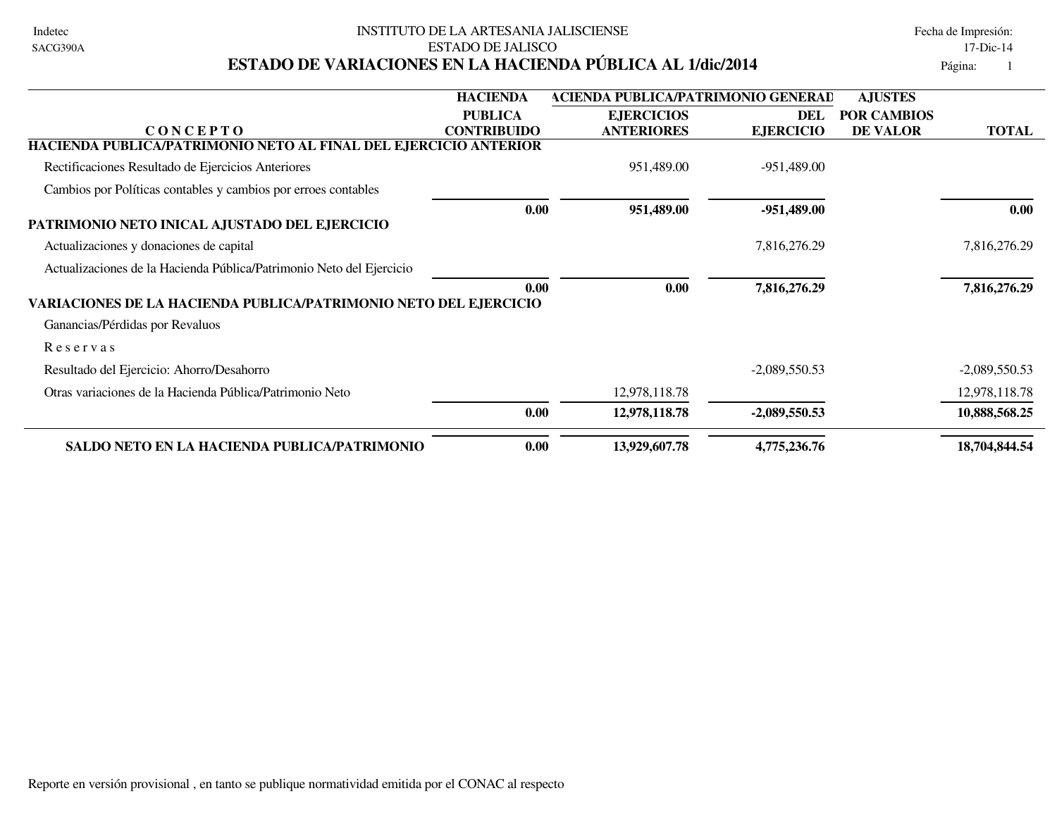| Indetec  |
|----------|
| SACG390A |

#### INSTITUTO DE LA ARTESANIA JALISCIENSE EN ENTRE EN ENTRE Fecha de Impresión: ESTADO DE JALISCO 17-Dic-14 **ESTADO DE VARIACIONES EN LA HACIENDA PÚBLICA AL 1/dic/2014** Página: 1

|                                                                      | <b>HACIENDA</b>    | <b>ACIENDA PUBLICA/PATRIMONIO GENERAD</b> |                  | <b>AJUSTES</b>     |                 |
|----------------------------------------------------------------------|--------------------|-------------------------------------------|------------------|--------------------|-----------------|
|                                                                      | <b>PUBLICA</b>     | <b>EJERCICIOS</b>                         | DEL              | <b>POR CAMBIOS</b> |                 |
| <b>CONCEPTO</b>                                                      | <b>CONTRIBUIDO</b> | <b>ANTERIORES</b>                         | <b>EJERCICIO</b> | <b>DE VALOR</b>    | <b>TOTAL</b>    |
| HACIENDA PUBLICA/PATRIMONIO NETO AL FINAL DEL EJERCICIO ANTERIOR     |                    |                                           |                  |                    |                 |
| Rectificaciones Resultado de Ejercicios Anteriores                   |                    | 951,489.00                                | -951,489.00      |                    |                 |
| Cambios por Políticas contables y cambios por erroes contables       |                    |                                           |                  |                    |                 |
|                                                                      | 0.00               | 951,489.00                                | $-951,489.00$    |                    | 0.00            |
| PATRIMONIO NETO INICAL AJUSTADO DEL EJERCICIO                        |                    |                                           |                  |                    |                 |
| Actualizaciones y donaciones de capital                              |                    |                                           | 7,816,276.29     |                    | 7,816,276.29    |
| Actualizaciones de la Hacienda Pública/Patrimonio Neto del Ejercicio |                    |                                           |                  |                    |                 |
|                                                                      | 0.00               | 0.00                                      | 7,816,276.29     |                    | 7,816,276.29    |
| VARIACIONES DE LA HACIENDA PUBLICA/PATRIMONIO NETO DEL EJERCICIO     |                    |                                           |                  |                    |                 |
| Ganancias/Pérdidas por Revaluos                                      |                    |                                           |                  |                    |                 |
| Reservas                                                             |                    |                                           |                  |                    |                 |
| Resultado del Ejercicio: Ahorro/Desahorro                            |                    |                                           | $-2,089,550.53$  |                    | $-2,089,550.53$ |
| Otras variaciones de la Hacienda Pública/Patrimonio Neto             |                    | 12,978,118.78                             |                  |                    | 12,978,118.78   |
|                                                                      | 0.00               | 12,978,118.78                             | $-2,089,550.53$  |                    | 10,888,568.25   |
| <b>SALDO NETO EN LA HACIENDA PUBLICA/PATRIMONIO</b>                  | 0.00               | 13,929,607.78                             | 4,775,236.76     |                    | 18,704,844.54   |